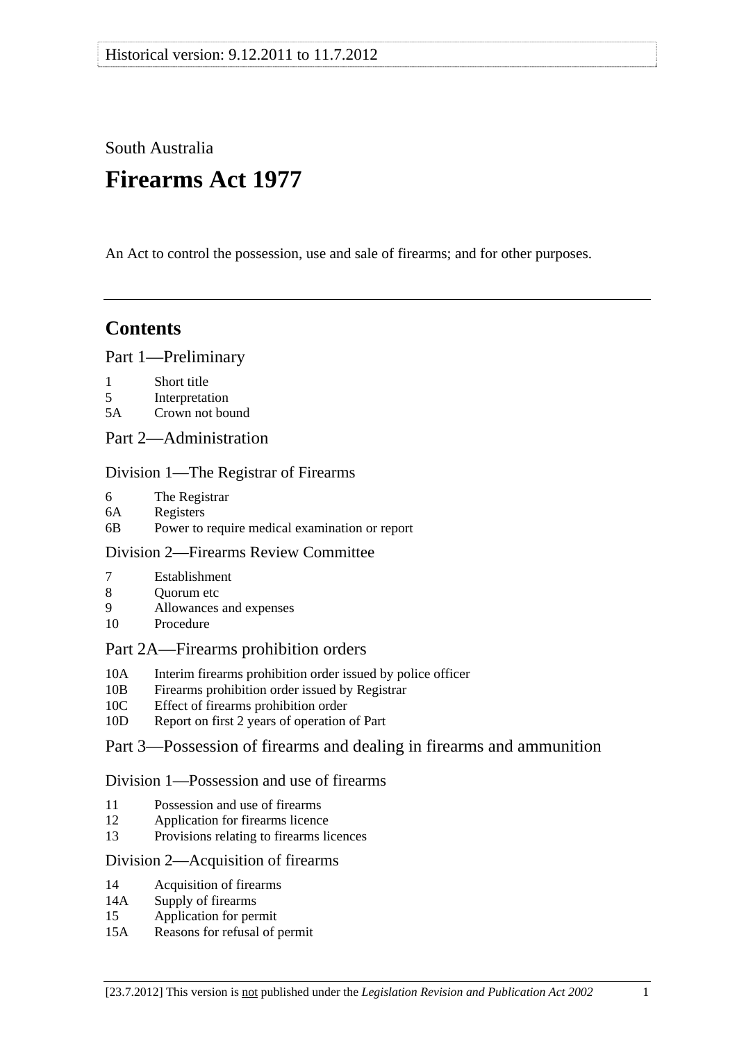# South Australia

# **Firearms Act 1977**

An Act to control the possession, use and sale of firearms; and for other purposes.

## **Contents**

## [Part 1—Preliminary](#page-2-0)

- [1 Short title](#page-2-0)
- [5 Interpretation](#page-2-0)
- [5A Crown not bound](#page-10-0)
- [Part 2—Administration](#page-10-0)

## [Division 1—The Registrar of Firearms](#page-10-0)

- [6 The Registrar](#page-10-0)
- [6A Registers](#page-11-0)
- [6B Power to require medical examination or report](#page-11-0)

## [Division 2—Firearms Review Committee](#page-11-0)

- [7 Establishment](#page-11-0)
- 8 Ouorum etc
- [9 Allowances and expenses](#page-12-0)
- [10 Procedure](#page-12-0)

## [Part 2A—Firearms prohibition orders](#page-13-0)

- [10A Interim firearms prohibition order issued by police officer](#page-13-0)
- [10B Firearms prohibition order issued by Registrar](#page-13-0)
- [10C Effect of firearms prohibition order](#page-14-0)
- [10D Report on first 2 years of operation of Part](#page-16-0)

## [Part 3—Possession of firearms and dealing in firearms and ammunition](#page-17-0)

## [Division 1—Possession and use of firearms](#page-17-0)

- [11 Possession and use of firearms](#page-17-0)
- [12 Application for firearms licence](#page-19-0)
- [13 Provisions relating to firearms licences](#page-22-0)

## [Division 2—Acquisition of firearms](#page-23-0)

- [14 Acquisition of firearms](#page-23-0)
- [14A Supply of firearms](#page-25-0)
- [15 Application for permit](#page-27-0)
- [15A Reasons for refusal of permit](#page-27-0)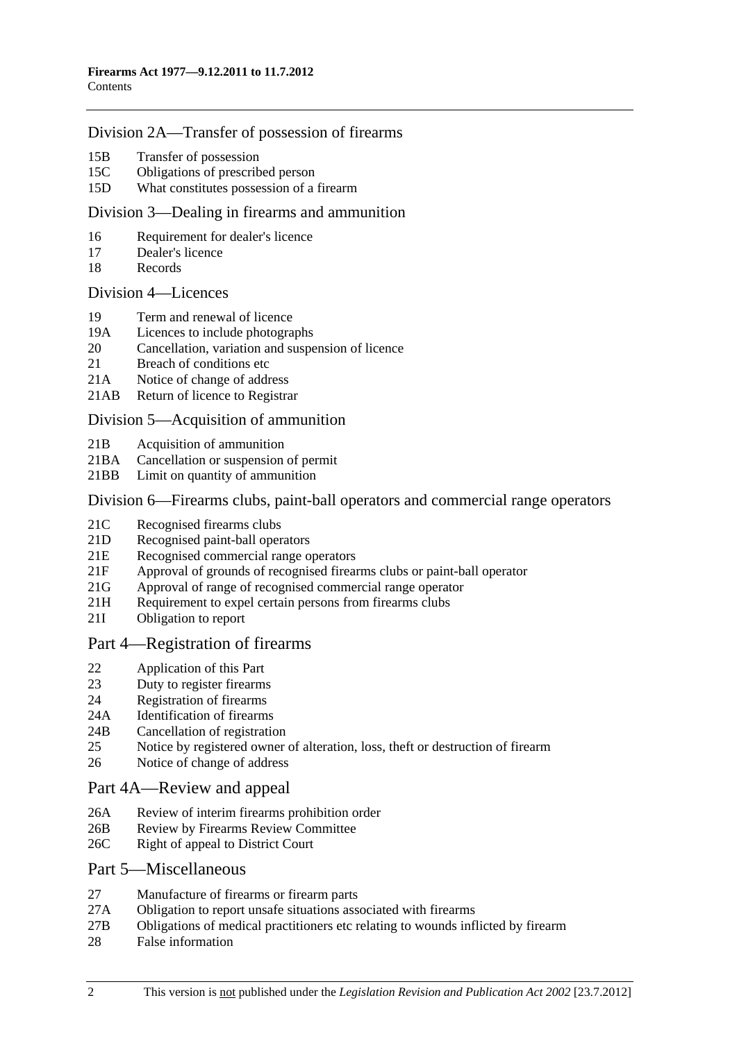#### [Division 2A—Transfer of possession of firearms](#page-30-0)

- [15B Transfer of possession](#page-30-0)
- [15C Obligations of prescribed person](#page-33-0)
- [15D What constitutes possession of a firearm](#page-34-0)

#### [Division 3—Dealing in firearms and ammunition](#page-34-0)

- [16 Requirement for dealer's licence](#page-34-0)
- [17 Dealer's licence](#page-35-0)
- [18 Records](#page-36-0)

#### [Division 4—Licences](#page-36-0)

- [19 Term and renewal of licence](#page-36-0)
- [19A Licences to include photographs](#page-37-0)
- [20 Cancellation, variation and suspension of licence](#page-37-0)
- 21 Breach of conditions etc
- [21A Notice of change of address](#page-39-0)
- [21AB Return of licence to Registrar](#page-39-0)

#### [Division 5—Acquisition of ammunition](#page-39-0)

- [21B Acquisition of ammunition](#page-39-0)
- [21BA Cancellation or suspension of permit](#page-40-0)
- [21BB Limit on quantity of ammunition](#page-41-0)

#### [Division 6—Firearms clubs, paint-ball operators and commercial range operators](#page-41-0)

- [21C Recognised firearms clubs](#page-41-0)
- [21D Recognised paint-ball operators](#page-41-0)
- [21E Recognised commercial range operators](#page-42-0)
- [21F Approval of grounds of recognised firearms clubs or paint-ball operator](#page-42-0)
- [21G Approval of range of recognised commercial range operator](#page-43-0)
- 21H Requirement to expel certain persons from firearms clubs
- [21I Obligation to report](#page-44-0)

#### [Part 4—Registration of firearms](#page-45-0)

- [22 Application of this Part](#page-45-0)
- [23 Duty to register firearms](#page-45-0)
- [24 Registration of firearms](#page-46-0)
- [24A Identification of firearms](#page-46-0)
- [24B Cancellation of registration](#page-47-0)
- [25 Notice by registered owner of alteration, loss, theft or destruction of firearm](#page-47-0)
- [26 Notice of change of address](#page-48-0)

#### [Part 4A—Review and appeal](#page-48-0)

- [26A Review of interim firearms prohibition order](#page-48-0)
- [26B Review by Firearms Review Committee](#page-48-0)
- [26C Right of appeal to District Court](#page-49-0)

#### [Part 5—Miscellaneous](#page-50-0)

- [27 Manufacture of firearms or firearm parts](#page-50-0)
- [27A Obligation to report unsafe situations associated with firearms](#page-51-0)
- [27B Obligations of medical practitioners etc relating to wounds inflicted by firearm](#page-52-0)
- [28 False information](#page-52-0)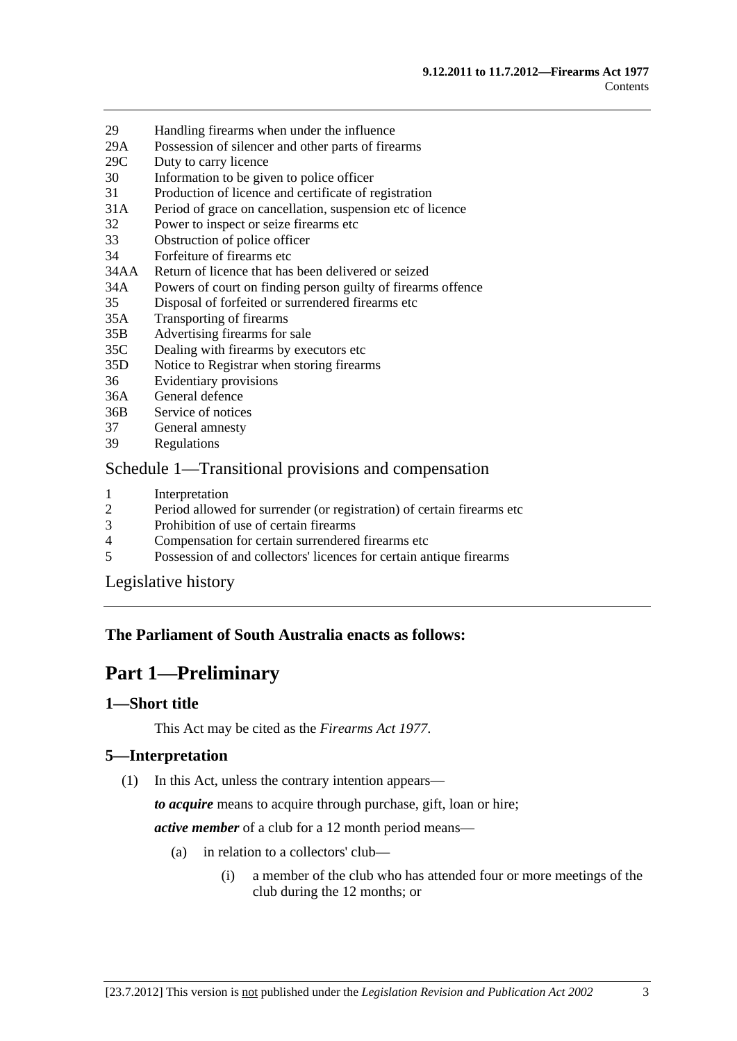- <span id="page-2-0"></span>[29 Handling firearms when under the influence](#page-52-0)
- [29A Possession of silencer and other parts of firearms](#page-53-0)
- [29C Duty to carry licence](#page-53-0)
- [30 Information to be given to police officer](#page-53-0)
- [31 Production of licence and certificate of registration](#page-54-0)
- [31A Period of grace on cancellation, suspension etc of licence](#page-55-0)
- [32 Power to inspect or seize firearms etc](#page-55-0)
- [33 Obstruction of police officer](#page-57-0)
- [34 Forfeiture of firearms etc](#page-58-0)
- [34AA Return of licence that has been delivered or seized](#page-58-0)
- [34A Powers of court on finding person guilty of firearms offence](#page-59-0)
- [35 Disposal of forfeited or surrendered firearms etc](#page-59-0)
- [35A Transporting of firearms](#page-61-0)
- [35B Advertising firearms for sale](#page-61-0)
- [35C Dealing with firearms by executors etc](#page-61-0)
- [35D Notice to Registrar when storing firearms](#page-61-0)
- [36 Evidentiary provisions](#page-62-0)
- [36A General defence](#page-62-0)
- [36B Service of notices](#page-63-0)
- [37 General amnesty](#page-63-0)
- [39 Regulations](#page-63-0)

#### [Schedule 1—Transitional provisions and compensation](#page-64-0)

- 1 Interpretation<br>2 Period allowe
- [2 Period allowed for surrender \(or registration\) of certain firearms etc](#page-65-0)
- [3 Prohibition of use of certain firearms](#page-65-0)
- [4 Compensation for certain surrendered firearms etc](#page-66-0)
- [5 Possession of and collectors' licences for certain antique firearms](#page-66-0)

[Legislative history](#page-67-0) 

## **The Parliament of South Australia enacts as follows:**

## **Part 1—Preliminary**

#### **1—Short title**

This Act may be cited as the *Firearms Act 1977*.

## **5—Interpretation**

(1) In this Act, unless the contrary intention appears—

*to acquire* means to acquire through purchase, gift, loan or hire;

*active member* of a club for a 12 month period means—

- (a) in relation to a collectors' club—
	- (i) a member of the club who has attended four or more meetings of the club during the 12 months; or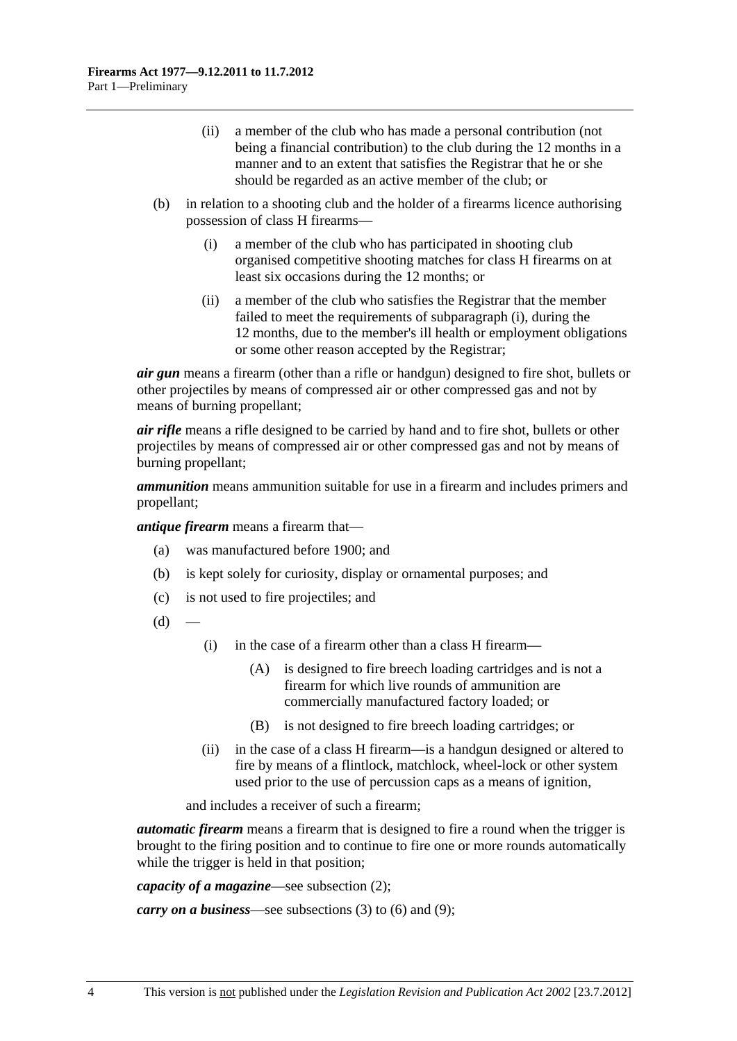- <span id="page-3-0"></span> (ii) a member of the club who has made a personal contribution (not being a financial contribution) to the club during the 12 months in a manner and to an extent that satisfies the Registrar that he or she should be regarded as an active member of the club; or
- (b) in relation to a shooting club and the holder of a firearms licence authorising possession of class H firearms—
	- (i) a member of the club who has participated in shooting club organised competitive shooting matches for class H firearms on at least six occasions during the 12 months; or
	- (ii) a member of the club who satisfies the Registrar that the member failed to meet the requirements of [subparagraph \(i\)](#page-3-0), during the 12 months, due to the member's ill health or employment obligations or some other reason accepted by the Registrar;

*air gun* means a firearm (other than a rifle or handgun) designed to fire shot, bullets or other projectiles by means of compressed air or other compressed gas and not by means of burning propellant;

*air rifle* means a rifle designed to be carried by hand and to fire shot, bullets or other projectiles by means of compressed air or other compressed gas and not by means of burning propellant;

*ammunition* means ammunition suitable for use in a firearm and includes primers and propellant;

*antique firearm* means a firearm that—

- (a) was manufactured before 1900; and
- (b) is kept solely for curiosity, display or ornamental purposes; and
- (c) is not used to fire projectiles; and
- $(d)$
- (i) in the case of a firearm other than a class H firearm—
	- (A) is designed to fire breech loading cartridges and is not a firearm for which live rounds of ammunition are commercially manufactured factory loaded; or
	- (B) is not designed to fire breech loading cartridges; or
- (ii) in the case of a class H firearm—is a handgun designed or altered to fire by means of a flintlock, matchlock, wheel-lock or other system used prior to the use of percussion caps as a means of ignition,

and includes a receiver of such a firearm;

*automatic firearm* means a firearm that is designed to fire a round when the trigger is brought to the firing position and to continue to fire one or more rounds automatically while the trigger is held in that position;

*capacity of a magazine*—see [subsection \(2\);](#page-8-0)

*carry on a business*—see [subsections \(3\)](#page-8-0) to [\(6\)](#page-9-0) and [\(9\);](#page-9-0)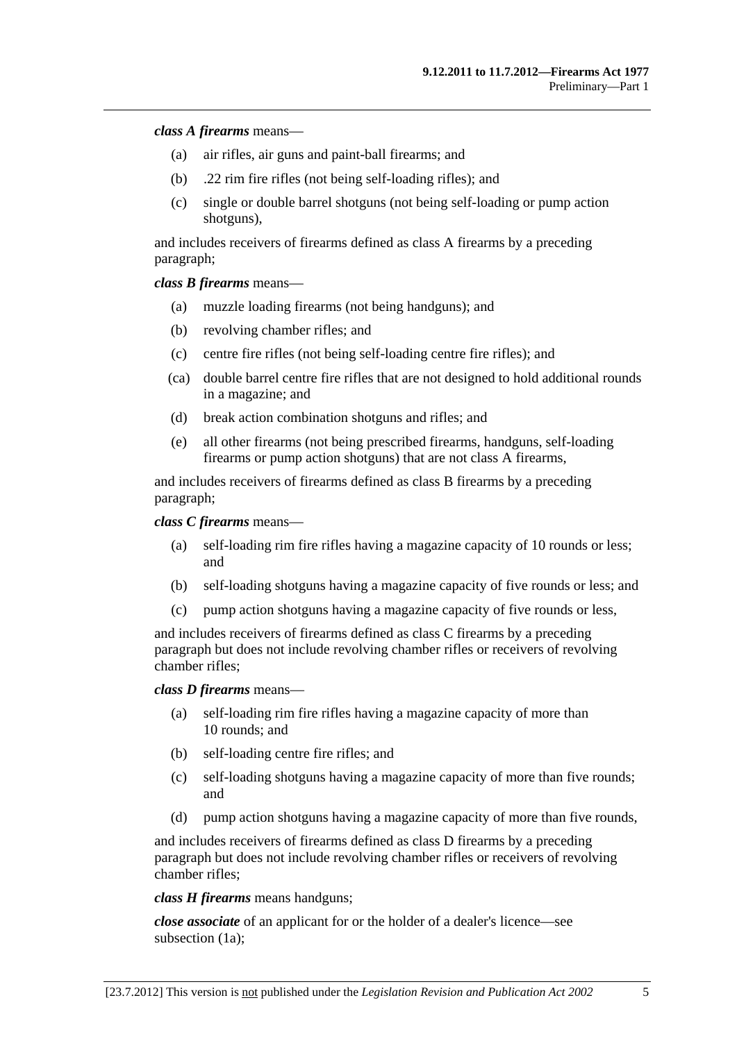#### *class A firearms* means—

- (a) air rifles, air guns and paint-ball firearms; and
- (b) .22 rim fire rifles (not being self-loading rifles); and
- (c) single or double barrel shotguns (not being self-loading or pump action shotguns),

and includes receivers of firearms defined as class A firearms by a preceding paragraph;

*class B firearms* means—

- (a) muzzle loading firearms (not being handguns); and
- (b) revolving chamber rifles; and
- (c) centre fire rifles (not being self-loading centre fire rifles); and
- (ca) double barrel centre fire rifles that are not designed to hold additional rounds in a magazine; and
- (d) break action combination shotguns and rifles; and
- (e) all other firearms (not being prescribed firearms, handguns, self-loading firearms or pump action shotguns) that are not class A firearms,

and includes receivers of firearms defined as class B firearms by a preceding paragraph;

*class C firearms* means—

- (a) self-loading rim fire rifles having a magazine capacity of 10 rounds or less; and
- (b) self-loading shotguns having a magazine capacity of five rounds or less; and
- (c) pump action shotguns having a magazine capacity of five rounds or less,

and includes receivers of firearms defined as class C firearms by a preceding paragraph but does not include revolving chamber rifles or receivers of revolving chamber rifles;

#### *class D firearms* means—

- (a) self-loading rim fire rifles having a magazine capacity of more than 10 rounds; and
- (b) self-loading centre fire rifles; and
- (c) self-loading shotguns having a magazine capacity of more than five rounds; and
- (d) pump action shotguns having a magazine capacity of more than five rounds,

and includes receivers of firearms defined as class D firearms by a preceding paragraph but does not include revolving chamber rifles or receivers of revolving chamber rifles;

*class H firearms* means handguns;

*close associate* of an applicant for or the holder of a dealer's licence—see [subsection \(1a\);](#page-8-0)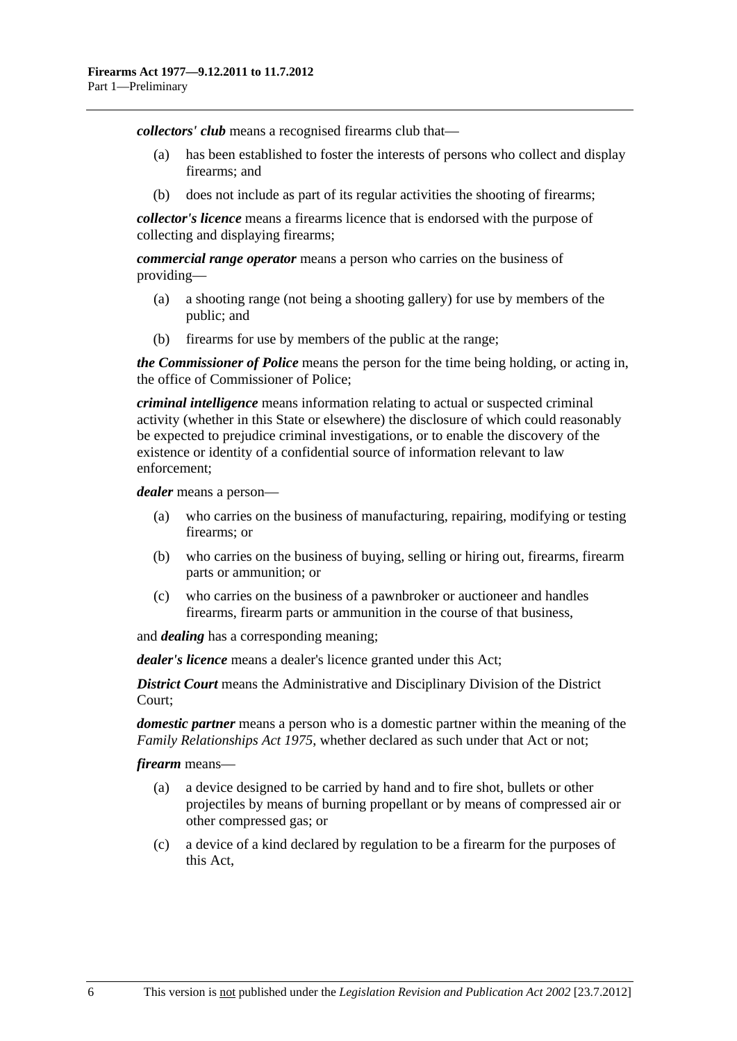*collectors' club* means a recognised firearms club that—

- (a) has been established to foster the interests of persons who collect and display firearms; and
- (b) does not include as part of its regular activities the shooting of firearms;

*collector's licence* means a firearms licence that is endorsed with the purpose of collecting and displaying firearms;

*commercial range operator* means a person who carries on the business of providing—

- (a) a shooting range (not being a shooting gallery) for use by members of the public; and
- (b) firearms for use by members of the public at the range;

*the Commissioner of Police* means the person for the time being holding, or acting in, the office of Commissioner of Police;

*criminal intelligence* means information relating to actual or suspected criminal activity (whether in this State or elsewhere) the disclosure of which could reasonably be expected to prejudice criminal investigations, or to enable the discovery of the existence or identity of a confidential source of information relevant to law enforcement;

*dealer* means a person—

- (a) who carries on the business of manufacturing, repairing, modifying or testing firearms; or
- (b) who carries on the business of buying, selling or hiring out, firearms, firearm parts or ammunition; or
- (c) who carries on the business of a pawnbroker or auctioneer and handles firearms, firearm parts or ammunition in the course of that business,

and *dealing* has a corresponding meaning;

*dealer's licence* means a dealer's licence granted under this Act;

*District Court* means the Administrative and Disciplinary Division of the District Court;

*domestic partner* means a person who is a domestic partner within the meaning of the *[Family Relationships Act 1975](http://www.legislation.sa.gov.au/index.aspx?action=legref&type=act&legtitle=Family%20Relationships%20Act%201975)*, whether declared as such under that Act or not;

*firearm* means—

- (a) a device designed to be carried by hand and to fire shot, bullets or other projectiles by means of burning propellant or by means of compressed air or other compressed gas; or
- (c) a device of a kind declared by regulation to be a firearm for the purposes of this Act,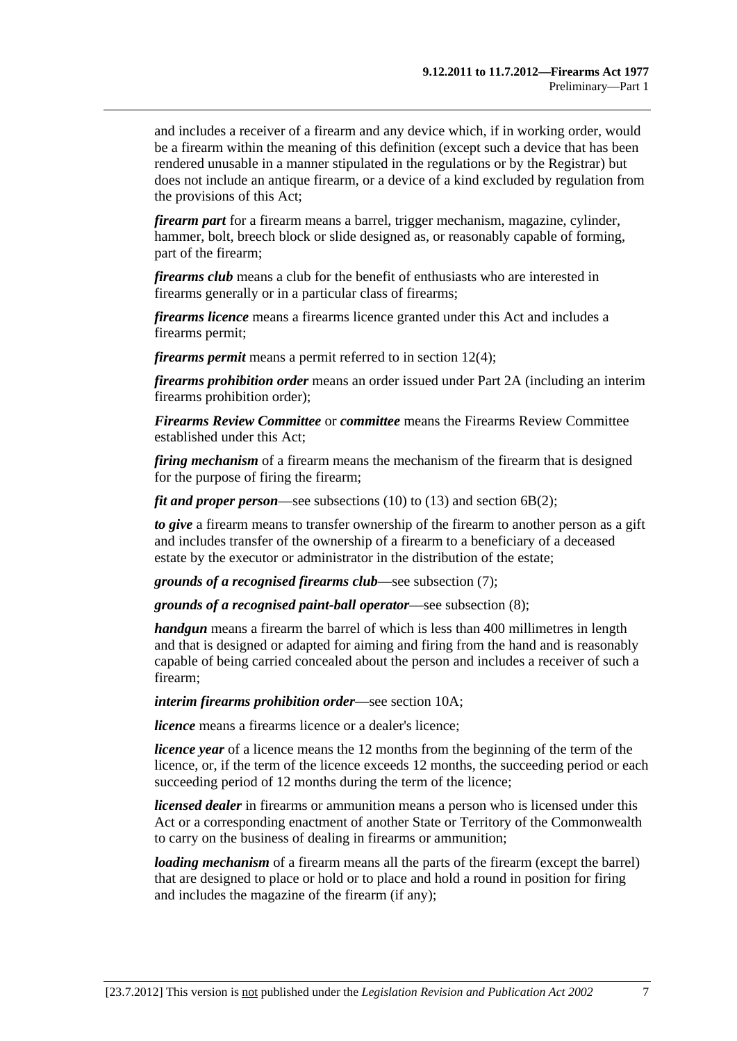and includes a receiver of a firearm and any device which, if in working order, would be a firearm within the meaning of this definition (except such a device that has been rendered unusable in a manner stipulated in the regulations or by the Registrar) but does not include an antique firearm, or a device of a kind excluded by regulation from the provisions of this Act;

*firearm part* for a firearm means a barrel, trigger mechanism, magazine, cylinder, hammer, bolt, breech block or slide designed as, or reasonably capable of forming, part of the firearm;

*firearms club* means a club for the benefit of enthusiasts who are interested in firearms generally or in a particular class of firearms;

*firearms licence* means a firearms licence granted under this Act and includes a firearms permit;

*firearms permit* means a permit referred to in [section 12\(4\);](#page-20-0)

*firearms prohibition order* means an order issued under [Part 2A](#page-13-0) (including an interim firearms prohibition order);

*Firearms Review Committee* or *committee* means the Firearms Review Committee established under this Act;

*firing mechanism* of a firearm means the mechanism of the firearm that is designed for the purpose of firing the firearm;

*fit and proper person*—see [subsections \(10\)](#page-9-0) to [\(13\)](#page-10-0) and [section 6B\(2\)](#page-11-0);

*to give* a firearm means to transfer ownership of the firearm to another person as a gift and includes transfer of the ownership of a firearm to a beneficiary of a deceased estate by the executor or administrator in the distribution of the estate;

*grounds of a recognised firearms club*—see [subsection \(7\)](#page-9-0);

*grounds of a recognised paint-ball operator*—see [subsection \(8\);](#page-9-0)

*handgun* means a firearm the barrel of which is less than 400 millimetres in length and that is designed or adapted for aiming and firing from the hand and is reasonably capable of being carried concealed about the person and includes a receiver of such a firearm;

*interim firearms prohibition order*—see [section 10A](#page-13-0);

*licence* means a firearms licence or a dealer's licence;

*licence year* of a licence means the 12 months from the beginning of the term of the licence, or, if the term of the licence exceeds 12 months, the succeeding period or each succeeding period of 12 months during the term of the licence;

*licensed dealer* in firearms or ammunition means a person who is licensed under this Act or a corresponding enactment of another State or Territory of the Commonwealth to carry on the business of dealing in firearms or ammunition;

*loading mechanism* of a firearm means all the parts of the firearm (except the barrel) that are designed to place or hold or to place and hold a round in position for firing and includes the magazine of the firearm (if any);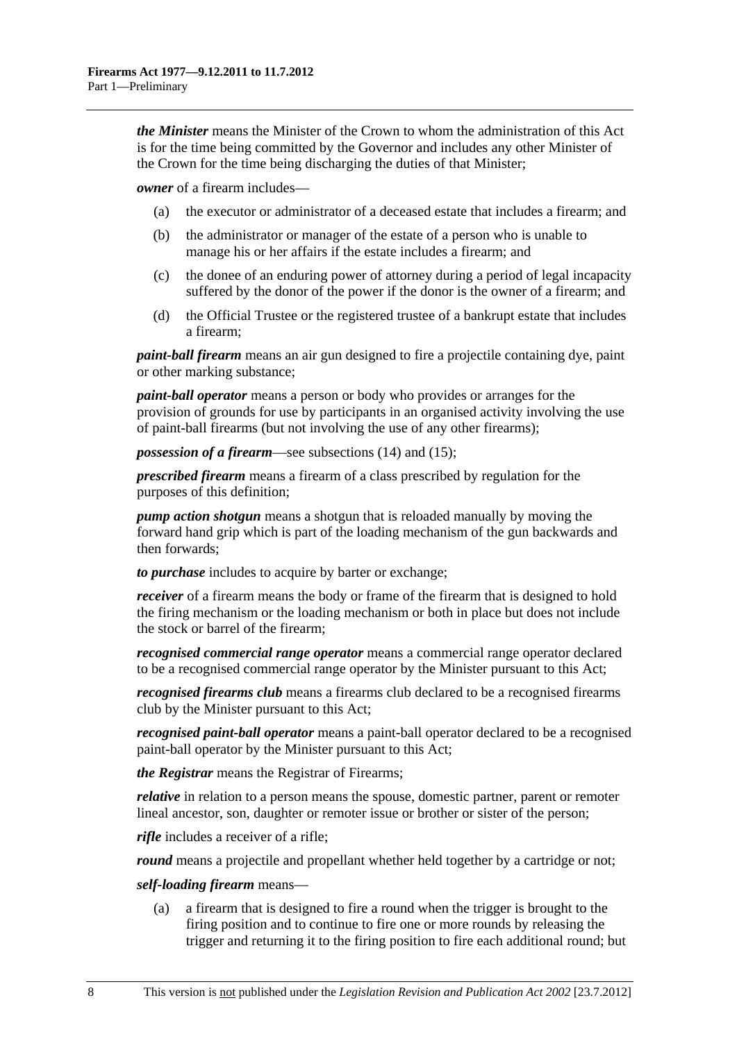*the Minister* means the Minister of the Crown to whom the administration of this Act is for the time being committed by the Governor and includes any other Minister of the Crown for the time being discharging the duties of that Minister;

*owner* of a firearm includes—

- (a) the executor or administrator of a deceased estate that includes a firearm; and
- (b) the administrator or manager of the estate of a person who is unable to manage his or her affairs if the estate includes a firearm; and
- (c) the donee of an enduring power of attorney during a period of legal incapacity suffered by the donor of the power if the donor is the owner of a firearm; and
- (d) the Official Trustee or the registered trustee of a bankrupt estate that includes a firearm;

*paint-ball firearm* means an air gun designed to fire a projectile containing dye, paint or other marking substance;

*paint-ball operator* means a person or body who provides or arranges for the provision of grounds for use by participants in an organised activity involving the use of paint-ball firearms (but not involving the use of any other firearms);

*possession of a firearm*—see [subsections \(14\)](#page-10-0) and [\(15\);](#page-10-0)

*prescribed firearm* means a firearm of a class prescribed by regulation for the purposes of this definition;

*pump action shotgun* means a shotgun that is reloaded manually by moving the forward hand grip which is part of the loading mechanism of the gun backwards and then forwards;

*to purchase* includes to acquire by barter or exchange;

*receiver* of a firearm means the body or frame of the firearm that is designed to hold the firing mechanism or the loading mechanism or both in place but does not include the stock or barrel of the firearm;

*recognised commercial range operator* means a commercial range operator declared to be a recognised commercial range operator by the Minister pursuant to this Act;

*recognised firearms club* means a firearms club declared to be a recognised firearms club by the Minister pursuant to this Act;

*recognised paint-ball operator* means a paint-ball operator declared to be a recognised paint-ball operator by the Minister pursuant to this Act;

*the Registrar* means the Registrar of Firearms;

*relative* in relation to a person means the spouse, domestic partner, parent or remoter lineal ancestor, son, daughter or remoter issue or brother or sister of the person;

*rifle* includes a receiver of a rifle;

*round* means a projectile and propellant whether held together by a cartridge or not;

#### *self-loading firearm* means—

 (a) a firearm that is designed to fire a round when the trigger is brought to the firing position and to continue to fire one or more rounds by releasing the trigger and returning it to the firing position to fire each additional round; but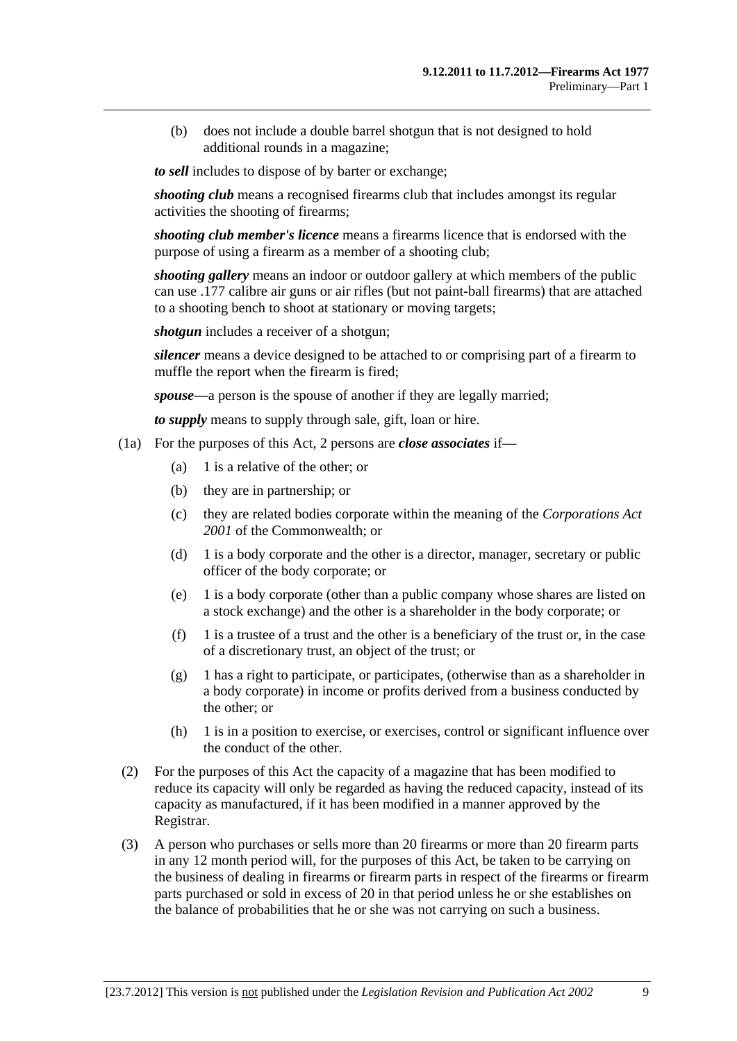<span id="page-8-0"></span> (b) does not include a double barrel shotgun that is not designed to hold additional rounds in a magazine;

*to sell* includes to dispose of by barter or exchange;

*shooting club* means a recognised firearms club that includes amongst its regular activities the shooting of firearms;

*shooting club member's licence* means a firearms licence that is endorsed with the purpose of using a firearm as a member of a shooting club;

*shooting gallery* means an indoor or outdoor gallery at which members of the public can use .177 calibre air guns or air rifles (but not paint-ball firearms) that are attached to a shooting bench to shoot at stationary or moving targets;

*shotgun* includes a receiver of a shotgun;

*silencer* means a device designed to be attached to or comprising part of a firearm to muffle the report when the firearm is fired;

*spouse*—a person is the spouse of another if they are legally married;

*to supply* means to supply through sale, gift, loan or hire.

- (1a) For the purposes of this Act, 2 persons are *close associates* if—
	- (a) 1 is a relative of the other; or
	- (b) they are in partnership; or
	- (c) they are related bodies corporate within the meaning of the *Corporations Act 2001* of the Commonwealth; or
	- (d) 1 is a body corporate and the other is a director, manager, secretary or public officer of the body corporate; or
	- (e) 1 is a body corporate (other than a public company whose shares are listed on a stock exchange) and the other is a shareholder in the body corporate; or
	- $(f)$  1 is a trustee of a trust and the other is a beneficiary of the trust or, in the case of a discretionary trust, an object of the trust; or
	- (g) 1 has a right to participate, or participates, (otherwise than as a shareholder in a body corporate) in income or profits derived from a business conducted by the other; or
	- (h) 1 is in a position to exercise, or exercises, control or significant influence over the conduct of the other.
- (2) For the purposes of this Act the capacity of a magazine that has been modified to reduce its capacity will only be regarded as having the reduced capacity, instead of its capacity as manufactured, if it has been modified in a manner approved by the Registrar.
- (3) A person who purchases or sells more than 20 firearms or more than 20 firearm parts in any 12 month period will, for the purposes of this Act, be taken to be carrying on the business of dealing in firearms or firearm parts in respect of the firearms or firearm parts purchased or sold in excess of 20 in that period unless he or she establishes on the balance of probabilities that he or she was not carrying on such a business.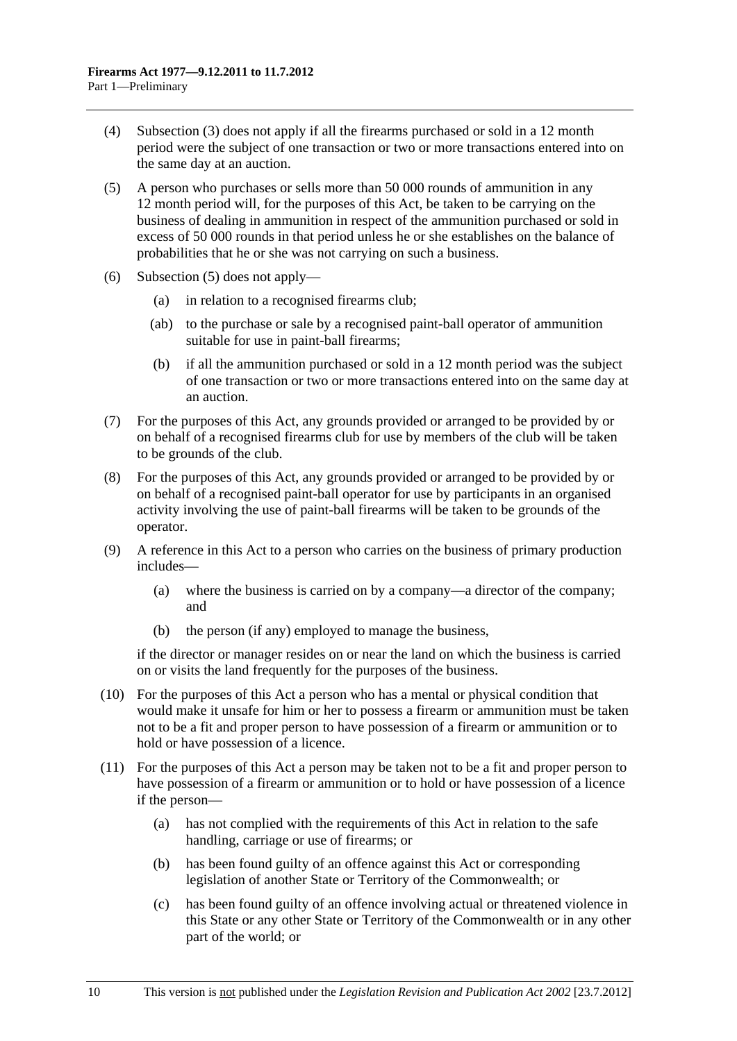- <span id="page-9-0"></span> (4) [Subsection \(3\)](#page-8-0) does not apply if all the firearms purchased or sold in a 12 month period were the subject of one transaction or two or more transactions entered into on the same day at an auction.
- (5) A person who purchases or sells more than 50 000 rounds of ammunition in any 12 month period will, for the purposes of this Act, be taken to be carrying on the business of dealing in ammunition in respect of the ammunition purchased or sold in excess of 50 000 rounds in that period unless he or she establishes on the balance of probabilities that he or she was not carrying on such a business.
- (6) [Subsection \(5\)](#page-9-0) does not apply—
	- (a) in relation to a recognised firearms club;
	- (ab) to the purchase or sale by a recognised paint-ball operator of ammunition suitable for use in paint-ball firearms;
	- (b) if all the ammunition purchased or sold in a 12 month period was the subject of one transaction or two or more transactions entered into on the same day at an auction.
- (7) For the purposes of this Act, any grounds provided or arranged to be provided by or on behalf of a recognised firearms club for use by members of the club will be taken to be grounds of the club.
- (8) For the purposes of this Act, any grounds provided or arranged to be provided by or on behalf of a recognised paint-ball operator for use by participants in an organised activity involving the use of paint-ball firearms will be taken to be grounds of the operator.
- (9) A reference in this Act to a person who carries on the business of primary production includes—
	- (a) where the business is carried on by a company—a director of the company; and
	- (b) the person (if any) employed to manage the business,

if the director or manager resides on or near the land on which the business is carried on or visits the land frequently for the purposes of the business.

- (10) For the purposes of this Act a person who has a mental or physical condition that would make it unsafe for him or her to possess a firearm or ammunition must be taken not to be a fit and proper person to have possession of a firearm or ammunition or to hold or have possession of a licence.
- (11) For the purposes of this Act a person may be taken not to be a fit and proper person to have possession of a firearm or ammunition or to hold or have possession of a licence if the person—
	- (a) has not complied with the requirements of this Act in relation to the safe handling, carriage or use of firearms; or
	- (b) has been found guilty of an offence against this Act or corresponding legislation of another State or Territory of the Commonwealth; or
	- (c) has been found guilty of an offence involving actual or threatened violence in this State or any other State or Territory of the Commonwealth or in any other part of the world; or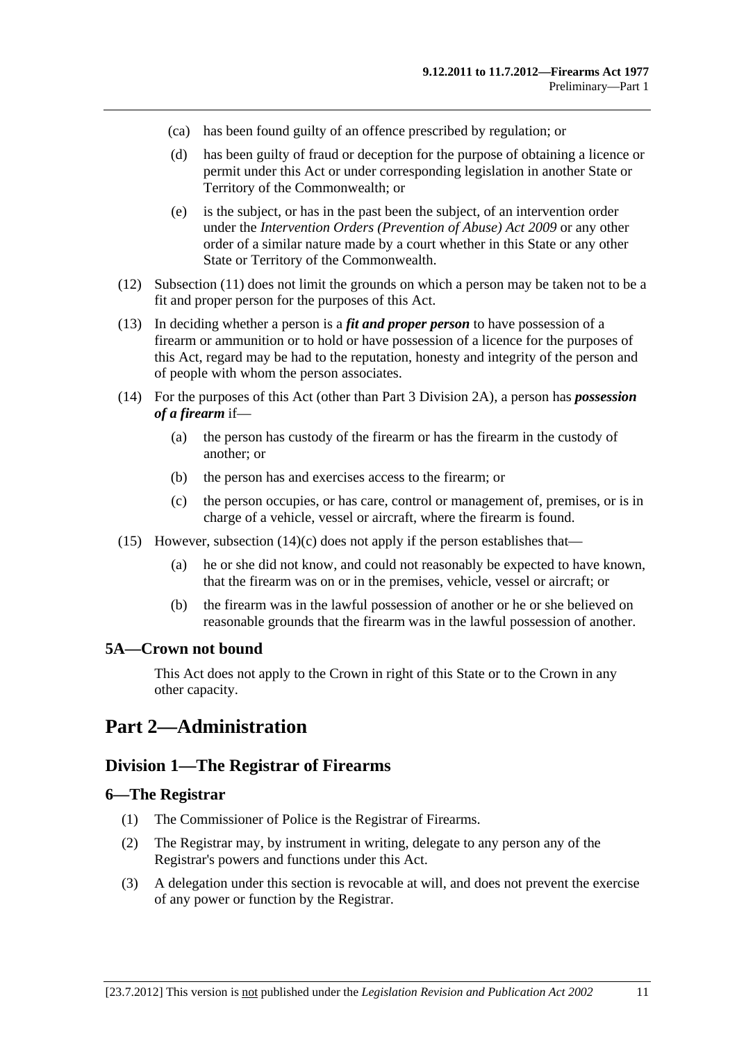- <span id="page-10-0"></span>(ca) has been found guilty of an offence prescribed by regulation; or
- (d) has been guilty of fraud or deception for the purpose of obtaining a licence or permit under this Act or under corresponding legislation in another State or Territory of the Commonwealth; or
- (e) is the subject, or has in the past been the subject, of an intervention order under the *[Intervention Orders \(Prevention of Abuse\) Act 2009](http://www.legislation.sa.gov.au/index.aspx?action=legref&type=act&legtitle=Intervention%20Orders%20(Prevention%20of%20Abuse)%20Act%202009)* or any other order of a similar nature made by a court whether in this State or any other State or Territory of the Commonwealth.
- (12) [Subsection \(11\)](#page-9-0) does not limit the grounds on which a person may be taken not to be a fit and proper person for the purposes of this Act.
- (13) In deciding whether a person is a *fit and proper person* to have possession of a firearm or ammunition or to hold or have possession of a licence for the purposes of this Act, regard may be had to the reputation, honesty and integrity of the person and of people with whom the person associates.
- (14) For the purposes of this Act (other than [Part 3 Division 2A](#page-30-0)), a person has *possession of a firearm* if—
	- (a) the person has custody of the firearm or has the firearm in the custody of another; or
	- (b) the person has and exercises access to the firearm; or
	- (c) the person occupies, or has care, control or management of, premises, or is in charge of a vehicle, vessel or aircraft, where the firearm is found.
- (15) However, subsection  $(14)(c)$  does not apply if the person establishes that—
	- (a) he or she did not know, and could not reasonably be expected to have known, that the firearm was on or in the premises, vehicle, vessel or aircraft; or
	- (b) the firearm was in the lawful possession of another or he or she believed on reasonable grounds that the firearm was in the lawful possession of another.

#### **5A—Crown not bound**

This Act does not apply to the Crown in right of this State or to the Crown in any other capacity.

## **Part 2—Administration**

## **Division 1—The Registrar of Firearms**

#### **6—The Registrar**

- (1) The Commissioner of Police is the Registrar of Firearms.
- (2) The Registrar may, by instrument in writing, delegate to any person any of the Registrar's powers and functions under this Act.
- (3) A delegation under this section is revocable at will, and does not prevent the exercise of any power or function by the Registrar.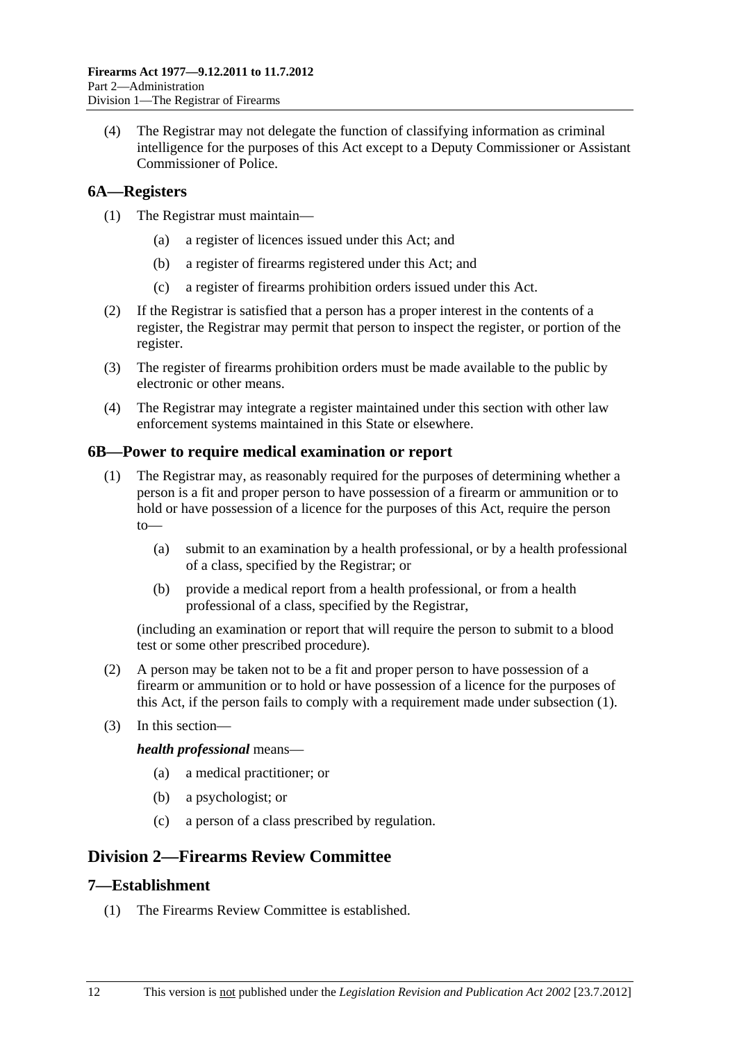<span id="page-11-0"></span> (4) The Registrar may not delegate the function of classifying information as criminal intelligence for the purposes of this Act except to a Deputy Commissioner or Assistant Commissioner of Police.

## **6A—Registers**

- (1) The Registrar must maintain—
	- (a) a register of licences issued under this Act; and
	- (b) a register of firearms registered under this Act; and
	- (c) a register of firearms prohibition orders issued under this Act.
- (2) If the Registrar is satisfied that a person has a proper interest in the contents of a register, the Registrar may permit that person to inspect the register, or portion of the register.
- (3) The register of firearms prohibition orders must be made available to the public by electronic or other means.
- (4) The Registrar may integrate a register maintained under this section with other law enforcement systems maintained in this State or elsewhere.

#### **6B—Power to require medical examination or report**

- (1) The Registrar may, as reasonably required for the purposes of determining whether a person is a fit and proper person to have possession of a firearm or ammunition or to hold or have possession of a licence for the purposes of this Act, require the person to—
	- (a) submit to an examination by a health professional, or by a health professional of a class, specified by the Registrar; or
	- (b) provide a medical report from a health professional, or from a health professional of a class, specified by the Registrar,

(including an examination or report that will require the person to submit to a blood test or some other prescribed procedure).

- (2) A person may be taken not to be a fit and proper person to have possession of a firearm or ammunition or to hold or have possession of a licence for the purposes of this Act, if the person fails to comply with a requirement made under [subsection \(1\)](#page-11-0).
- (3) In this section—

*health professional* means—

- (a) a medical practitioner; or
- (b) a psychologist; or
- (c) a person of a class prescribed by regulation.

## **Division 2—Firearms Review Committee**

#### **7—Establishment**

(1) The Firearms Review Committee is established.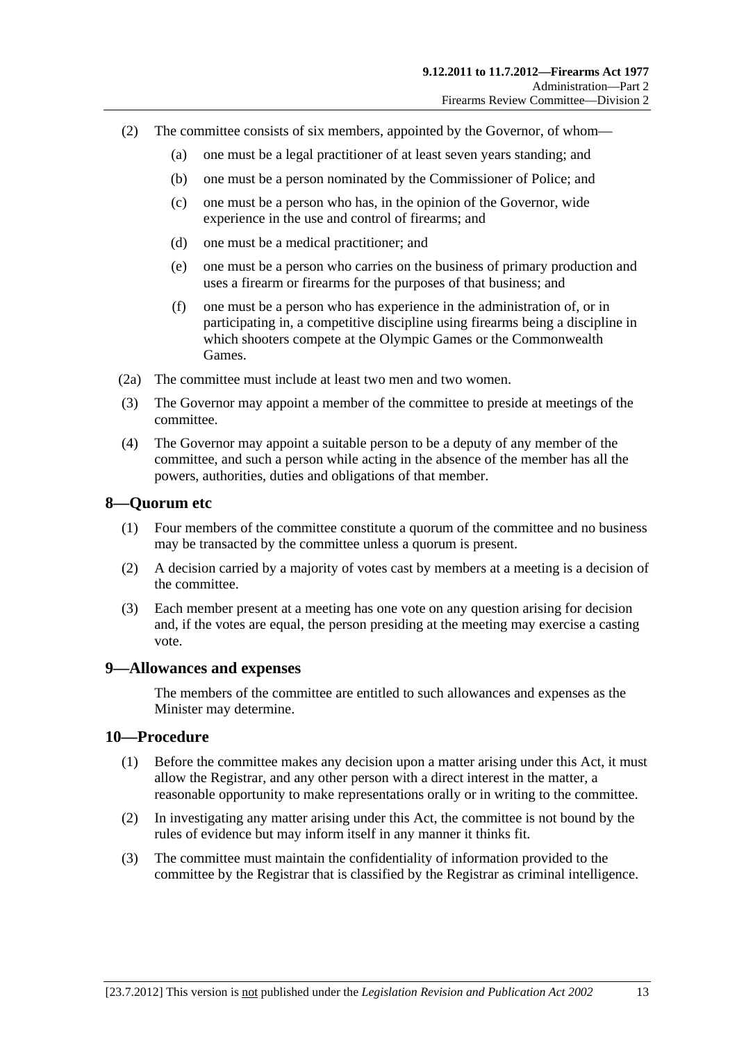- <span id="page-12-0"></span> (2) The committee consists of six members, appointed by the Governor, of whom—
	- (a) one must be a legal practitioner of at least seven years standing; and
	- (b) one must be a person nominated by the Commissioner of Police; and
	- (c) one must be a person who has, in the opinion of the Governor, wide experience in the use and control of firearms; and
	- (d) one must be a medical practitioner; and
	- (e) one must be a person who carries on the business of primary production and uses a firearm or firearms for the purposes of that business; and
	- (f) one must be a person who has experience in the administration of, or in participating in, a competitive discipline using firearms being a discipline in which shooters compete at the Olympic Games or the Commonwealth Games.
- (2a) The committee must include at least two men and two women.
- (3) The Governor may appoint a member of the committee to preside at meetings of the committee.
- (4) The Governor may appoint a suitable person to be a deputy of any member of the committee, and such a person while acting in the absence of the member has all the powers, authorities, duties and obligations of that member.

#### **8—Quorum etc**

- (1) Four members of the committee constitute a quorum of the committee and no business may be transacted by the committee unless a quorum is present.
- (2) A decision carried by a majority of votes cast by members at a meeting is a decision of the committee.
- (3) Each member present at a meeting has one vote on any question arising for decision and, if the votes are equal, the person presiding at the meeting may exercise a casting vote.

#### **9—Allowances and expenses**

The members of the committee are entitled to such allowances and expenses as the Minister may determine.

#### **10—Procedure**

- (1) Before the committee makes any decision upon a matter arising under this Act, it must allow the Registrar, and any other person with a direct interest in the matter, a reasonable opportunity to make representations orally or in writing to the committee.
- (2) In investigating any matter arising under this Act, the committee is not bound by the rules of evidence but may inform itself in any manner it thinks fit.
- (3) The committee must maintain the confidentiality of information provided to the committee by the Registrar that is classified by the Registrar as criminal intelligence.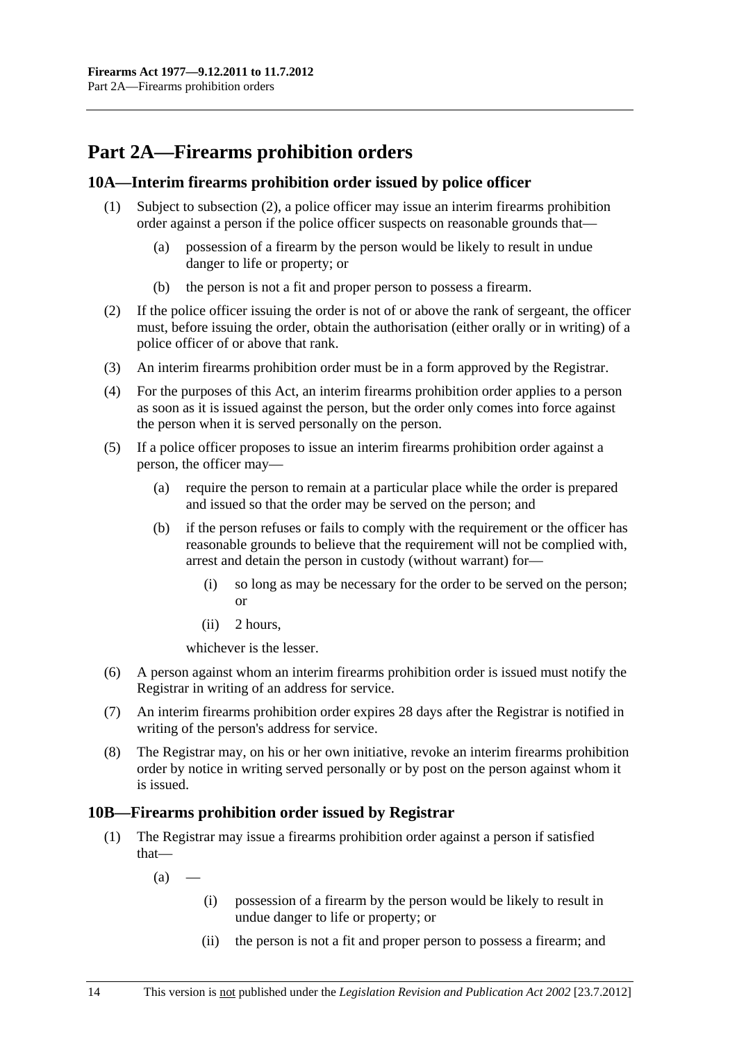## <span id="page-13-0"></span>**Part 2A—Firearms prohibition orders**

## **10A—Interim firearms prohibition order issued by police officer**

- (1) Subject to [subsection \(2\),](#page-13-0) a police officer may issue an interim firearms prohibition order against a person if the police officer suspects on reasonable grounds that—
	- (a) possession of a firearm by the person would be likely to result in undue danger to life or property; or
	- (b) the person is not a fit and proper person to possess a firearm.
- (2) If the police officer issuing the order is not of or above the rank of sergeant, the officer must, before issuing the order, obtain the authorisation (either orally or in writing) of a police officer of or above that rank.
- (3) An interim firearms prohibition order must be in a form approved by the Registrar.
- (4) For the purposes of this Act, an interim firearms prohibition order applies to a person as soon as it is issued against the person, but the order only comes into force against the person when it is served personally on the person.
- (5) If a police officer proposes to issue an interim firearms prohibition order against a person, the officer may—
	- (a) require the person to remain at a particular place while the order is prepared and issued so that the order may be served on the person; and
	- (b) if the person refuses or fails to comply with the requirement or the officer has reasonable grounds to believe that the requirement will not be complied with, arrest and detain the person in custody (without warrant) for—
		- (i) so long as may be necessary for the order to be served on the person; or
		- (ii) 2 hours,

whichever is the lesser.

- (6) A person against whom an interim firearms prohibition order is issued must notify the Registrar in writing of an address for service.
- (7) An interim firearms prohibition order expires 28 days after the Registrar is notified in writing of the person's address for service.
- (8) The Registrar may, on his or her own initiative, revoke an interim firearms prohibition order by notice in writing served personally or by post on the person against whom it is issued.

## **10B—Firearms prohibition order issued by Registrar**

- (1) The Registrar may issue a firearms prohibition order against a person if satisfied that—
	- $(a)$ 
		- (i) possession of a firearm by the person would be likely to result in undue danger to life or property; or
		- (ii) the person is not a fit and proper person to possess a firearm; and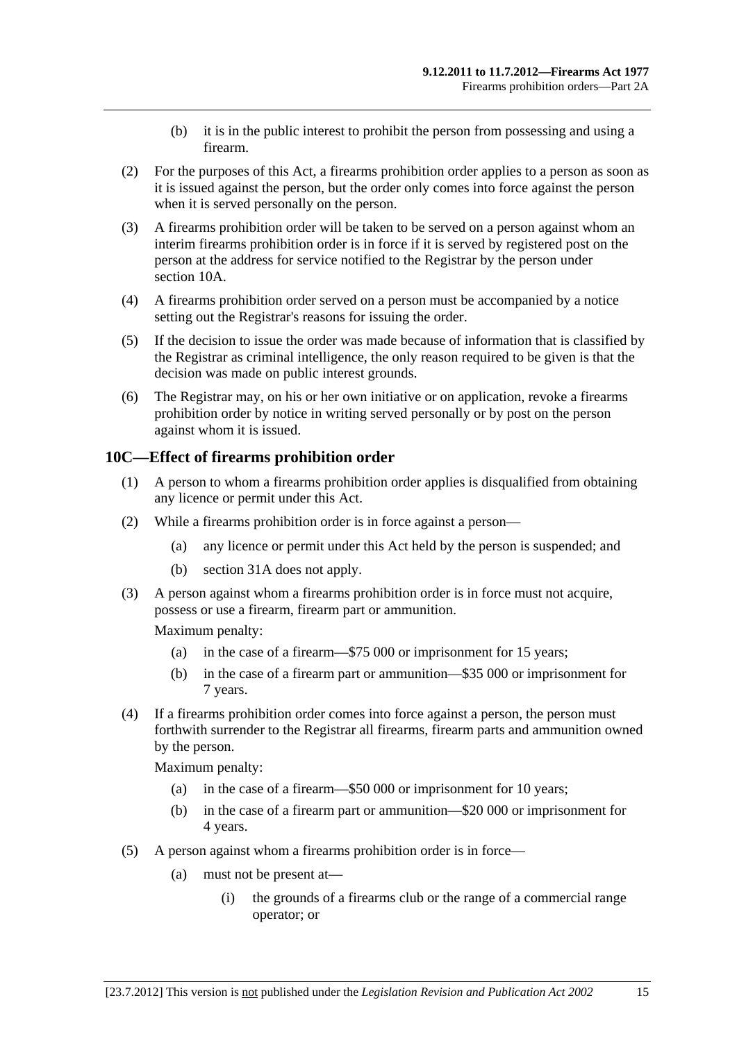- (b) it is in the public interest to prohibit the person from possessing and using a firearm.
- <span id="page-14-0"></span> (2) For the purposes of this Act, a firearms prohibition order applies to a person as soon as it is issued against the person, but the order only comes into force against the person when it is served personally on the person.
- (3) A firearms prohibition order will be taken to be served on a person against whom an interim firearms prohibition order is in force if it is served by registered post on the person at the address for service notified to the Registrar by the person under [section 10A](#page-13-0).
- (4) A firearms prohibition order served on a person must be accompanied by a notice setting out the Registrar's reasons for issuing the order.
- (5) If the decision to issue the order was made because of information that is classified by the Registrar as criminal intelligence, the only reason required to be given is that the decision was made on public interest grounds.
- (6) The Registrar may, on his or her own initiative or on application, revoke a firearms prohibition order by notice in writing served personally or by post on the person against whom it is issued.

## **10C—Effect of firearms prohibition order**

- (1) A person to whom a firearms prohibition order applies is disqualified from obtaining any licence or permit under this Act.
- (2) While a firearms prohibition order is in force against a person—
	- (a) any licence or permit under this Act held by the person is suspended; and
	- (b) [section 31A](#page-55-0) does not apply.
- (3) A person against whom a firearms prohibition order is in force must not acquire, possess or use a firearm, firearm part or ammunition.

Maximum penalty:

- (a) in the case of a firearm—\$75 000 or imprisonment for 15 years;
- (b) in the case of a firearm part or ammunition—\$35 000 or imprisonment for 7 years.
- (4) If a firearms prohibition order comes into force against a person, the person must forthwith surrender to the Registrar all firearms, firearm parts and ammunition owned by the person.

Maximum penalty:

- (a) in the case of a firearm—\$50 000 or imprisonment for 10 years;
- (b) in the case of a firearm part or ammunition—\$20 000 or imprisonment for 4 years.
- (5) A person against whom a firearms prohibition order is in force—
	- (a) must not be present at—
		- (i) the grounds of a firearms club or the range of a commercial range operator; or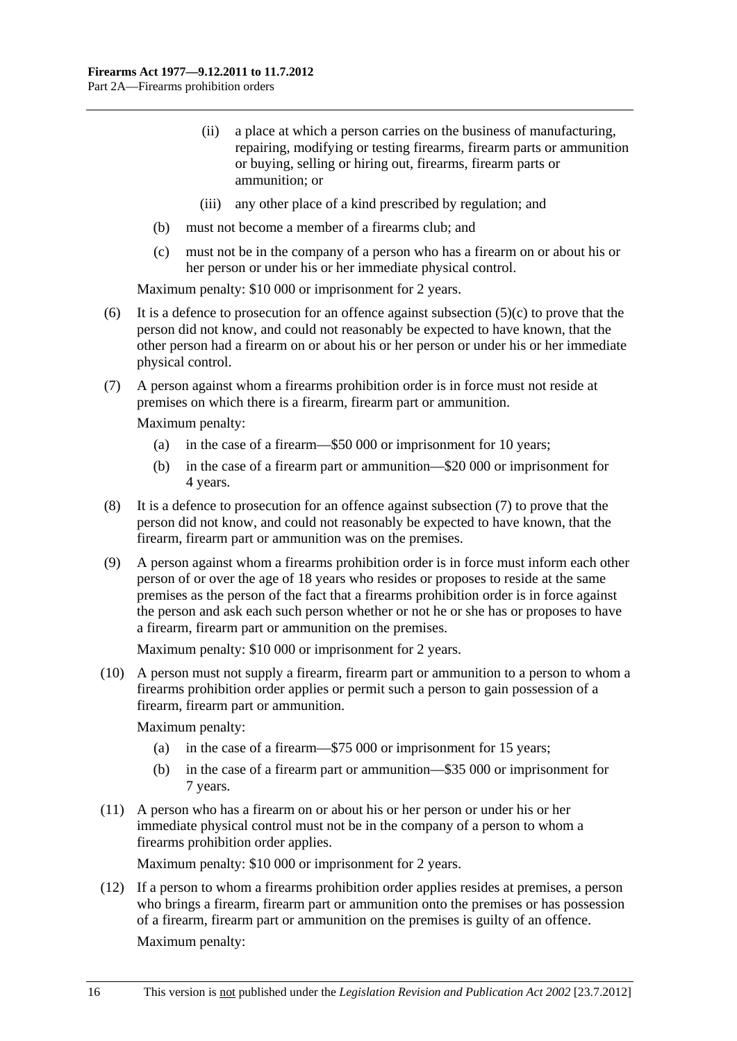- <span id="page-15-0"></span> (ii) a place at which a person carries on the business of manufacturing, repairing, modifying or testing firearms, firearm parts or ammunition or buying, selling or hiring out, firearms, firearm parts or ammunition; or
- (iii) any other place of a kind prescribed by regulation; and
- (b) must not become a member of a firearms club; and
- (c) must not be in the company of a person who has a firearm on or about his or her person or under his or her immediate physical control.

Maximum penalty: \$10 000 or imprisonment for 2 years.

- (6) It is a defence to prosecution for an offence against subsection  $(5)(c)$  to prove that the person did not know, and could not reasonably be expected to have known, that the other person had a firearm on or about his or her person or under his or her immediate physical control.
- (7) A person against whom a firearms prohibition order is in force must not reside at premises on which there is a firearm, firearm part or ammunition.

Maximum penalty:

- (a) in the case of a firearm—\$50 000 or imprisonment for 10 years;
- (b) in the case of a firearm part or ammunition—\$20 000 or imprisonment for 4 years.
- (8) It is a defence to prosecution for an offence against [subsection \(7\)](#page-15-0) to prove that the person did not know, and could not reasonably be expected to have known, that the firearm, firearm part or ammunition was on the premises.
- (9) A person against whom a firearms prohibition order is in force must inform each other person of or over the age of 18 years who resides or proposes to reside at the same premises as the person of the fact that a firearms prohibition order is in force against the person and ask each such person whether or not he or she has or proposes to have a firearm, firearm part or ammunition on the premises.

Maximum penalty: \$10 000 or imprisonment for 2 years.

 (10) A person must not supply a firearm, firearm part or ammunition to a person to whom a firearms prohibition order applies or permit such a person to gain possession of a firearm, firearm part or ammunition.

Maximum penalty:

- (a) in the case of a firearm—\$75 000 or imprisonment for 15 years;
- (b) in the case of a firearm part or ammunition—\$35 000 or imprisonment for 7 years.
- (11) A person who has a firearm on or about his or her person or under his or her immediate physical control must not be in the company of a person to whom a firearms prohibition order applies.

Maximum penalty: \$10 000 or imprisonment for 2 years.

 (12) If a person to whom a firearms prohibition order applies resides at premises, a person who brings a firearm, firearm part or ammunition onto the premises or has possession of a firearm, firearm part or ammunition on the premises is guilty of an offence. Maximum penalty: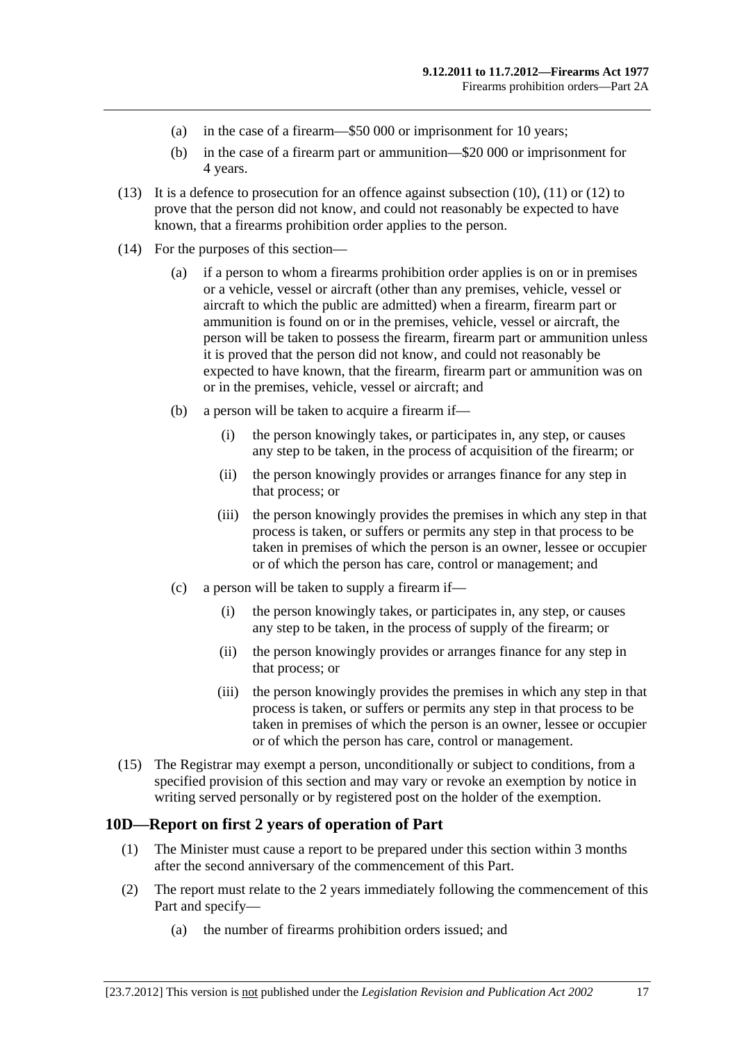- <span id="page-16-0"></span>(a) in the case of a firearm—\$50 000 or imprisonment for 10 years;
- (b) in the case of a firearm part or ammunition—\$20 000 or imprisonment for 4 years.
- (13) It is a defence to prosecution for an offence against [subsection \(10\), \(11\)](#page-15-0) or [\(12\)](#page-15-0) to prove that the person did not know, and could not reasonably be expected to have known, that a firearms prohibition order applies to the person.
- (14) For the purposes of this section—
	- (a) if a person to whom a firearms prohibition order applies is on or in premises or a vehicle, vessel or aircraft (other than any premises, vehicle, vessel or aircraft to which the public are admitted) when a firearm, firearm part or ammunition is found on or in the premises, vehicle, vessel or aircraft, the person will be taken to possess the firearm, firearm part or ammunition unless it is proved that the person did not know, and could not reasonably be expected to have known, that the firearm, firearm part or ammunition was on or in the premises, vehicle, vessel or aircraft; and
	- (b) a person will be taken to acquire a firearm if—
		- (i) the person knowingly takes, or participates in, any step, or causes any step to be taken, in the process of acquisition of the firearm; or
		- (ii) the person knowingly provides or arranges finance for any step in that process; or
		- (iii) the person knowingly provides the premises in which any step in that process is taken, or suffers or permits any step in that process to be taken in premises of which the person is an owner, lessee or occupier or of which the person has care, control or management; and
	- (c) a person will be taken to supply a firearm if—
		- (i) the person knowingly takes, or participates in, any step, or causes any step to be taken, in the process of supply of the firearm; or
		- (ii) the person knowingly provides or arranges finance for any step in that process; or
		- (iii) the person knowingly provides the premises in which any step in that process is taken, or suffers or permits any step in that process to be taken in premises of which the person is an owner, lessee or occupier or of which the person has care, control or management.
- (15) The Registrar may exempt a person, unconditionally or subject to conditions, from a specified provision of this section and may vary or revoke an exemption by notice in writing served personally or by registered post on the holder of the exemption.

## **10D—Report on first 2 years of operation of Part**

- (1) The Minister must cause a report to be prepared under this section within 3 months after the second anniversary of the commencement of this Part.
- (2) The report must relate to the 2 years immediately following the commencement of this Part and specify—
	- (a) the number of firearms prohibition orders issued; and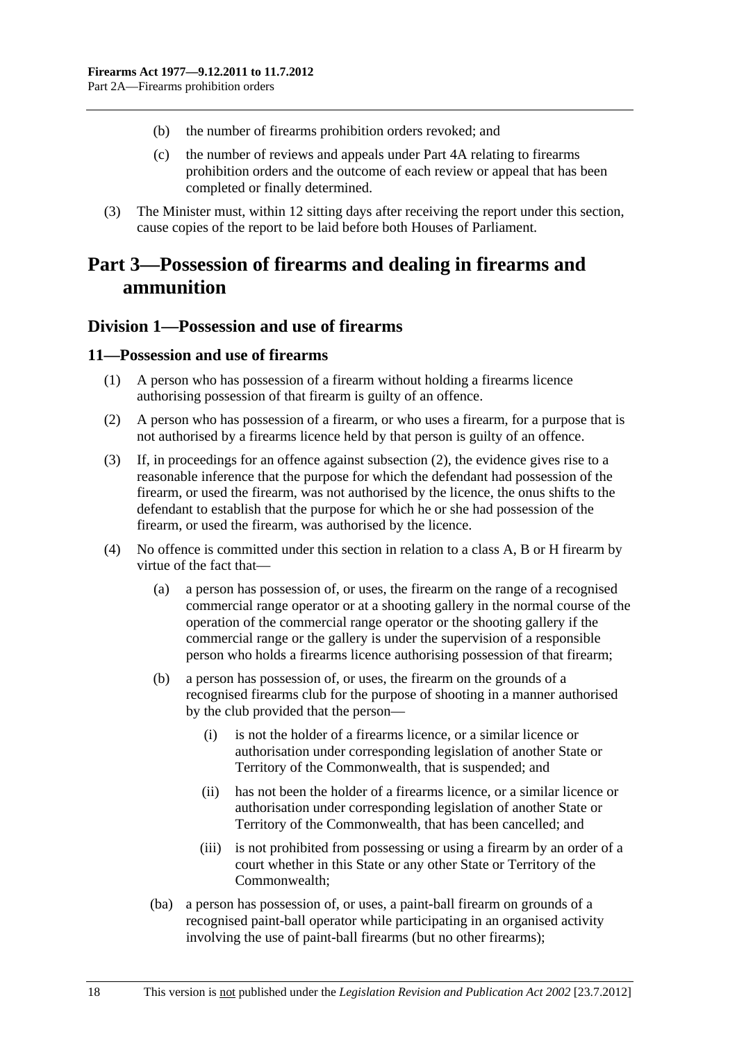- <span id="page-17-0"></span>(b) the number of firearms prohibition orders revoked; and
- (c) the number of reviews and appeals under [Part 4A](#page-48-0) relating to firearms prohibition orders and the outcome of each review or appeal that has been completed or finally determined.
- (3) The Minister must, within 12 sitting days after receiving the report under this section, cause copies of the report to be laid before both Houses of Parliament.

## **Part 3—Possession of firearms and dealing in firearms and ammunition**

## **Division 1—Possession and use of firearms**

#### **11—Possession and use of firearms**

- (1) A person who has possession of a firearm without holding a firearms licence authorising possession of that firearm is guilty of an offence.
- (2) A person who has possession of a firearm, or who uses a firearm, for a purpose that is not authorised by a firearms licence held by that person is guilty of an offence.
- (3) If, in proceedings for an offence against [subsection \(2\),](#page-17-0) the evidence gives rise to a reasonable inference that the purpose for which the defendant had possession of the firearm, or used the firearm, was not authorised by the licence, the onus shifts to the defendant to establish that the purpose for which he or she had possession of the firearm, or used the firearm, was authorised by the licence.
- (4) No offence is committed under this section in relation to a class A, B or H firearm by virtue of the fact that—
	- (a) a person has possession of, or uses, the firearm on the range of a recognised commercial range operator or at a shooting gallery in the normal course of the operation of the commercial range operator or the shooting gallery if the commercial range or the gallery is under the supervision of a responsible person who holds a firearms licence authorising possession of that firearm;
	- (b) a person has possession of, or uses, the firearm on the grounds of a recognised firearms club for the purpose of shooting in a manner authorised by the club provided that the person—
		- (i) is not the holder of a firearms licence, or a similar licence or authorisation under corresponding legislation of another State or Territory of the Commonwealth, that is suspended; and
		- (ii) has not been the holder of a firearms licence, or a similar licence or authorisation under corresponding legislation of another State or Territory of the Commonwealth, that has been cancelled; and
		- (iii) is not prohibited from possessing or using a firearm by an order of a court whether in this State or any other State or Territory of the Commonwealth;
	- (ba) a person has possession of, or uses, a paint-ball firearm on grounds of a recognised paint-ball operator while participating in an organised activity involving the use of paint-ball firearms (but no other firearms);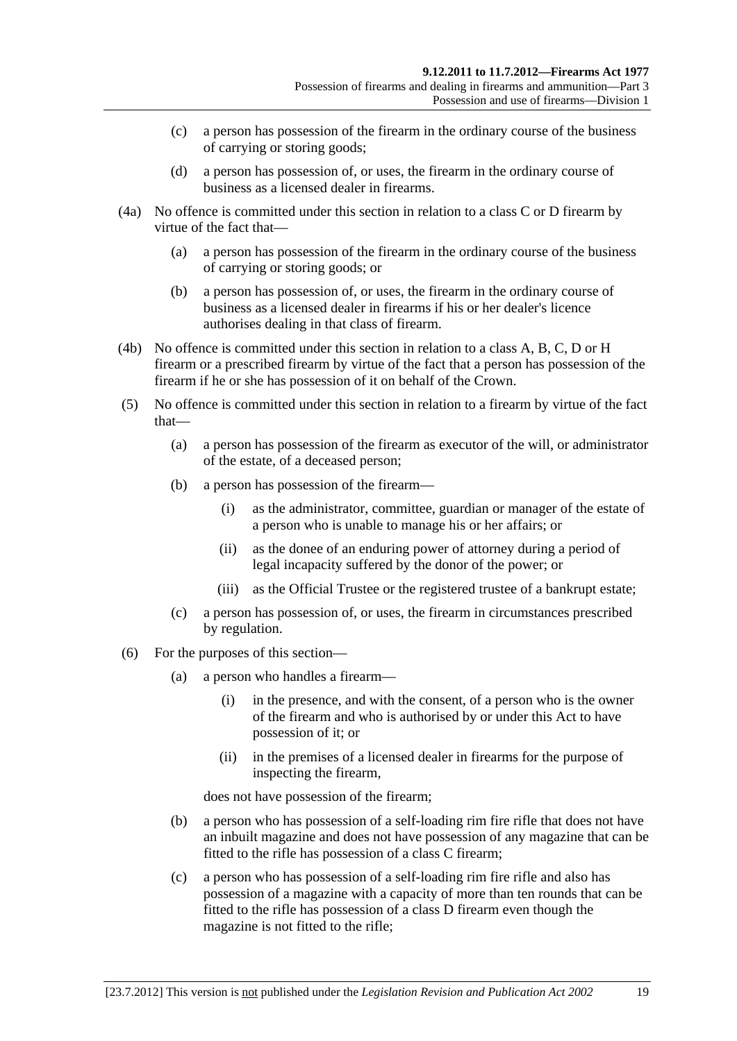- (c) a person has possession of the firearm in the ordinary course of the business of carrying or storing goods;
- (d) a person has possession of, or uses, the firearm in the ordinary course of business as a licensed dealer in firearms.
- (4a) No offence is committed under this section in relation to a class C or D firearm by virtue of the fact that—
	- (a) a person has possession of the firearm in the ordinary course of the business of carrying or storing goods; or
	- (b) a person has possession of, or uses, the firearm in the ordinary course of business as a licensed dealer in firearms if his or her dealer's licence authorises dealing in that class of firearm.
- (4b) No offence is committed under this section in relation to a class A, B, C, D or H firearm or a prescribed firearm by virtue of the fact that a person has possession of the firearm if he or she has possession of it on behalf of the Crown.
- (5) No offence is committed under this section in relation to a firearm by virtue of the fact that—
	- (a) a person has possession of the firearm as executor of the will, or administrator of the estate, of a deceased person;
	- (b) a person has possession of the firearm—
		- (i) as the administrator, committee, guardian or manager of the estate of a person who is unable to manage his or her affairs; or
		- (ii) as the donee of an enduring power of attorney during a period of legal incapacity suffered by the donor of the power; or
		- (iii) as the Official Trustee or the registered trustee of a bankrupt estate;
	- (c) a person has possession of, or uses, the firearm in circumstances prescribed by regulation.
- (6) For the purposes of this section—
	- (a) a person who handles a firearm—
		- (i) in the presence, and with the consent, of a person who is the owner of the firearm and who is authorised by or under this Act to have possession of it; or
		- (ii) in the premises of a licensed dealer in firearms for the purpose of inspecting the firearm,

does not have possession of the firearm;

- (b) a person who has possession of a self-loading rim fire rifle that does not have an inbuilt magazine and does not have possession of any magazine that can be fitted to the rifle has possession of a class C firearm;
- (c) a person who has possession of a self-loading rim fire rifle and also has possession of a magazine with a capacity of more than ten rounds that can be fitted to the rifle has possession of a class D firearm even though the magazine is not fitted to the rifle;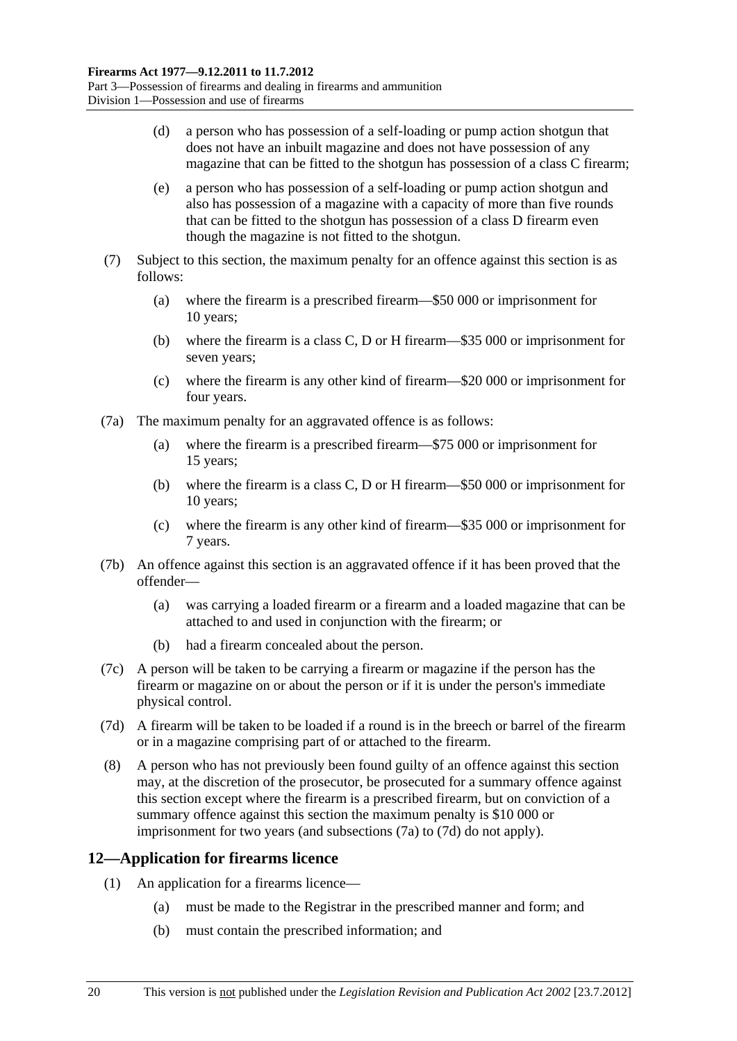- <span id="page-19-0"></span> (d) a person who has possession of a self-loading or pump action shotgun that does not have an inbuilt magazine and does not have possession of any magazine that can be fitted to the shotgun has possession of a class C firearm;
- (e) a person who has possession of a self-loading or pump action shotgun and also has possession of a magazine with a capacity of more than five rounds that can be fitted to the shotgun has possession of a class D firearm even though the magazine is not fitted to the shotgun.
- (7) Subject to this section, the maximum penalty for an offence against this section is as follows:
	- (a) where the firearm is a prescribed firearm—\$50 000 or imprisonment for 10 years;
	- (b) where the firearm is a class C, D or H firearm—\$35 000 or imprisonment for seven years;
	- (c) where the firearm is any other kind of firearm—\$20 000 or imprisonment for four years.
- (7a) The maximum penalty for an aggravated offence is as follows:
	- (a) where the firearm is a prescribed firearm—\$75 000 or imprisonment for 15 years;
	- (b) where the firearm is a class C, D or H firearm—\$50 000 or imprisonment for 10 years;
	- (c) where the firearm is any other kind of firearm—\$35 000 or imprisonment for 7 years.
- (7b) An offence against this section is an aggravated offence if it has been proved that the offender—
	- (a) was carrying a loaded firearm or a firearm and a loaded magazine that can be attached to and used in conjunction with the firearm; or
	- (b) had a firearm concealed about the person.
- (7c) A person will be taken to be carrying a firearm or magazine if the person has the firearm or magazine on or about the person or if it is under the person's immediate physical control.
- (7d) A firearm will be taken to be loaded if a round is in the breech or barrel of the firearm or in a magazine comprising part of or attached to the firearm.
- (8) A person who has not previously been found guilty of an offence against this section may, at the discretion of the prosecutor, be prosecuted for a summary offence against this section except where the firearm is a prescribed firearm, but on conviction of a summary offence against this section the maximum penalty is \$10 000 or imprisonment for two years (and [subsections \(7a\)](#page-19-0) to [\(7d\)](#page-19-0) do not apply).

## **12—Application for firearms licence**

- (1) An application for a firearms licence—
	- (a) must be made to the Registrar in the prescribed manner and form; and
	- (b) must contain the prescribed information; and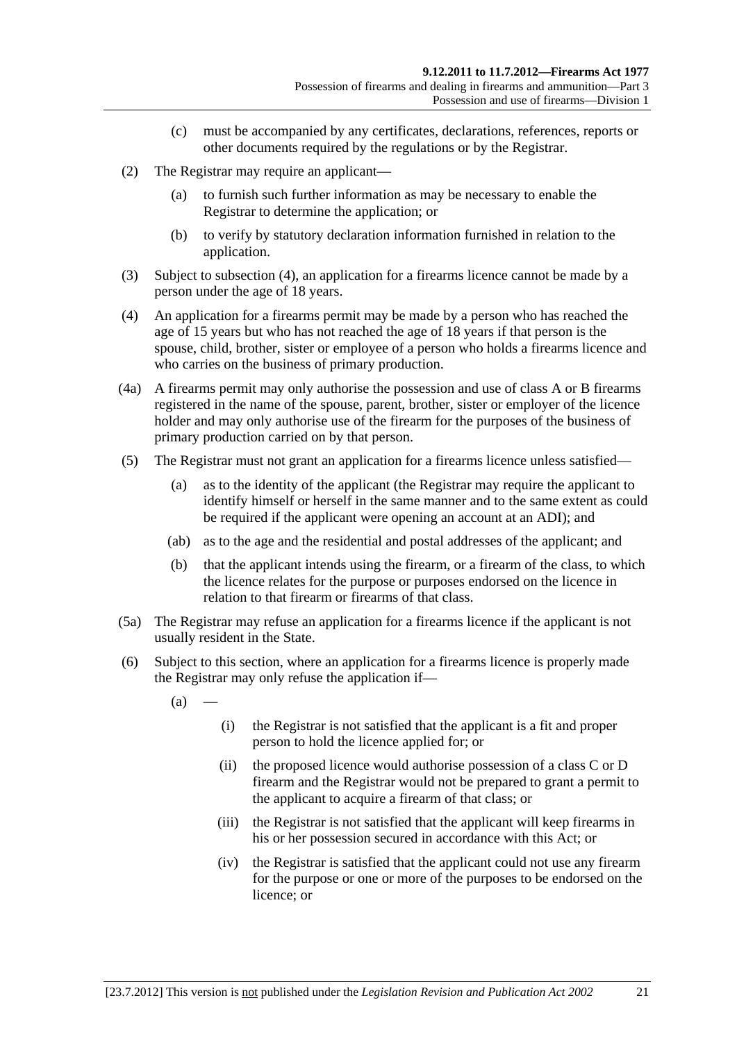- (c) must be accompanied by any certificates, declarations, references, reports or other documents required by the regulations or by the Registrar.
- <span id="page-20-0"></span> (2) The Registrar may require an applicant—
	- (a) to furnish such further information as may be necessary to enable the Registrar to determine the application; or
	- (b) to verify by statutory declaration information furnished in relation to the application.
- (3) Subject to [subsection \(4\),](#page-20-0) an application for a firearms licence cannot be made by a person under the age of 18 years.
- (4) An application for a firearms permit may be made by a person who has reached the age of 15 years but who has not reached the age of 18 years if that person is the spouse, child, brother, sister or employee of a person who holds a firearms licence and who carries on the business of primary production.
- (4a) A firearms permit may only authorise the possession and use of class A or B firearms registered in the name of the spouse, parent, brother, sister or employer of the licence holder and may only authorise use of the firearm for the purposes of the business of primary production carried on by that person.
- (5) The Registrar must not grant an application for a firearms licence unless satisfied—
	- (a) as to the identity of the applicant (the Registrar may require the applicant to identify himself or herself in the same manner and to the same extent as could be required if the applicant were opening an account at an ADI); and
	- (ab) as to the age and the residential and postal addresses of the applicant; and
	- (b) that the applicant intends using the firearm, or a firearm of the class, to which the licence relates for the purpose or purposes endorsed on the licence in relation to that firearm or firearms of that class.
- (5a) The Registrar may refuse an application for a firearms licence if the applicant is not usually resident in the State.
- (6) Subject to this section, where an application for a firearms licence is properly made the Registrar may only refuse the application if—
	- $(a)$
- (i) the Registrar is not satisfied that the applicant is a fit and proper person to hold the licence applied for; or
- (ii) the proposed licence would authorise possession of a class C or D firearm and the Registrar would not be prepared to grant a permit to the applicant to acquire a firearm of that class; or
- (iii) the Registrar is not satisfied that the applicant will keep firearms in his or her possession secured in accordance with this Act; or
- (iv) the Registrar is satisfied that the applicant could not use any firearm for the purpose or one or more of the purposes to be endorsed on the licence; or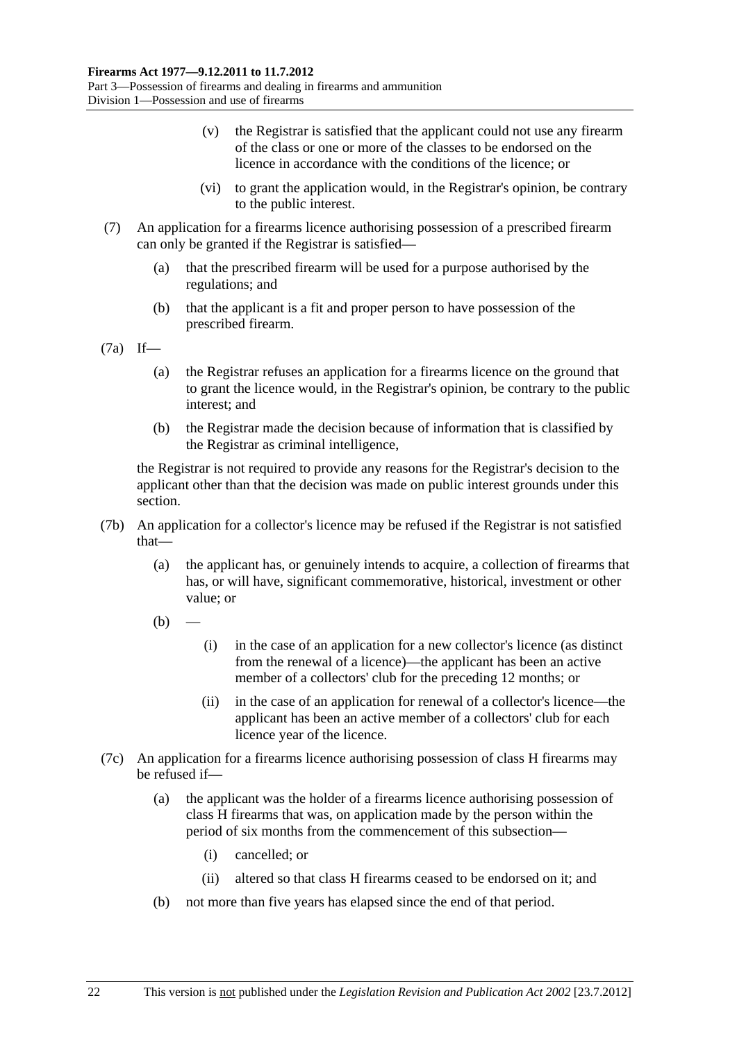- (v) the Registrar is satisfied that the applicant could not use any firearm of the class or one or more of the classes to be endorsed on the licence in accordance with the conditions of the licence; or
- (vi) to grant the application would, in the Registrar's opinion, be contrary to the public interest.
- (7) An application for a firearms licence authorising possession of a prescribed firearm can only be granted if the Registrar is satisfied—
	- (a) that the prescribed firearm will be used for a purpose authorised by the regulations; and
	- (b) that the applicant is a fit and proper person to have possession of the prescribed firearm.

(7a) If—

- (a) the Registrar refuses an application for a firearms licence on the ground that to grant the licence would, in the Registrar's opinion, be contrary to the public interest; and
- (b) the Registrar made the decision because of information that is classified by the Registrar as criminal intelligence,

the Registrar is not required to provide any reasons for the Registrar's decision to the applicant other than that the decision was made on public interest grounds under this section.

- (7b) An application for a collector's licence may be refused if the Registrar is not satisfied that—
	- (a) the applicant has, or genuinely intends to acquire, a collection of firearms that has, or will have, significant commemorative, historical, investment or other value; or
	- $(h)$ 
		- (i) in the case of an application for a new collector's licence (as distinct from the renewal of a licence)—the applicant has been an active member of a collectors' club for the preceding 12 months; or
		- (ii) in the case of an application for renewal of a collector's licence—the applicant has been an active member of a collectors' club for each licence year of the licence.
- (7c) An application for a firearms licence authorising possession of class H firearms may be refused if—
	- (a) the applicant was the holder of a firearms licence authorising possession of class H firearms that was, on application made by the person within the period of six months from the commencement of this subsection—
		- (i) cancelled; or
		- (ii) altered so that class H firearms ceased to be endorsed on it; and
	- (b) not more than five years has elapsed since the end of that period.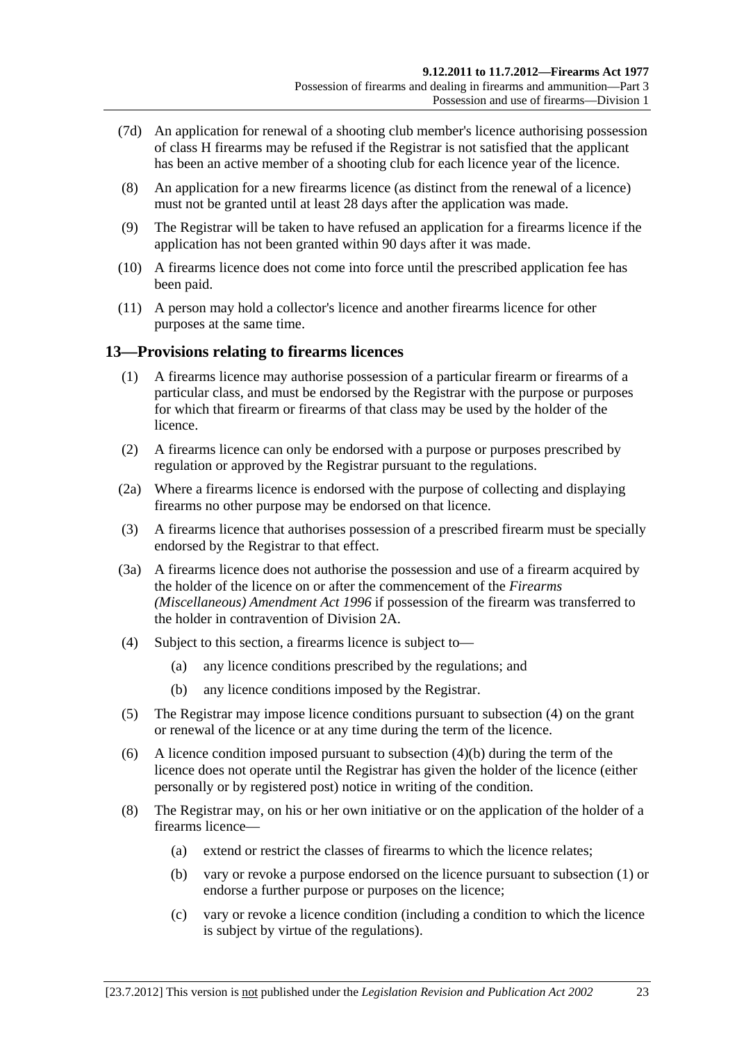- <span id="page-22-0"></span> (7d) An application for renewal of a shooting club member's licence authorising possession of class H firearms may be refused if the Registrar is not satisfied that the applicant has been an active member of a shooting club for each licence year of the licence.
- (8) An application for a new firearms licence (as distinct from the renewal of a licence) must not be granted until at least 28 days after the application was made.
- (9) The Registrar will be taken to have refused an application for a firearms licence if the application has not been granted within 90 days after it was made.
- (10) A firearms licence does not come into force until the prescribed application fee has been paid.
- (11) A person may hold a collector's licence and another firearms licence for other purposes at the same time.

## **13—Provisions relating to firearms licences**

- (1) A firearms licence may authorise possession of a particular firearm or firearms of a particular class, and must be endorsed by the Registrar with the purpose or purposes for which that firearm or firearms of that class may be used by the holder of the licence.
- (2) A firearms licence can only be endorsed with a purpose or purposes prescribed by regulation or approved by the Registrar pursuant to the regulations.
- (2a) Where a firearms licence is endorsed with the purpose of collecting and displaying firearms no other purpose may be endorsed on that licence.
- (3) A firearms licence that authorises possession of a prescribed firearm must be specially endorsed by the Registrar to that effect.
- (3a) A firearms licence does not authorise the possession and use of a firearm acquired by the holder of the licence on or after the commencement of the *[Firearms](http://www.legislation.sa.gov.au/index.aspx?action=legref&type=act&legtitle=Firearms%20(Miscellaneous)%20Amendment%20Act%201996)  [\(Miscellaneous\) Amendment Act 1996](http://www.legislation.sa.gov.au/index.aspx?action=legref&type=act&legtitle=Firearms%20(Miscellaneous)%20Amendment%20Act%201996)* if possession of the firearm was transferred to the holder in contravention of [Division 2A](#page-30-0).
- (4) Subject to this section, a firearms licence is subject to—
	- (a) any licence conditions prescribed by the regulations; and
	- (b) any licence conditions imposed by the Registrar.
- (5) The Registrar may impose licence conditions pursuant to [subsection \(4\)](#page-22-0) on the grant or renewal of the licence or at any time during the term of the licence.
- (6) A licence condition imposed pursuant to [subsection \(4\)\(b\)](#page-22-0) during the term of the licence does not operate until the Registrar has given the holder of the licence (either personally or by registered post) notice in writing of the condition.
- (8) The Registrar may, on his or her own initiative or on the application of the holder of a firearms licence—
	- (a) extend or restrict the classes of firearms to which the licence relates;
	- (b) vary or revoke a purpose endorsed on the licence pursuant to [subsection \(1\)](#page-22-0) or endorse a further purpose or purposes on the licence;
	- (c) vary or revoke a licence condition (including a condition to which the licence is subject by virtue of the regulations).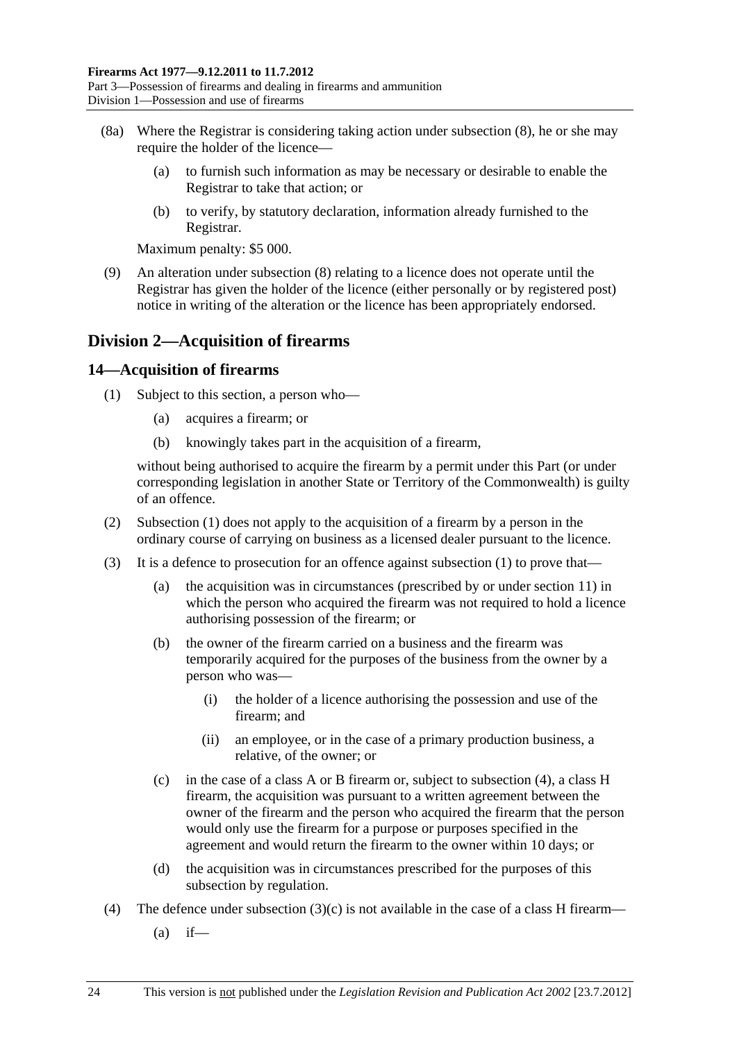- <span id="page-23-0"></span> (8a) Where the Registrar is considering taking action under [subsection \(8\),](#page-22-0) he or she may require the holder of the licence—
	- (a) to furnish such information as may be necessary or desirable to enable the Registrar to take that action; or
	- (b) to verify, by statutory declaration, information already furnished to the Registrar.

Maximum penalty: \$5 000.

 (9) An alteration under [subsection \(8\)](#page-22-0) relating to a licence does not operate until the Registrar has given the holder of the licence (either personally or by registered post) notice in writing of the alteration or the licence has been appropriately endorsed.

## **Division 2—Acquisition of firearms**

## **14—Acquisition of firearms**

- (1) Subject to this section, a person who—
	- (a) acquires a firearm; or
	- (b) knowingly takes part in the acquisition of a firearm,

without being authorised to acquire the firearm by a permit under this Part (or under corresponding legislation in another State or Territory of the Commonwealth) is guilty of an offence.

- (2) [Subsection \(1\)](#page-23-0) does not apply to the acquisition of a firearm by a person in the ordinary course of carrying on business as a licensed dealer pursuant to the licence.
- (3) It is a defence to prosecution for an offence against [subsection \(1\)](#page-23-0) to prove that—
	- (a) the acquisition was in circumstances (prescribed by or under [section 11\)](#page-17-0) in which the person who acquired the firearm was not required to hold a licence authorising possession of the firearm; or
	- (b) the owner of the firearm carried on a business and the firearm was temporarily acquired for the purposes of the business from the owner by a person who was—
		- (i) the holder of a licence authorising the possession and use of the firearm; and
		- (ii) an employee, or in the case of a primary production business, a relative, of the owner; or
	- (c) in the case of a class A or B firearm or, subject to [subsection \(4\),](#page-23-0) a class H firearm, the acquisition was pursuant to a written agreement between the owner of the firearm and the person who acquired the firearm that the person would only use the firearm for a purpose or purposes specified in the agreement and would return the firearm to the owner within 10 days; or
	- (d) the acquisition was in circumstances prescribed for the purposes of this subsection by regulation.
- (4) The defence under subsection  $(3)(c)$  is not available in the case of a class H firearm—
	- $(a)$  if—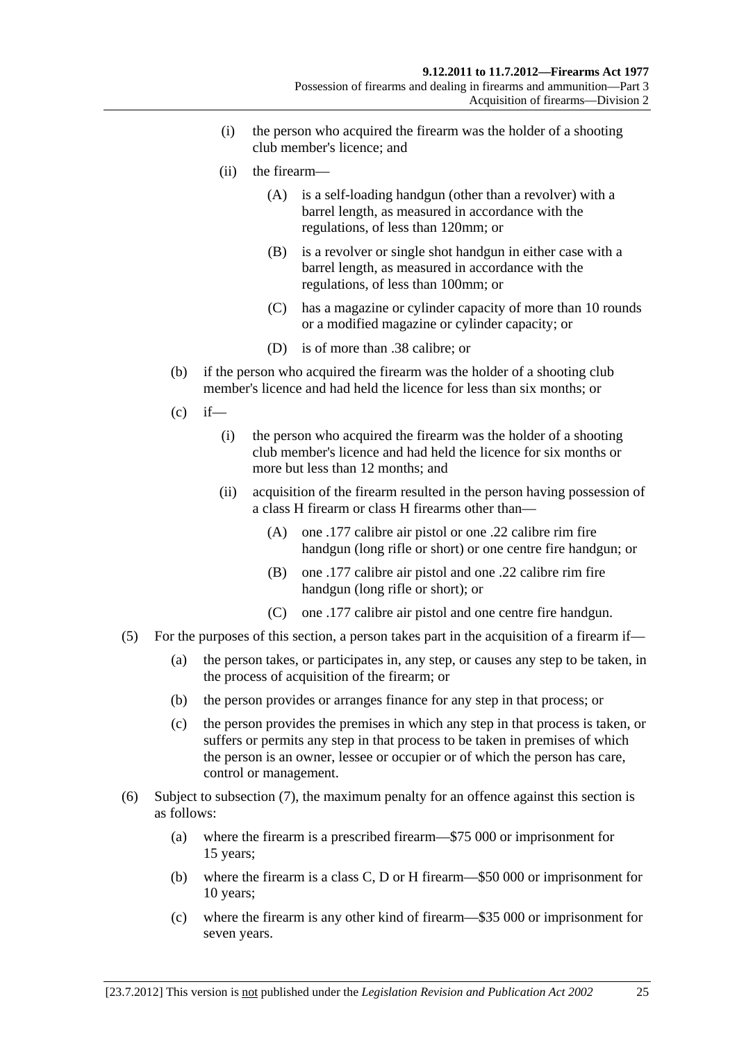- (i) the person who acquired the firearm was the holder of a shooting club member's licence; and
- (ii) the firearm—
	- (A) is a self-loading handgun (other than a revolver) with a barrel length, as measured in accordance with the regulations, of less than 120mm; or
	- (B) is a revolver or single shot handgun in either case with a barrel length, as measured in accordance with the regulations, of less than 100mm; or
	- (C) has a magazine or cylinder capacity of more than 10 rounds or a modified magazine or cylinder capacity; or
	- (D) is of more than .38 calibre; or
- (b) if the person who acquired the firearm was the holder of a shooting club member's licence and had held the licence for less than six months; or
- $(c)$  if—
	- (i) the person who acquired the firearm was the holder of a shooting club member's licence and had held the licence for six months or more but less than 12 months; and
	- (ii) acquisition of the firearm resulted in the person having possession of a class H firearm or class H firearms other than—
		- (A) one .177 calibre air pistol or one .22 calibre rim fire handgun (long rifle or short) or one centre fire handgun; or
		- (B) one .177 calibre air pistol and one .22 calibre rim fire handgun (long rifle or short); or
		- (C) one .177 calibre air pistol and one centre fire handgun.
- (5) For the purposes of this section, a person takes part in the acquisition of a firearm if—
	- (a) the person takes, or participates in, any step, or causes any step to be taken, in the process of acquisition of the firearm; or
	- (b) the person provides or arranges finance for any step in that process; or
	- (c) the person provides the premises in which any step in that process is taken, or suffers or permits any step in that process to be taken in premises of which the person is an owner, lessee or occupier or of which the person has care, control or management.
- (6) Subject to [subsection \(7\),](#page-25-0) the maximum penalty for an offence against this section is as follows:
	- (a) where the firearm is a prescribed firearm—\$75 000 or imprisonment for 15 years;
	- (b) where the firearm is a class C, D or H firearm—\$50 000 or imprisonment for 10 years;
	- (c) where the firearm is any other kind of firearm—\$35 000 or imprisonment for seven years.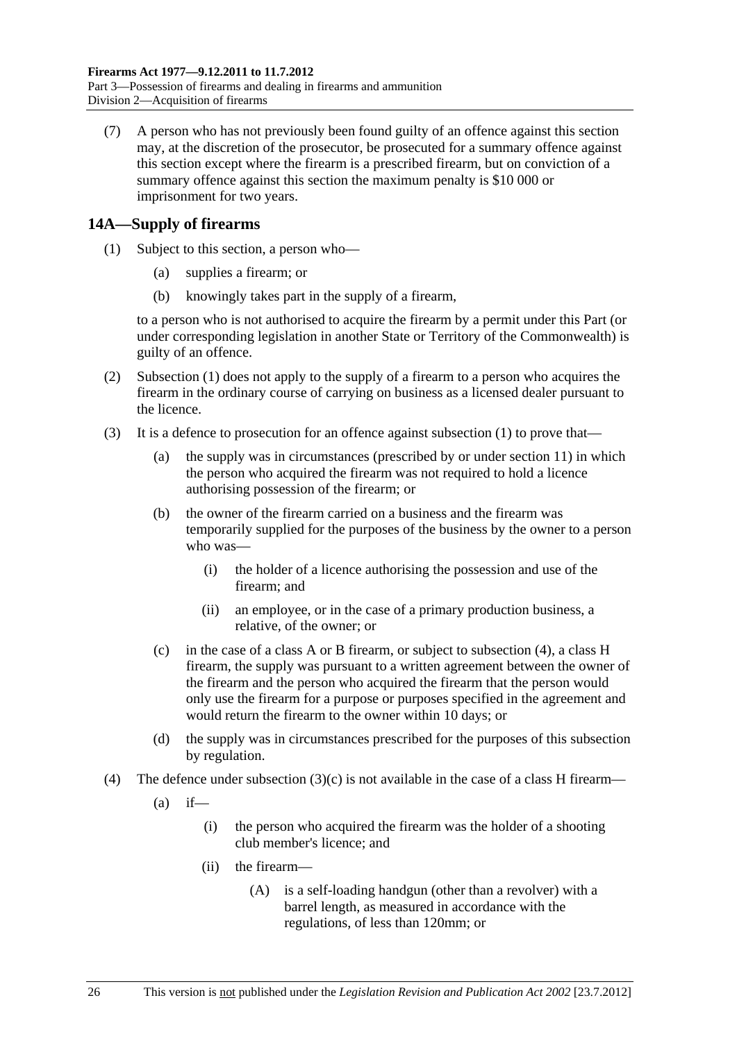<span id="page-25-0"></span> (7) A person who has not previously been found guilty of an offence against this section may, at the discretion of the prosecutor, be prosecuted for a summary offence against this section except where the firearm is a prescribed firearm, but on conviction of a summary offence against this section the maximum penalty is \$10 000 or imprisonment for two years.

## **14A—Supply of firearms**

- (1) Subject to this section, a person who—
	- (a) supplies a firearm; or
	- (b) knowingly takes part in the supply of a firearm,

to a person who is not authorised to acquire the firearm by a permit under this Part (or under corresponding legislation in another State or Territory of the Commonwealth) is guilty of an offence.

- (2) [Subsection \(1\)](#page-25-0) does not apply to the supply of a firearm to a person who acquires the firearm in the ordinary course of carrying on business as a licensed dealer pursuant to the licence.
- (3) It is a defence to prosecution for an offence against [subsection \(1\)](#page-25-0) to prove that—
	- (a) the supply was in circumstances (prescribed by or under [section 11\)](#page-17-0) in which the person who acquired the firearm was not required to hold a licence authorising possession of the firearm; or
	- (b) the owner of the firearm carried on a business and the firearm was temporarily supplied for the purposes of the business by the owner to a person who was—
		- (i) the holder of a licence authorising the possession and use of the firearm; and
		- (ii) an employee, or in the case of a primary production business, a relative, of the owner; or
	- (c) in the case of a class A or B firearm, or subject to [subsection \(4\),](#page-25-0) a class H firearm, the supply was pursuant to a written agreement between the owner of the firearm and the person who acquired the firearm that the person would only use the firearm for a purpose or purposes specified in the agreement and would return the firearm to the owner within 10 days; or
	- (d) the supply was in circumstances prescribed for the purposes of this subsection by regulation.
- (4) The defence under subsection  $(3)(c)$  is not available in the case of a class H firearm—
	- $(a)$  if—
		- (i) the person who acquired the firearm was the holder of a shooting club member's licence; and
		- (ii) the firearm—
			- (A) is a self-loading handgun (other than a revolver) with a barrel length, as measured in accordance with the regulations, of less than 120mm; or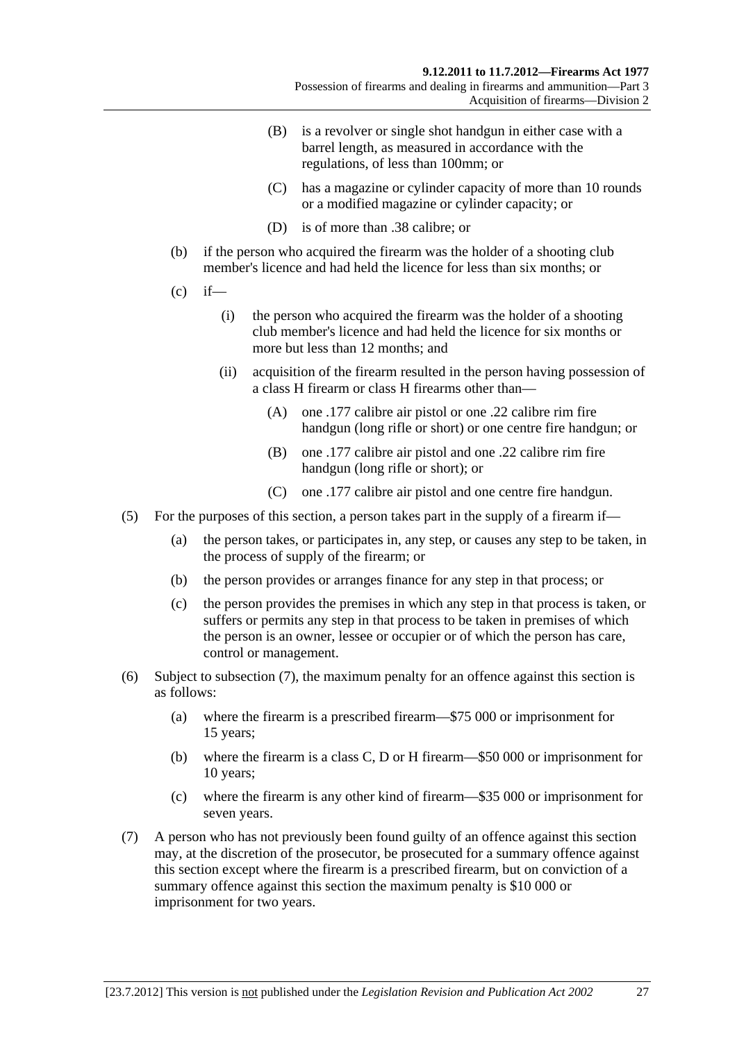- <span id="page-26-0"></span> (B) is a revolver or single shot handgun in either case with a barrel length, as measured in accordance with the regulations, of less than 100mm; or
- (C) has a magazine or cylinder capacity of more than 10 rounds or a modified magazine or cylinder capacity; or
- (D) is of more than .38 calibre; or
- (b) if the person who acquired the firearm was the holder of a shooting club member's licence and had held the licence for less than six months; or
- $(c)$  if—
	- (i) the person who acquired the firearm was the holder of a shooting club member's licence and had held the licence for six months or more but less than 12 months; and
	- (ii) acquisition of the firearm resulted in the person having possession of a class H firearm or class H firearms other than—
		- (A) one .177 calibre air pistol or one .22 calibre rim fire handgun (long rifle or short) or one centre fire handgun; or
		- (B) one .177 calibre air pistol and one .22 calibre rim fire handgun (long rifle or short); or
		- (C) one .177 calibre air pistol and one centre fire handgun.
- (5) For the purposes of this section, a person takes part in the supply of a firearm if—
	- (a) the person takes, or participates in, any step, or causes any step to be taken, in the process of supply of the firearm; or
	- (b) the person provides or arranges finance for any step in that process; or
	- (c) the person provides the premises in which any step in that process is taken, or suffers or permits any step in that process to be taken in premises of which the person is an owner, lessee or occupier or of which the person has care, control or management.
- (6) Subject to [subsection \(7\),](#page-26-0) the maximum penalty for an offence against this section is as follows:
	- (a) where the firearm is a prescribed firearm—\$75 000 or imprisonment for 15 years;
	- (b) where the firearm is a class C, D or H firearm—\$50 000 or imprisonment for 10 years;
	- (c) where the firearm is any other kind of firearm—\$35 000 or imprisonment for seven years.
- (7) A person who has not previously been found guilty of an offence against this section may, at the discretion of the prosecutor, be prosecuted for a summary offence against this section except where the firearm is a prescribed firearm, but on conviction of a summary offence against this section the maximum penalty is \$10 000 or imprisonment for two years.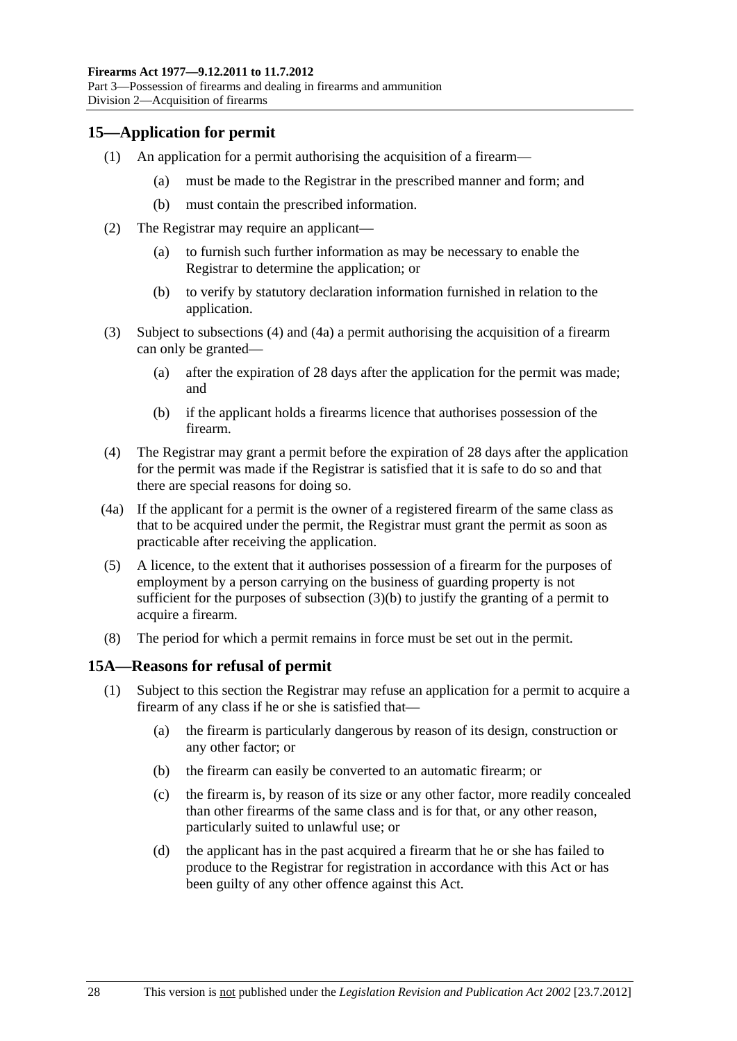<span id="page-27-0"></span>Part 3—Possession of firearms and dealing in firearms and ammunition Division 2—Acquisition of firearms

## **15—Application for permit**

- (1) An application for a permit authorising the acquisition of a firearm—
	- (a) must be made to the Registrar in the prescribed manner and form; and
	- (b) must contain the prescribed information.
- (2) The Registrar may require an applicant—
	- (a) to furnish such further information as may be necessary to enable the Registrar to determine the application; or
	- (b) to verify by statutory declaration information furnished in relation to the application.
- (3) Subject to [subsections \(4\)](#page-27-0) and [\(4a\)](#page-27-0) a permit authorising the acquisition of a firearm can only be granted—
	- (a) after the expiration of 28 days after the application for the permit was made; and
	- (b) if the applicant holds a firearms licence that authorises possession of the firearm.
- (4) The Registrar may grant a permit before the expiration of 28 days after the application for the permit was made if the Registrar is satisfied that it is safe to do so and that there are special reasons for doing so.
- (4a) If the applicant for a permit is the owner of a registered firearm of the same class as that to be acquired under the permit, the Registrar must grant the permit as soon as practicable after receiving the application.
- (5) A licence, to the extent that it authorises possession of a firearm for the purposes of employment by a person carrying on the business of guarding property is not sufficient for the purposes of subsection  $(3)(b)$  to justify the granting of a permit to acquire a firearm.
- (8) The period for which a permit remains in force must be set out in the permit.

## **15A—Reasons for refusal of permit**

- (1) Subject to this section the Registrar may refuse an application for a permit to acquire a firearm of any class if he or she is satisfied that—
	- (a) the firearm is particularly dangerous by reason of its design, construction or any other factor; or
	- (b) the firearm can easily be converted to an automatic firearm; or
	- (c) the firearm is, by reason of its size or any other factor, more readily concealed than other firearms of the same class and is for that, or any other reason, particularly suited to unlawful use; or
	- (d) the applicant has in the past acquired a firearm that he or she has failed to produce to the Registrar for registration in accordance with this Act or has been guilty of any other offence against this Act.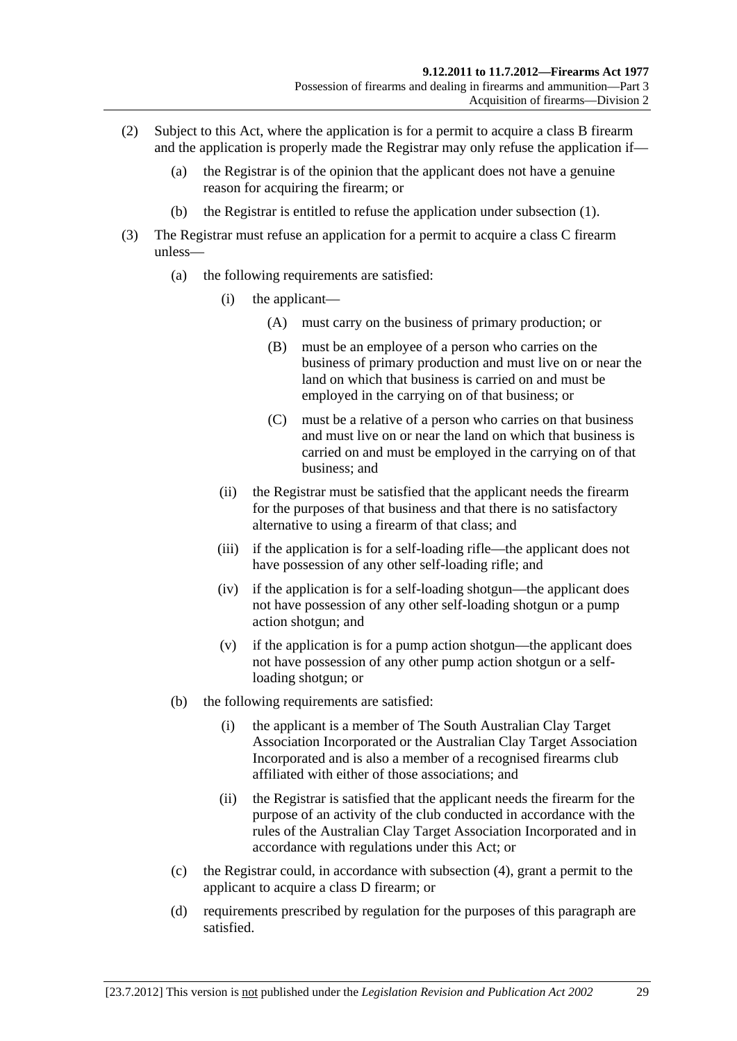- (2) Subject to this Act, where the application is for a permit to acquire a class B firearm and the application is properly made the Registrar may only refuse the application if—
	- (a) the Registrar is of the opinion that the applicant does not have a genuine reason for acquiring the firearm; or
	- (b) the Registrar is entitled to refuse the application under [subsection \(1\).](#page-27-0)
- (3) The Registrar must refuse an application for a permit to acquire a class C firearm unless—
	- (a) the following requirements are satisfied:
		- (i) the applicant—
			- (A) must carry on the business of primary production; or
			- (B) must be an employee of a person who carries on the business of primary production and must live on or near the land on which that business is carried on and must be employed in the carrying on of that business; or
			- (C) must be a relative of a person who carries on that business and must live on or near the land on which that business is carried on and must be employed in the carrying on of that business; and
		- (ii) the Registrar must be satisfied that the applicant needs the firearm for the purposes of that business and that there is no satisfactory alternative to using a firearm of that class; and
		- (iii) if the application is for a self-loading rifle—the applicant does not have possession of any other self-loading rifle; and
		- (iv) if the application is for a self-loading shotgun—the applicant does not have possession of any other self-loading shotgun or a pump action shotgun; and
		- (v) if the application is for a pump action shotgun—the applicant does not have possession of any other pump action shotgun or a selfloading shotgun; or
	- (b) the following requirements are satisfied:
		- (i) the applicant is a member of The South Australian Clay Target Association Incorporated or the Australian Clay Target Association Incorporated and is also a member of a recognised firearms club affiliated with either of those associations; and
		- (ii) the Registrar is satisfied that the applicant needs the firearm for the purpose of an activity of the club conducted in accordance with the rules of the Australian Clay Target Association Incorporated and in accordance with regulations under this Act; or
	- (c) the Registrar could, in accordance with [subsection \(4\)](#page-29-0), grant a permit to the applicant to acquire a class D firearm; or
	- (d) requirements prescribed by regulation for the purposes of this paragraph are satisfied.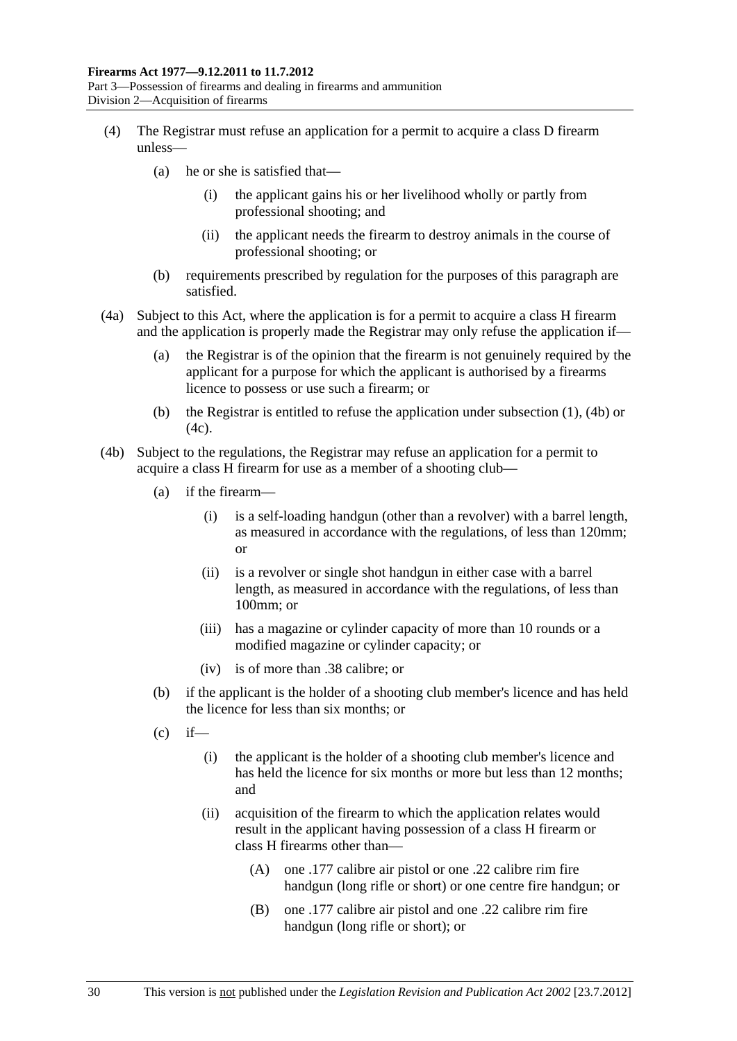- <span id="page-29-0"></span> (4) The Registrar must refuse an application for a permit to acquire a class D firearm unless—
	- (a) he or she is satisfied that—
		- (i) the applicant gains his or her livelihood wholly or partly from professional shooting; and
		- (ii) the applicant needs the firearm to destroy animals in the course of professional shooting; or
	- (b) requirements prescribed by regulation for the purposes of this paragraph are satisfied.
- (4a) Subject to this Act, where the application is for a permit to acquire a class H firearm and the application is properly made the Registrar may only refuse the application if—
	- (a) the Registrar is of the opinion that the firearm is not genuinely required by the applicant for a purpose for which the applicant is authorised by a firearms licence to possess or use such a firearm; or
	- (b) the Registrar is entitled to refuse the application under [subsection \(1\),](#page-27-0) [\(4b\)](#page-29-0) or  $(4c)$ .
- (4b) Subject to the regulations, the Registrar may refuse an application for a permit to acquire a class H firearm for use as a member of a shooting club—
	- (a) if the firearm—
		- (i) is a self-loading handgun (other than a revolver) with a barrel length, as measured in accordance with the regulations, of less than 120mm; or
		- (ii) is a revolver or single shot handgun in either case with a barrel length, as measured in accordance with the regulations, of less than 100mm; or
		- (iii) has a magazine or cylinder capacity of more than 10 rounds or a modified magazine or cylinder capacity; or
		- (iv) is of more than .38 calibre; or
	- (b) if the applicant is the holder of a shooting club member's licence and has held the licence for less than six months; or
	- $(c)$  if—
		- (i) the applicant is the holder of a shooting club member's licence and has held the licence for six months or more but less than 12 months; and
		- (ii) acquisition of the firearm to which the application relates would result in the applicant having possession of a class H firearm or class H firearms other than—
			- (A) one .177 calibre air pistol or one .22 calibre rim fire handgun (long rifle or short) or one centre fire handgun; or
			- (B) one .177 calibre air pistol and one .22 calibre rim fire handgun (long rifle or short); or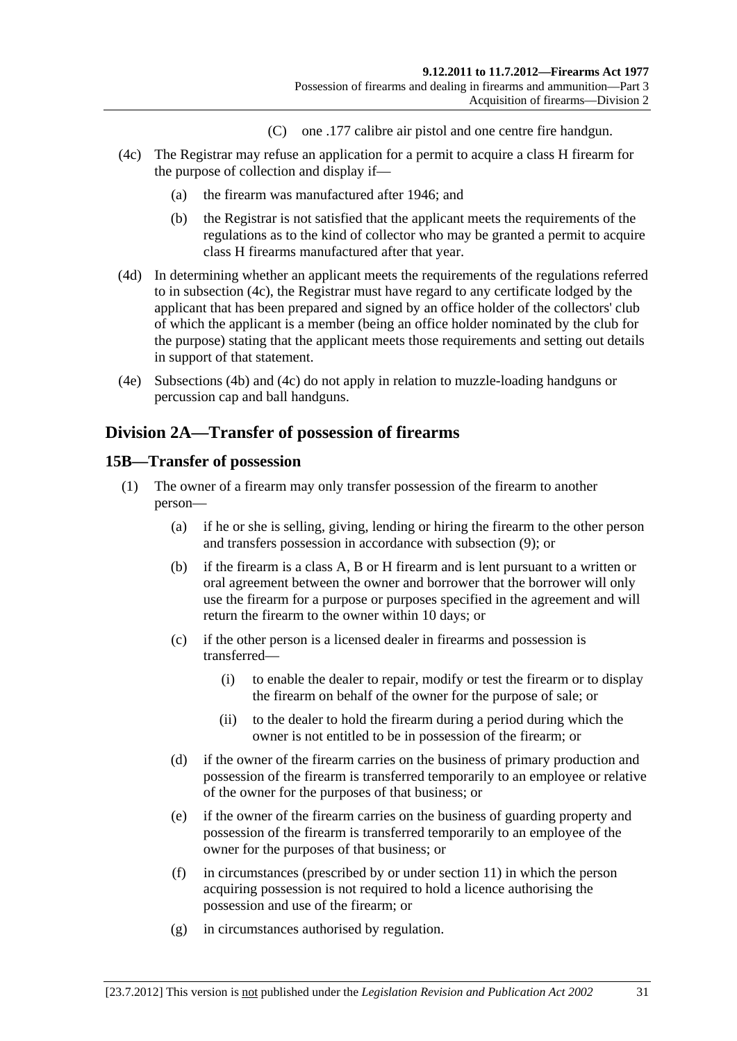- (C) one .177 calibre air pistol and one centre fire handgun.
- <span id="page-30-0"></span> (4c) The Registrar may refuse an application for a permit to acquire a class H firearm for the purpose of collection and display if—
	- (a) the firearm was manufactured after 1946; and
	- (b) the Registrar is not satisfied that the applicant meets the requirements of the regulations as to the kind of collector who may be granted a permit to acquire class H firearms manufactured after that year.
- (4d) In determining whether an applicant meets the requirements of the regulations referred to in [subsection \(4c\)](#page-30-0), the Registrar must have regard to any certificate lodged by the applicant that has been prepared and signed by an office holder of the collectors' club of which the applicant is a member (being an office holder nominated by the club for the purpose) stating that the applicant meets those requirements and setting out details in support of that statement.
- (4e) [Subsections \(4b\)](#page-29-0) and [\(4c\)](#page-30-0) do not apply in relation to muzzle-loading handguns or percussion cap and ball handguns.

## **Division 2A—Transfer of possession of firearms**

#### **15B—Transfer of possession**

- (1) The owner of a firearm may only transfer possession of the firearm to another person—
	- (a) if he or she is selling, giving, lending or hiring the firearm to the other person and transfers possession in accordance with [subsection \(9\)](#page-32-0); or
	- (b) if the firearm is a class A, B or H firearm and is lent pursuant to a written or oral agreement between the owner and borrower that the borrower will only use the firearm for a purpose or purposes specified in the agreement and will return the firearm to the owner within 10 days; or
	- (c) if the other person is a licensed dealer in firearms and possession is transferred—
		- (i) to enable the dealer to repair, modify or test the firearm or to display the firearm on behalf of the owner for the purpose of sale; or
		- (ii) to the dealer to hold the firearm during a period during which the owner is not entitled to be in possession of the firearm; or
	- (d) if the owner of the firearm carries on the business of primary production and possession of the firearm is transferred temporarily to an employee or relative of the owner for the purposes of that business; or
	- (e) if the owner of the firearm carries on the business of guarding property and possession of the firearm is transferred temporarily to an employee of the owner for the purposes of that business; or
	- (f) in circumstances (prescribed by or under [section 11\)](#page-17-0) in which the person acquiring possession is not required to hold a licence authorising the possession and use of the firearm; or
	- (g) in circumstances authorised by regulation.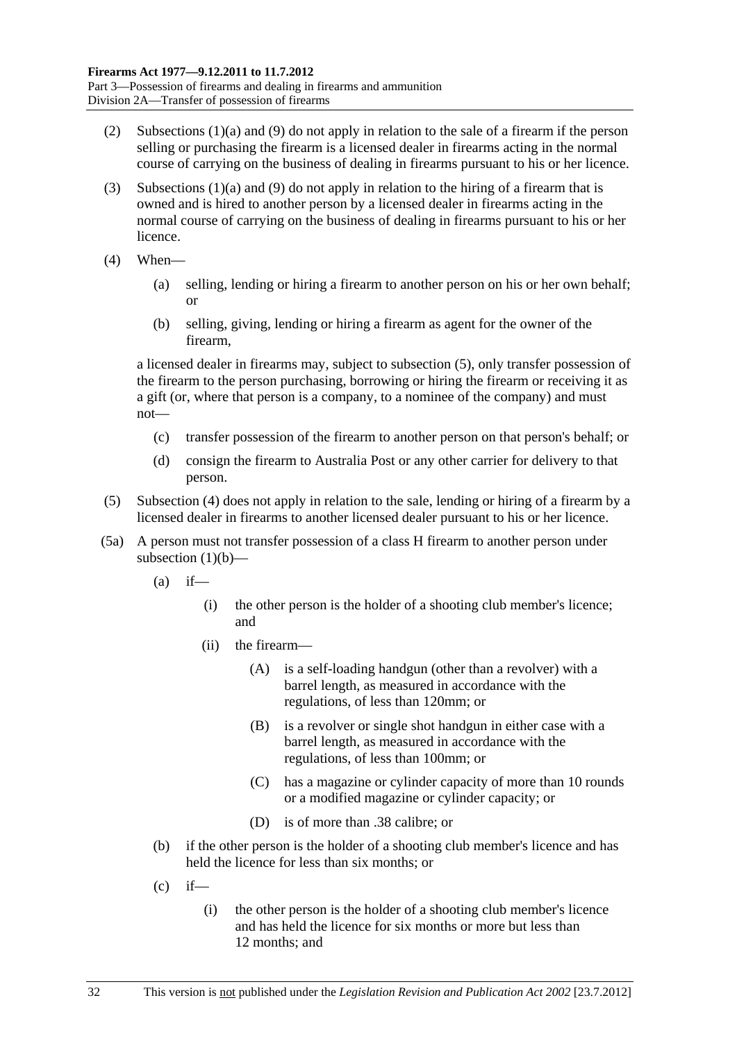- <span id="page-31-0"></span> (2) [Subsections \(1\)\(a\)](#page-30-0) and [\(9\)](#page-32-0) do not apply in relation to the sale of a firearm if the person selling or purchasing the firearm is a licensed dealer in firearms acting in the normal course of carrying on the business of dealing in firearms pursuant to his or her licence.
- (3) [Subsections \(1\)\(a\)](#page-30-0) and [\(9\)](#page-32-0) do not apply in relation to the hiring of a firearm that is owned and is hired to another person by a licensed dealer in firearms acting in the normal course of carrying on the business of dealing in firearms pursuant to his or her licence.
- (4) When—
	- (a) selling, lending or hiring a firearm to another person on his or her own behalf; or
	- (b) selling, giving, lending or hiring a firearm as agent for the owner of the firearm,

a licensed dealer in firearms may, subject to [subsection \(5\),](#page-31-0) only transfer possession of the firearm to the person purchasing, borrowing or hiring the firearm or receiving it as a gift (or, where that person is a company, to a nominee of the company) and must not—

- (c) transfer possession of the firearm to another person on that person's behalf; or
- (d) consign the firearm to Australia Post or any other carrier for delivery to that person.
- (5) [Subsection \(4\)](#page-31-0) does not apply in relation to the sale, lending or hiring of a firearm by a licensed dealer in firearms to another licensed dealer pursuant to his or her licence.
- (5a) A person must not transfer possession of a class H firearm to another person under [subsection \(1\)\(b\)—](#page-30-0)
	- $(a)$  if—
		- (i) the other person is the holder of a shooting club member's licence; and
		- (ii) the firearm—
			- (A) is a self-loading handgun (other than a revolver) with a barrel length, as measured in accordance with the regulations, of less than 120mm; or
			- (B) is a revolver or single shot handgun in either case with a barrel length, as measured in accordance with the regulations, of less than 100mm; or
			- (C) has a magazine or cylinder capacity of more than 10 rounds or a modified magazine or cylinder capacity; or
			- (D) is of more than .38 calibre; or
	- (b) if the other person is the holder of a shooting club member's licence and has held the licence for less than six months; or
	- $(c)$  if—
		- (i) the other person is the holder of a shooting club member's licence and has held the licence for six months or more but less than 12 months; and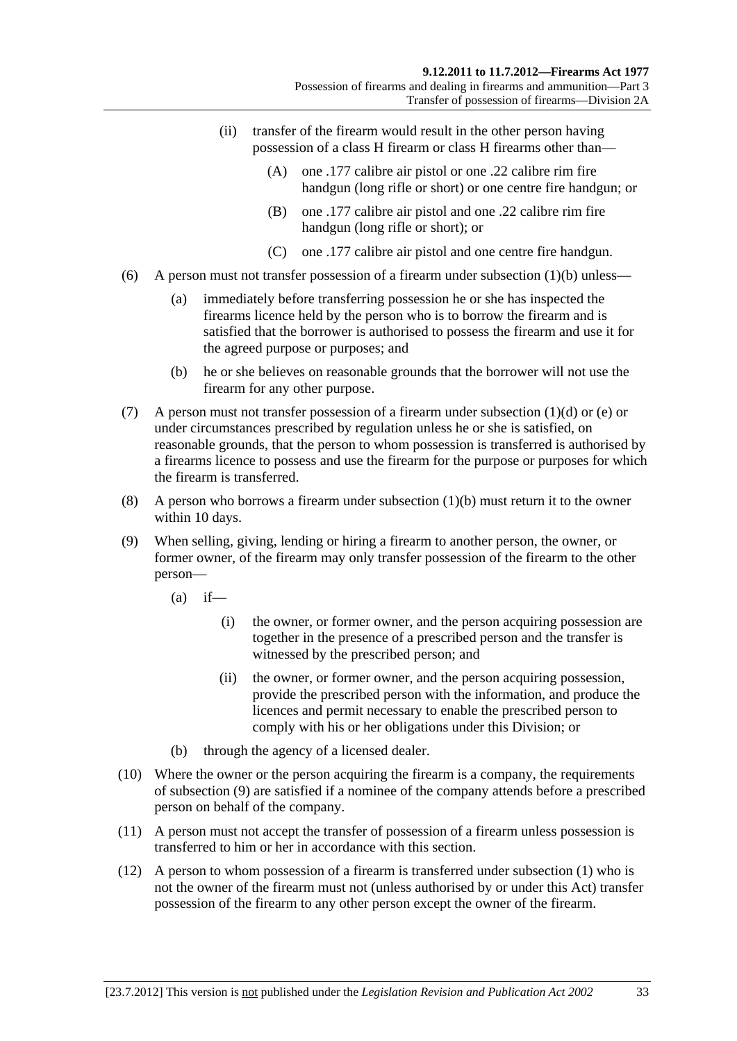- <span id="page-32-0"></span> (ii) transfer of the firearm would result in the other person having possession of a class H firearm or class H firearms other than—
	- (A) one .177 calibre air pistol or one .22 calibre rim fire handgun (long rifle or short) or one centre fire handgun; or
	- (B) one .177 calibre air pistol and one .22 calibre rim fire handgun (long rifle or short); or
	- (C) one .177 calibre air pistol and one centre fire handgun.
- (6) A person must not transfer possession of a firearm under subsection  $(1)(b)$  unless—
	- (a) immediately before transferring possession he or she has inspected the firearms licence held by the person who is to borrow the firearm and is satisfied that the borrower is authorised to possess the firearm and use it for the agreed purpose or purposes; and
	- (b) he or she believes on reasonable grounds that the borrower will not use the firearm for any other purpose.
- (7) A person must not transfer possession of a firearm under [subsection \(1\)\(d\)](#page-30-0) or [\(e\)](#page-30-0) or under circumstances prescribed by regulation unless he or she is satisfied, on reasonable grounds, that the person to whom possession is transferred is authorised by a firearms licence to possess and use the firearm for the purpose or purposes for which the firearm is transferred.
- (8) A person who borrows a firearm under [subsection \(1\)\(b\)](#page-30-0) must return it to the owner within 10 days.
- (9) When selling, giving, lending or hiring a firearm to another person, the owner, or former owner, of the firearm may only transfer possession of the firearm to the other person—
	- $(a)$  if—
		- (i) the owner, or former owner, and the person acquiring possession are together in the presence of a prescribed person and the transfer is witnessed by the prescribed person; and
		- (ii) the owner, or former owner, and the person acquiring possession, provide the prescribed person with the information, and produce the licences and permit necessary to enable the prescribed person to comply with his or her obligations under this Division; or
	- (b) through the agency of a licensed dealer.
- (10) Where the owner or the person acquiring the firearm is a company, the requirements of [subsection \(9\)](#page-32-0) are satisfied if a nominee of the company attends before a prescribed person on behalf of the company.
- (11) A person must not accept the transfer of possession of a firearm unless possession is transferred to him or her in accordance with this section.
- (12) A person to whom possession of a firearm is transferred under [subsection \(1\)](#page-30-0) who is not the owner of the firearm must not (unless authorised by or under this Act) transfer possession of the firearm to any other person except the owner of the firearm.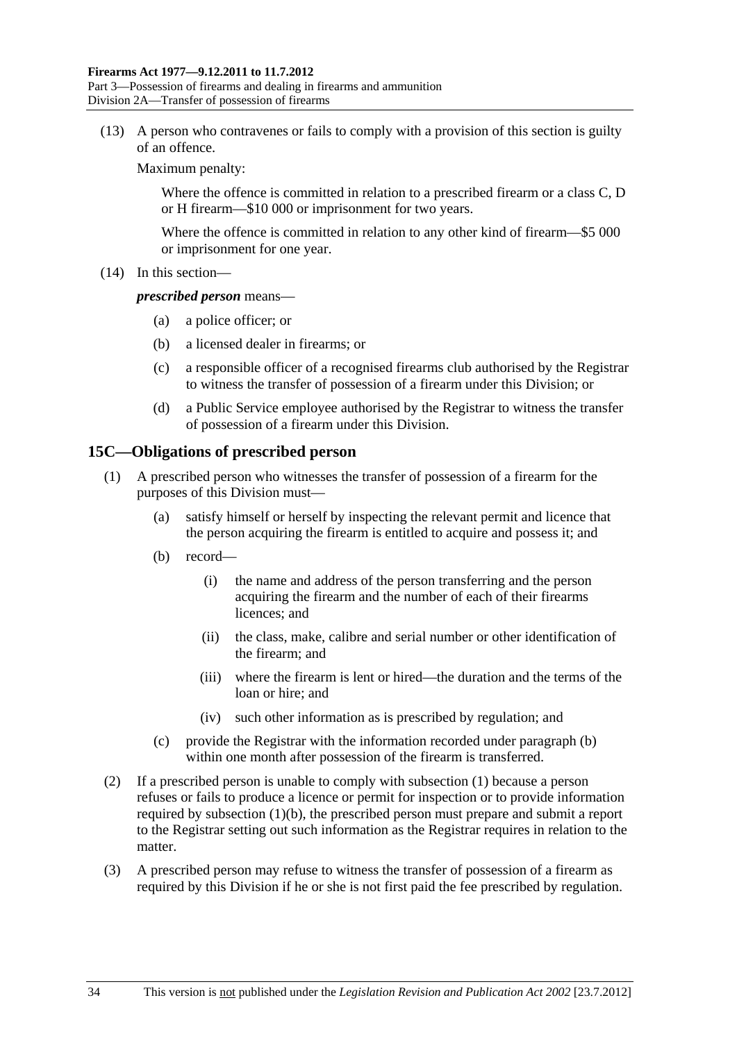<span id="page-33-0"></span>Part 3—Possession of firearms and dealing in firearms and ammunition Division 2A—Transfer of possession of firearms

 (13) A person who contravenes or fails to comply with a provision of this section is guilty of an offence.

Maximum penalty:

Where the offence is committed in relation to a prescribed firearm or a class C, D or H firearm—\$10 000 or imprisonment for two years.

Where the offence is committed in relation to any other kind of firearm—\$5 000 or imprisonment for one year.

(14) In this section—

#### *prescribed person* means—

- (a) a police officer; or
- (b) a licensed dealer in firearms; or
- (c) a responsible officer of a recognised firearms club authorised by the Registrar to witness the transfer of possession of a firearm under this Division; or
- (d) a Public Service employee authorised by the Registrar to witness the transfer of possession of a firearm under this Division.

#### **15C—Obligations of prescribed person**

- (1) A prescribed person who witnesses the transfer of possession of a firearm for the purposes of this Division must—
	- (a) satisfy himself or herself by inspecting the relevant permit and licence that the person acquiring the firearm is entitled to acquire and possess it; and
	- (b) record—
		- (i) the name and address of the person transferring and the person acquiring the firearm and the number of each of their firearms licences; and
		- (ii) the class, make, calibre and serial number or other identification of the firearm; and
		- (iii) where the firearm is lent or hired—the duration and the terms of the loan or hire; and
		- (iv) such other information as is prescribed by regulation; and
	- (c) provide the Registrar with the information recorded under [paragraph \(b\)](#page-33-0) within one month after possession of the firearm is transferred.
- (2) If a prescribed person is unable to comply with [subsection \(1\)](#page-33-0) because a person refuses or fails to produce a licence or permit for inspection or to provide information required by [subsection \(1\)\(b\),](#page-33-0) the prescribed person must prepare and submit a report to the Registrar setting out such information as the Registrar requires in relation to the matter.
- (3) A prescribed person may refuse to witness the transfer of possession of a firearm as required by this Division if he or she is not first paid the fee prescribed by regulation.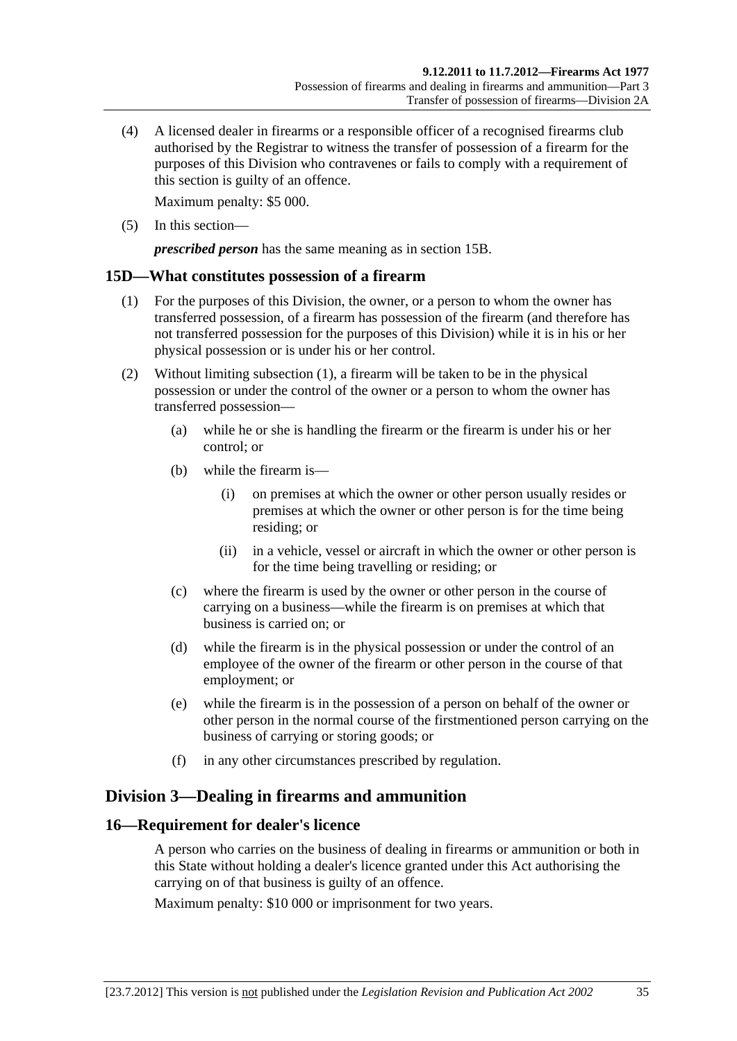<span id="page-34-0"></span> (4) A licensed dealer in firearms or a responsible officer of a recognised firearms club authorised by the Registrar to witness the transfer of possession of a firearm for the purposes of this Division who contravenes or fails to comply with a requirement of this section is guilty of an offence.

Maximum penalty: \$5 000.

(5) In this section—

*prescribed person* has the same meaning as in [section 15B.](#page-30-0)

#### **15D—What constitutes possession of a firearm**

- (1) For the purposes of this Division, the owner, or a person to whom the owner has transferred possession, of a firearm has possession of the firearm (and therefore has not transferred possession for the purposes of this Division) while it is in his or her physical possession or is under his or her control.
- (2) Without limiting [subsection \(1\),](#page-34-0) a firearm will be taken to be in the physical possession or under the control of the owner or a person to whom the owner has transferred possession—
	- (a) while he or she is handling the firearm or the firearm is under his or her control; or
	- (b) while the firearm is—
		- (i) on premises at which the owner or other person usually resides or premises at which the owner or other person is for the time being residing; or
		- (ii) in a vehicle, vessel or aircraft in which the owner or other person is for the time being travelling or residing; or
	- (c) where the firearm is used by the owner or other person in the course of carrying on a business—while the firearm is on premises at which that business is carried on; or
	- (d) while the firearm is in the physical possession or under the control of an employee of the owner of the firearm or other person in the course of that employment; or
	- (e) while the firearm is in the possession of a person on behalf of the owner or other person in the normal course of the firstmentioned person carrying on the business of carrying or storing goods; or
	- (f) in any other circumstances prescribed by regulation.

## **Division 3—Dealing in firearms and ammunition**

## **16—Requirement for dealer's licence**

A person who carries on the business of dealing in firearms or ammunition or both in this State without holding a dealer's licence granted under this Act authorising the carrying on of that business is guilty of an offence.

Maximum penalty: \$10 000 or imprisonment for two years.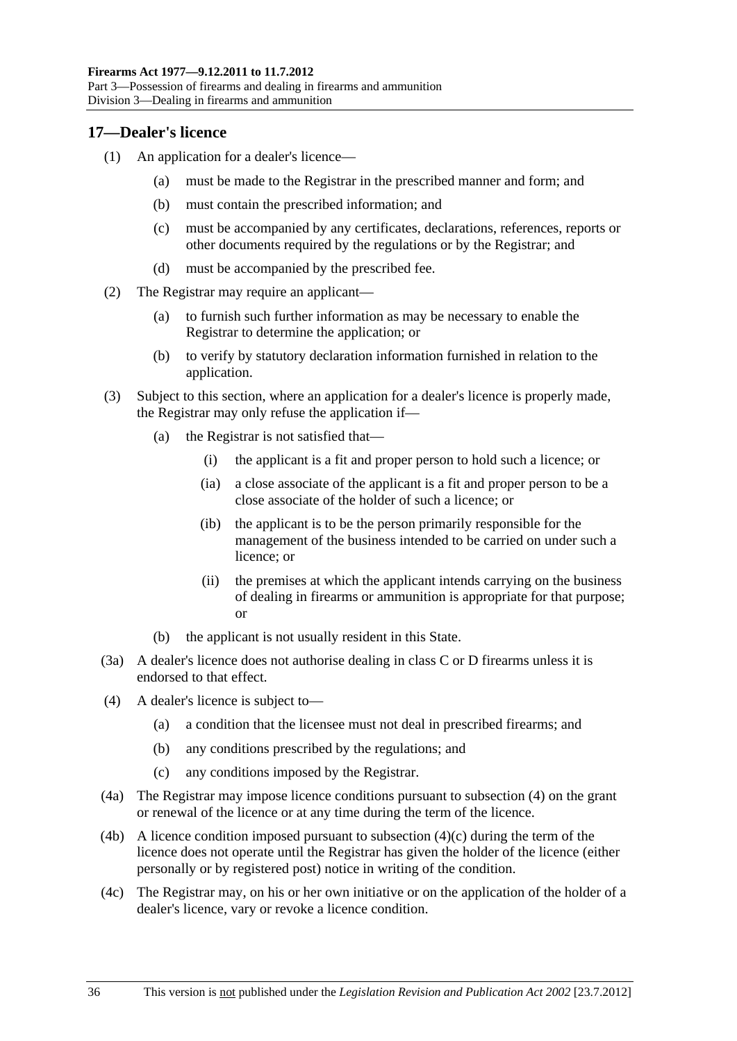## <span id="page-35-0"></span>**17—Dealer's licence**

- (1) An application for a dealer's licence—
	- (a) must be made to the Registrar in the prescribed manner and form; and
	- (b) must contain the prescribed information; and
	- (c) must be accompanied by any certificates, declarations, references, reports or other documents required by the regulations or by the Registrar; and
	- (d) must be accompanied by the prescribed fee.
- (2) The Registrar may require an applicant—
	- (a) to furnish such further information as may be necessary to enable the Registrar to determine the application; or
	- (b) to verify by statutory declaration information furnished in relation to the application.
- (3) Subject to this section, where an application for a dealer's licence is properly made, the Registrar may only refuse the application if—
	- (a) the Registrar is not satisfied that—
		- (i) the applicant is a fit and proper person to hold such a licence; or
		- (ia) a close associate of the applicant is a fit and proper person to be a close associate of the holder of such a licence; or
		- (ib) the applicant is to be the person primarily responsible for the management of the business intended to be carried on under such a licence; or
		- (ii) the premises at which the applicant intends carrying on the business of dealing in firearms or ammunition is appropriate for that purpose; or
	- (b) the applicant is not usually resident in this State.
- (3a) A dealer's licence does not authorise dealing in class C or D firearms unless it is endorsed to that effect.
- (4) A dealer's licence is subject to—
	- (a) a condition that the licensee must not deal in prescribed firearms; and
	- (b) any conditions prescribed by the regulations; and
	- (c) any conditions imposed by the Registrar.
- (4a) The Registrar may impose licence conditions pursuant to [subsection \(4\)](#page-35-0) on the grant or renewal of the licence or at any time during the term of the licence.
- (4b) A licence condition imposed pursuant to subsection  $(4)(c)$  during the term of the licence does not operate until the Registrar has given the holder of the licence (either personally or by registered post) notice in writing of the condition.
- (4c) The Registrar may, on his or her own initiative or on the application of the holder of a dealer's licence, vary or revoke a licence condition.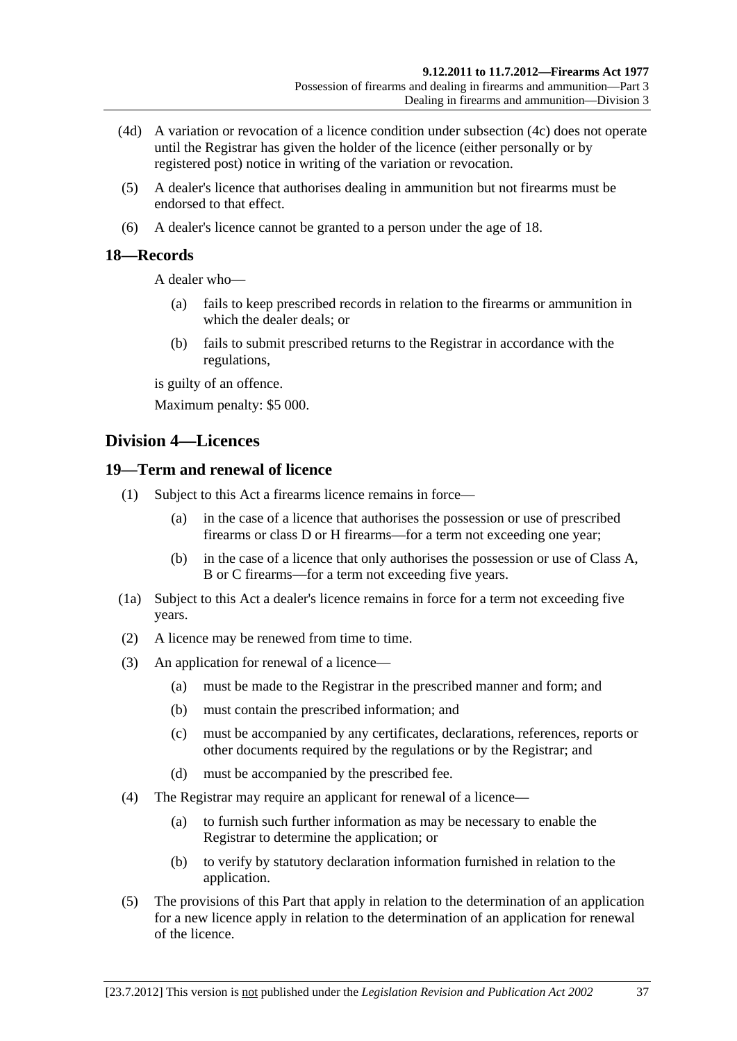- (4d) A variation or revocation of a licence condition under [subsection \(4c\)](#page-35-0) does not operate until the Registrar has given the holder of the licence (either personally or by registered post) notice in writing of the variation or revocation.
- (5) A dealer's licence that authorises dealing in ammunition but not firearms must be endorsed to that effect.
- (6) A dealer's licence cannot be granted to a person under the age of 18.

#### **18—Records**

A dealer who—

- (a) fails to keep prescribed records in relation to the firearms or ammunition in which the dealer deals; or
- (b) fails to submit prescribed returns to the Registrar in accordance with the regulations,

is guilty of an offence.

Maximum penalty: \$5 000.

# **Division 4—Licences**

#### **19—Term and renewal of licence**

- (1) Subject to this Act a firearms licence remains in force—
	- (a) in the case of a licence that authorises the possession or use of prescribed firearms or class D or H firearms—for a term not exceeding one year;
	- (b) in the case of a licence that only authorises the possession or use of Class A, B or C firearms—for a term not exceeding five years.
- (1a) Subject to this Act a dealer's licence remains in force for a term not exceeding five years.
- (2) A licence may be renewed from time to time.
- (3) An application for renewal of a licence—
	- (a) must be made to the Registrar in the prescribed manner and form; and
	- (b) must contain the prescribed information; and
	- (c) must be accompanied by any certificates, declarations, references, reports or other documents required by the regulations or by the Registrar; and
	- (d) must be accompanied by the prescribed fee.
- (4) The Registrar may require an applicant for renewal of a licence—
	- (a) to furnish such further information as may be necessary to enable the Registrar to determine the application; or
	- (b) to verify by statutory declaration information furnished in relation to the application.
- (5) The provisions of this Part that apply in relation to the determination of an application for a new licence apply in relation to the determination of an application for renewal of the licence.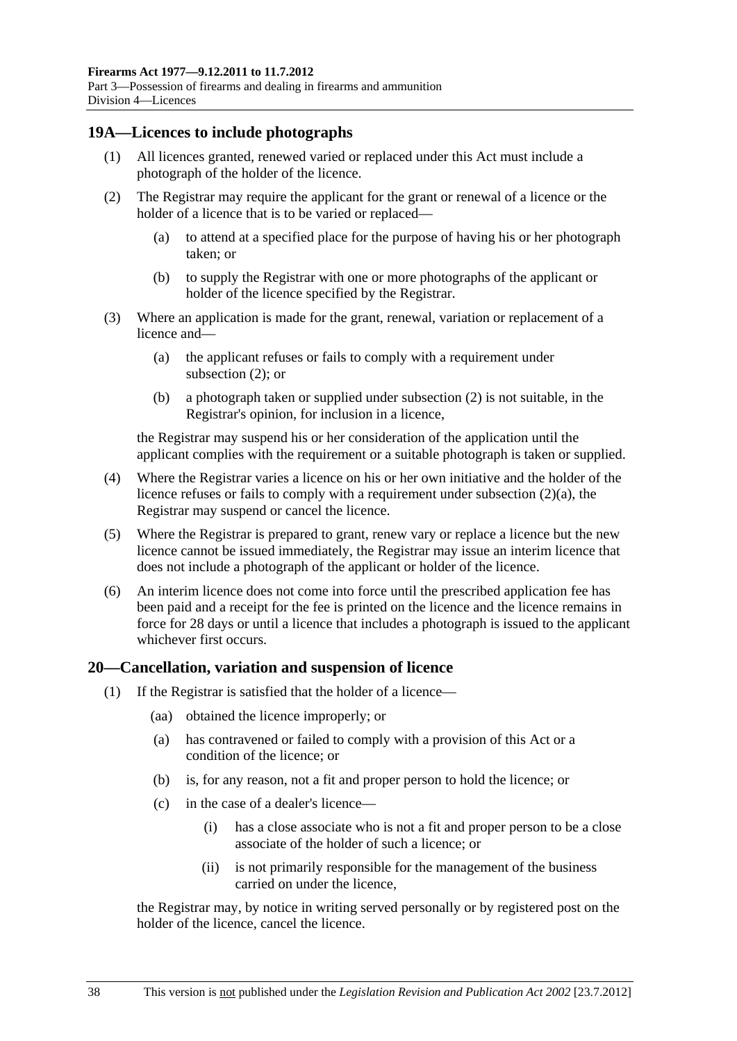#### <span id="page-37-0"></span>**19A—Licences to include photographs**

- (1) All licences granted, renewed varied or replaced under this Act must include a photograph of the holder of the licence.
- (2) The Registrar may require the applicant for the grant or renewal of a licence or the holder of a licence that is to be varied or replaced—
	- (a) to attend at a specified place for the purpose of having his or her photograph taken; or
	- (b) to supply the Registrar with one or more photographs of the applicant or holder of the licence specified by the Registrar.
- (3) Where an application is made for the grant, renewal, variation or replacement of a licence and—
	- (a) the applicant refuses or fails to comply with a requirement under [subsection \(2\)](#page-37-0); or
	- (b) a photograph taken or supplied under [subsection \(2\)](#page-37-0) is not suitable, in the Registrar's opinion, for inclusion in a licence,

the Registrar may suspend his or her consideration of the application until the applicant complies with the requirement or a suitable photograph is taken or supplied.

- (4) Where the Registrar varies a licence on his or her own initiative and the holder of the licence refuses or fails to comply with a requirement under [subsection \(2\)\(a\)](#page-37-0), the Registrar may suspend or cancel the licence.
- (5) Where the Registrar is prepared to grant, renew vary or replace a licence but the new licence cannot be issued immediately, the Registrar may issue an interim licence that does not include a photograph of the applicant or holder of the licence.
- (6) An interim licence does not come into force until the prescribed application fee has been paid and a receipt for the fee is printed on the licence and the licence remains in force for 28 days or until a licence that includes a photograph is issued to the applicant whichever first occurs.

#### **20—Cancellation, variation and suspension of licence**

- (1) If the Registrar is satisfied that the holder of a licence—
	- (aa) obtained the licence improperly; or
	- (a) has contravened or failed to comply with a provision of this Act or a condition of the licence; or
	- (b) is, for any reason, not a fit and proper person to hold the licence; or
	- (c) in the case of a dealer's licence—
		- (i) has a close associate who is not a fit and proper person to be a close associate of the holder of such a licence; or
		- (ii) is not primarily responsible for the management of the business carried on under the licence,

the Registrar may, by notice in writing served personally or by registered post on the holder of the licence, cancel the licence.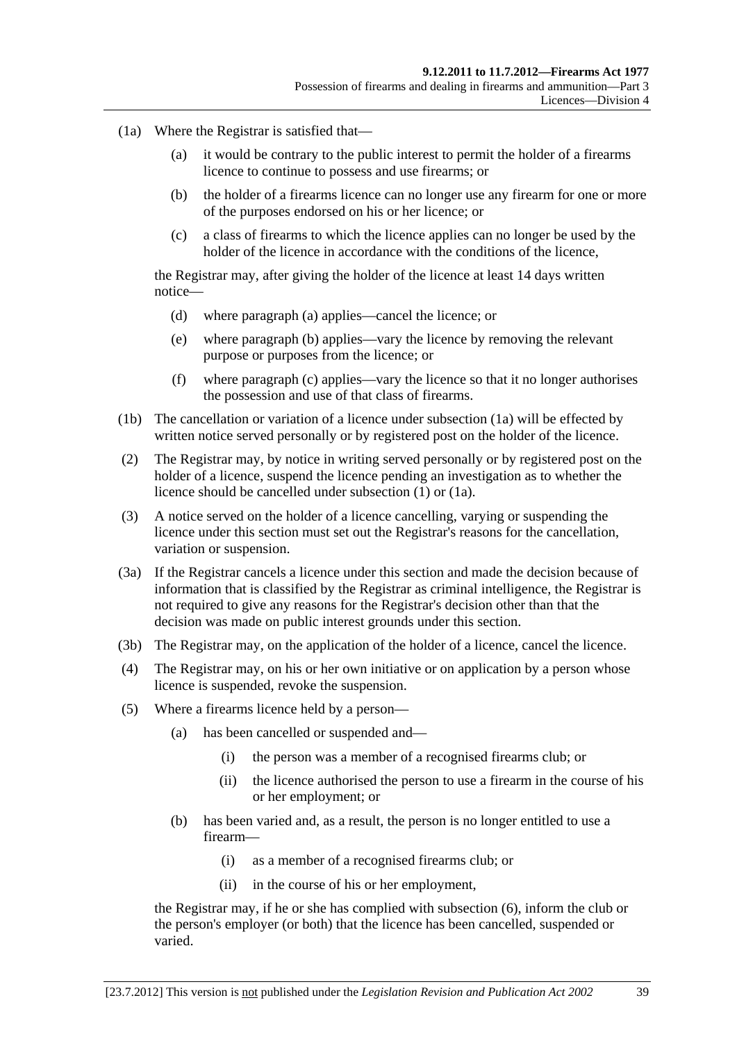- <span id="page-38-0"></span> (1a) Where the Registrar is satisfied that—
	- (a) it would be contrary to the public interest to permit the holder of a firearms licence to continue to possess and use firearms; or
	- (b) the holder of a firearms licence can no longer use any firearm for one or more of the purposes endorsed on his or her licence; or
	- (c) a class of firearms to which the licence applies can no longer be used by the holder of the licence in accordance with the conditions of the licence,

the Registrar may, after giving the holder of the licence at least 14 days written notice—

- (d) where [paragraph \(a\)](#page-38-0) applies—cancel the licence; or
- (e) where [paragraph \(b\)](#page-38-0) applies—vary the licence by removing the relevant purpose or purposes from the licence; or
- (f) where [paragraph \(c\)](#page-38-0) applies—vary the licence so that it no longer authorises the possession and use of that class of firearms.
- (1b) The cancellation or variation of a licence under [subsection \(1a\)](#page-38-0) will be effected by written notice served personally or by registered post on the holder of the licence.
- (2) The Registrar may, by notice in writing served personally or by registered post on the holder of a licence, suspend the licence pending an investigation as to whether the licence should be cancelled under [subsection \(1\)](#page-37-0) or [\(1a\).](#page-38-0)
- (3) A notice served on the holder of a licence cancelling, varying or suspending the licence under this section must set out the Registrar's reasons for the cancellation, variation or suspension.
- (3a) If the Registrar cancels a licence under this section and made the decision because of information that is classified by the Registrar as criminal intelligence, the Registrar is not required to give any reasons for the Registrar's decision other than that the decision was made on public interest grounds under this section.
- (3b) The Registrar may, on the application of the holder of a licence, cancel the licence.
- (4) The Registrar may, on his or her own initiative or on application by a person whose licence is suspended, revoke the suspension.
- (5) Where a firearms licence held by a person—
	- (a) has been cancelled or suspended and—
		- (i) the person was a member of a recognised firearms club; or
		- (ii) the licence authorised the person to use a firearm in the course of his or her employment; or
	- (b) has been varied and, as a result, the person is no longer entitled to use a firearm—
		- (i) as a member of a recognised firearms club; or
		- (ii) in the course of his or her employment,

the Registrar may, if he or she has complied with [subsection \(6\),](#page-39-0) inform the club or the person's employer (or both) that the licence has been cancelled, suspended or varied.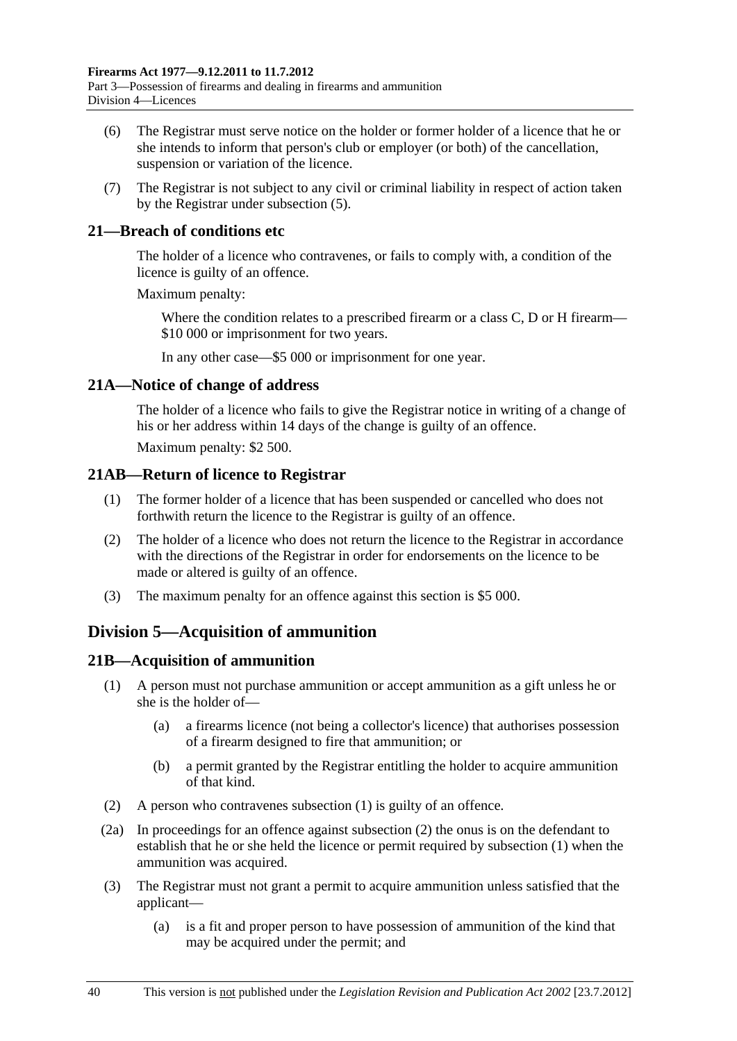- <span id="page-39-0"></span> (6) The Registrar must serve notice on the holder or former holder of a licence that he or she intends to inform that person's club or employer (or both) of the cancellation, suspension or variation of the licence.
- (7) The Registrar is not subject to any civil or criminal liability in respect of action taken by the Registrar under [subsection \(5\).](#page-38-0)

## **21—Breach of conditions etc**

The holder of a licence who contravenes, or fails to comply with, a condition of the licence is guilty of an offence.

Maximum penalty:

Where the condition relates to a prescribed firearm or a class C, D or H firearm— \$10 000 or imprisonment for two years.

In any other case—\$5 000 or imprisonment for one year.

## **21A—Notice of change of address**

The holder of a licence who fails to give the Registrar notice in writing of a change of his or her address within 14 days of the change is guilty of an offence.

Maximum penalty: \$2 500.

## **21AB—Return of licence to Registrar**

- (1) The former holder of a licence that has been suspended or cancelled who does not forthwith return the licence to the Registrar is guilty of an offence.
- (2) The holder of a licence who does not return the licence to the Registrar in accordance with the directions of the Registrar in order for endorsements on the licence to be made or altered is guilty of an offence.
- (3) The maximum penalty for an offence against this section is \$5 000.

# **Division 5—Acquisition of ammunition**

## **21B—Acquisition of ammunition**

- (1) A person must not purchase ammunition or accept ammunition as a gift unless he or she is the holder of—
	- (a) a firearms licence (not being a collector's licence) that authorises possession of a firearm designed to fire that ammunition; or
	- (b) a permit granted by the Registrar entitling the holder to acquire ammunition of that kind.
- (2) A person who contravenes [subsection \(1\)](#page-39-0) is guilty of an offence.
- (2a) In proceedings for an offence against [subsection \(2\)](#page-39-0) the onus is on the defendant to establish that he or she held the licence or permit required by [subsection \(1\)](#page-39-0) when the ammunition was acquired.
- (3) The Registrar must not grant a permit to acquire ammunition unless satisfied that the applicant—
	- (a) is a fit and proper person to have possession of ammunition of the kind that may be acquired under the permit; and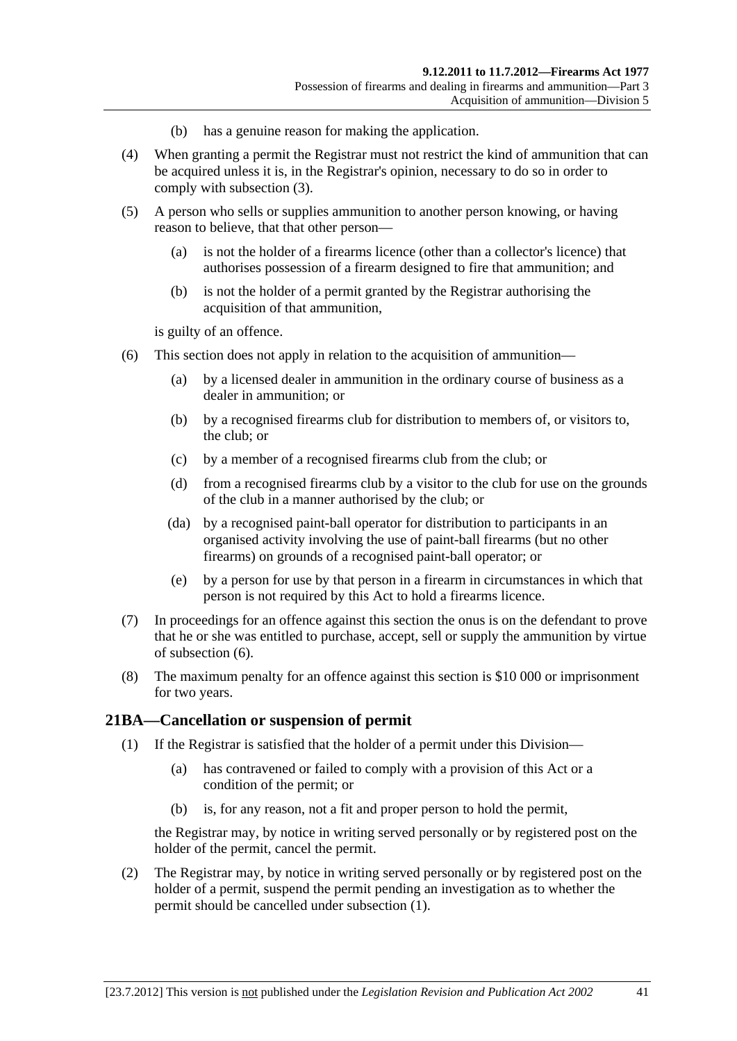- (b) has a genuine reason for making the application.
- <span id="page-40-0"></span> (4) When granting a permit the Registrar must not restrict the kind of ammunition that can be acquired unless it is, in the Registrar's opinion, necessary to do so in order to comply with [subsection \(3\)](#page-39-0).
- (5) A person who sells or supplies ammunition to another person knowing, or having reason to believe, that that other person—
	- (a) is not the holder of a firearms licence (other than a collector's licence) that authorises possession of a firearm designed to fire that ammunition; and
	- (b) is not the holder of a permit granted by the Registrar authorising the acquisition of that ammunition,

is guilty of an offence.

- (6) This section does not apply in relation to the acquisition of ammunition—
	- (a) by a licensed dealer in ammunition in the ordinary course of business as a dealer in ammunition; or
	- (b) by a recognised firearms club for distribution to members of, or visitors to, the club; or
	- (c) by a member of a recognised firearms club from the club; or
	- (d) from a recognised firearms club by a visitor to the club for use on the grounds of the club in a manner authorised by the club; or
	- (da) by a recognised paint-ball operator for distribution to participants in an organised activity involving the use of paint-ball firearms (but no other firearms) on grounds of a recognised paint-ball operator; or
	- (e) by a person for use by that person in a firearm in circumstances in which that person is not required by this Act to hold a firearms licence.
- (7) In proceedings for an offence against this section the onus is on the defendant to prove that he or she was entitled to purchase, accept, sell or supply the ammunition by virtue of [subsection \(6\)](#page-40-0).
- (8) The maximum penalty for an offence against this section is \$10 000 or imprisonment for two years.

#### **21BA—Cancellation or suspension of permit**

- (1) If the Registrar is satisfied that the holder of a permit under this Division—
	- (a) has contravened or failed to comply with a provision of this Act or a condition of the permit; or
	- (b) is, for any reason, not a fit and proper person to hold the permit,

the Registrar may, by notice in writing served personally or by registered post on the holder of the permit, cancel the permit.

 (2) The Registrar may, by notice in writing served personally or by registered post on the holder of a permit, suspend the permit pending an investigation as to whether the permit should be cancelled under [subsection \(1\)](#page-40-0).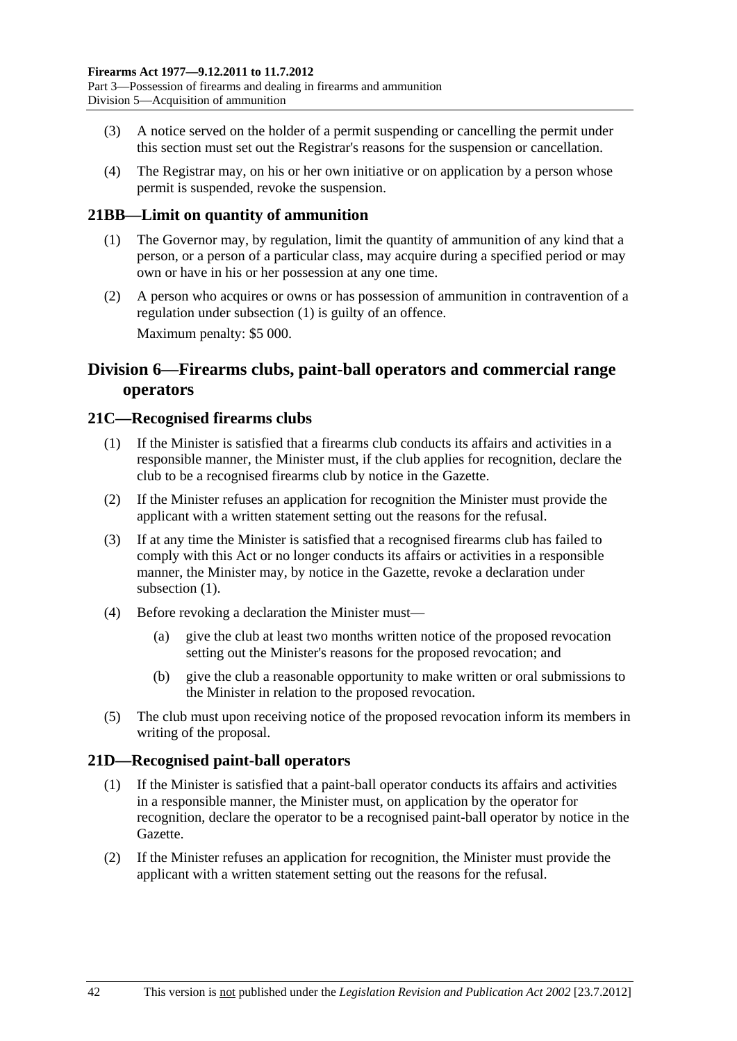- <span id="page-41-0"></span> (3) A notice served on the holder of a permit suspending or cancelling the permit under this section must set out the Registrar's reasons for the suspension or cancellation.
- (4) The Registrar may, on his or her own initiative or on application by a person whose permit is suspended, revoke the suspension.

# **21BB—Limit on quantity of ammunition**

- (1) The Governor may, by regulation, limit the quantity of ammunition of any kind that a person, or a person of a particular class, may acquire during a specified period or may own or have in his or her possession at any one time.
- (2) A person who acquires or owns or has possession of ammunition in contravention of a regulation under [subsection \(1\)](#page-41-0) is guilty of an offence. Maximum penalty: \$5 000.

# **Division 6—Firearms clubs, paint-ball operators and commercial range operators**

## **21C—Recognised firearms clubs**

- (1) If the Minister is satisfied that a firearms club conducts its affairs and activities in a responsible manner, the Minister must, if the club applies for recognition, declare the club to be a recognised firearms club by notice in the Gazette.
- (2) If the Minister refuses an application for recognition the Minister must provide the applicant with a written statement setting out the reasons for the refusal.
- (3) If at any time the Minister is satisfied that a recognised firearms club has failed to comply with this Act or no longer conducts its affairs or activities in a responsible manner, the Minister may, by notice in the Gazette, revoke a declaration under subsection  $(1)$ .
- (4) Before revoking a declaration the Minister must—
	- (a) give the club at least two months written notice of the proposed revocation setting out the Minister's reasons for the proposed revocation; and
	- (b) give the club a reasonable opportunity to make written or oral submissions to the Minister in relation to the proposed revocation.
- (5) The club must upon receiving notice of the proposed revocation inform its members in writing of the proposal.

#### **21D—Recognised paint-ball operators**

- (1) If the Minister is satisfied that a paint-ball operator conducts its affairs and activities in a responsible manner, the Minister must, on application by the operator for recognition, declare the operator to be a recognised paint-ball operator by notice in the Gazette.
- (2) If the Minister refuses an application for recognition, the Minister must provide the applicant with a written statement setting out the reasons for the refusal.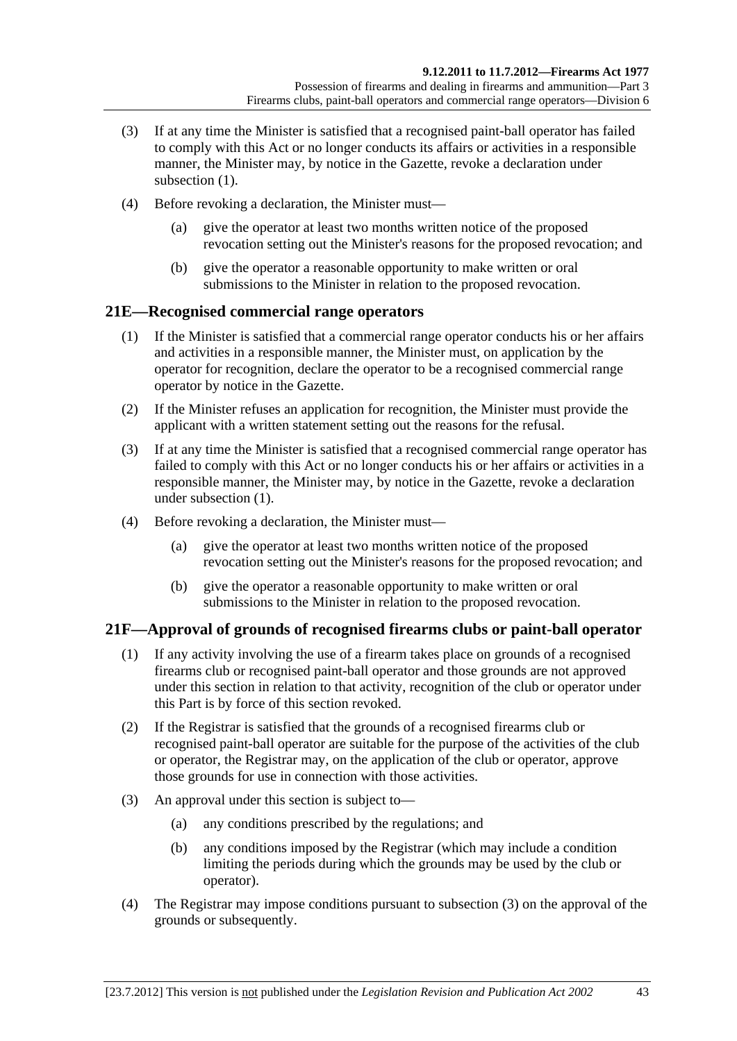- <span id="page-42-0"></span> (3) If at any time the Minister is satisfied that a recognised paint-ball operator has failed to comply with this Act or no longer conducts its affairs or activities in a responsible manner, the Minister may, by notice in the Gazette, revoke a declaration under subsection  $(1)$ .
- (4) Before revoking a declaration, the Minister must—
	- (a) give the operator at least two months written notice of the proposed revocation setting out the Minister's reasons for the proposed revocation; and
	- (b) give the operator a reasonable opportunity to make written or oral submissions to the Minister in relation to the proposed revocation.

# **21E—Recognised commercial range operators**

- (1) If the Minister is satisfied that a commercial range operator conducts his or her affairs and activities in a responsible manner, the Minister must, on application by the operator for recognition, declare the operator to be a recognised commercial range operator by notice in the Gazette.
- (2) If the Minister refuses an application for recognition, the Minister must provide the applicant with a written statement setting out the reasons for the refusal.
- (3) If at any time the Minister is satisfied that a recognised commercial range operator has failed to comply with this Act or no longer conducts his or her affairs or activities in a responsible manner, the Minister may, by notice in the Gazette, revoke a declaration under [subsection \(1\).](#page-42-0)
- (4) Before revoking a declaration, the Minister must—
	- (a) give the operator at least two months written notice of the proposed revocation setting out the Minister's reasons for the proposed revocation; and
	- (b) give the operator a reasonable opportunity to make written or oral submissions to the Minister in relation to the proposed revocation.

## **21F—Approval of grounds of recognised firearms clubs or paint-ball operator**

- (1) If any activity involving the use of a firearm takes place on grounds of a recognised firearms club or recognised paint-ball operator and those grounds are not approved under this section in relation to that activity, recognition of the club or operator under this Part is by force of this section revoked.
- (2) If the Registrar is satisfied that the grounds of a recognised firearms club or recognised paint-ball operator are suitable for the purpose of the activities of the club or operator, the Registrar may, on the application of the club or operator, approve those grounds for use in connection with those activities.
- (3) An approval under this section is subject to—
	- (a) any conditions prescribed by the regulations; and
	- (b) any conditions imposed by the Registrar (which may include a condition limiting the periods during which the grounds may be used by the club or operator).
- (4) The Registrar may impose conditions pursuant to [subsection \(3\)](#page-42-0) on the approval of the grounds or subsequently.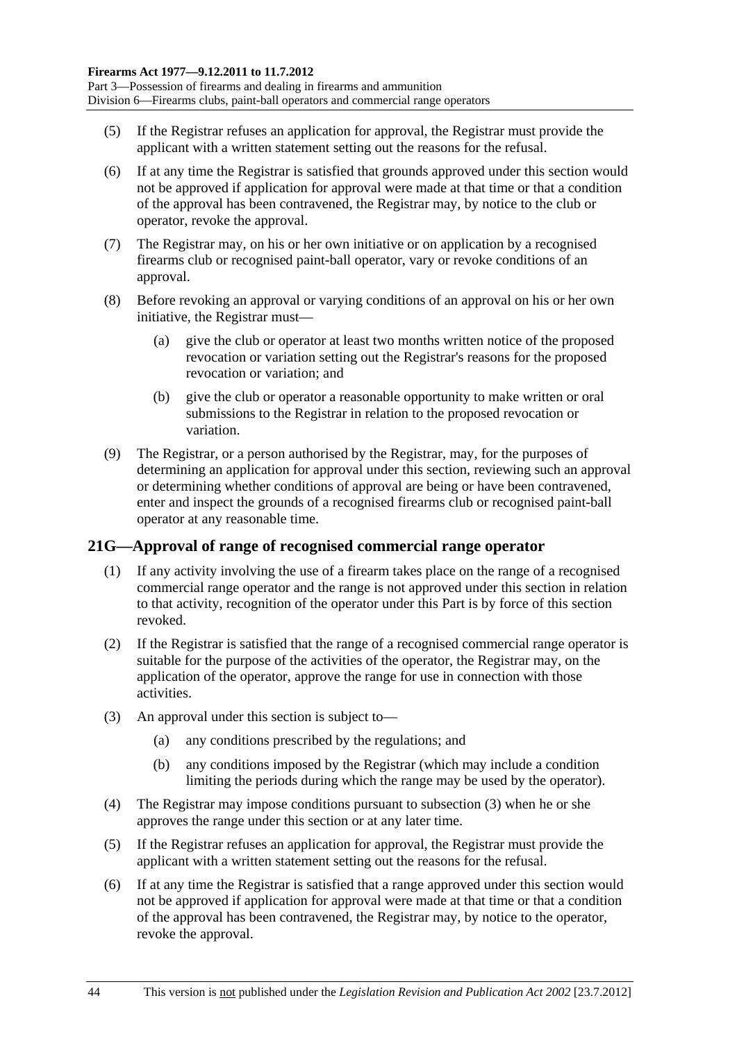- <span id="page-43-0"></span> (5) If the Registrar refuses an application for approval, the Registrar must provide the applicant with a written statement setting out the reasons for the refusal.
- (6) If at any time the Registrar is satisfied that grounds approved under this section would not be approved if application for approval were made at that time or that a condition of the approval has been contravened, the Registrar may, by notice to the club or operator, revoke the approval.
- (7) The Registrar may, on his or her own initiative or on application by a recognised firearms club or recognised paint-ball operator, vary or revoke conditions of an approval.
- (8) Before revoking an approval or varying conditions of an approval on his or her own initiative, the Registrar must—
	- (a) give the club or operator at least two months written notice of the proposed revocation or variation setting out the Registrar's reasons for the proposed revocation or variation; and
	- (b) give the club or operator a reasonable opportunity to make written or oral submissions to the Registrar in relation to the proposed revocation or variation.
- (9) The Registrar, or a person authorised by the Registrar, may, for the purposes of determining an application for approval under this section, reviewing such an approval or determining whether conditions of approval are being or have been contravened, enter and inspect the grounds of a recognised firearms club or recognised paint-ball operator at any reasonable time.

# **21G—Approval of range of recognised commercial range operator**

- (1) If any activity involving the use of a firearm takes place on the range of a recognised commercial range operator and the range is not approved under this section in relation to that activity, recognition of the operator under this Part is by force of this section revoked.
- (2) If the Registrar is satisfied that the range of a recognised commercial range operator is suitable for the purpose of the activities of the operator, the Registrar may, on the application of the operator, approve the range for use in connection with those activities.
- (3) An approval under this section is subject to—
	- (a) any conditions prescribed by the regulations; and
	- (b) any conditions imposed by the Registrar (which may include a condition limiting the periods during which the range may be used by the operator).
- (4) The Registrar may impose conditions pursuant to [subsection \(3\)](#page-43-0) when he or she approves the range under this section or at any later time.
- (5) If the Registrar refuses an application for approval, the Registrar must provide the applicant with a written statement setting out the reasons for the refusal.
- (6) If at any time the Registrar is satisfied that a range approved under this section would not be approved if application for approval were made at that time or that a condition of the approval has been contravened, the Registrar may, by notice to the operator, revoke the approval.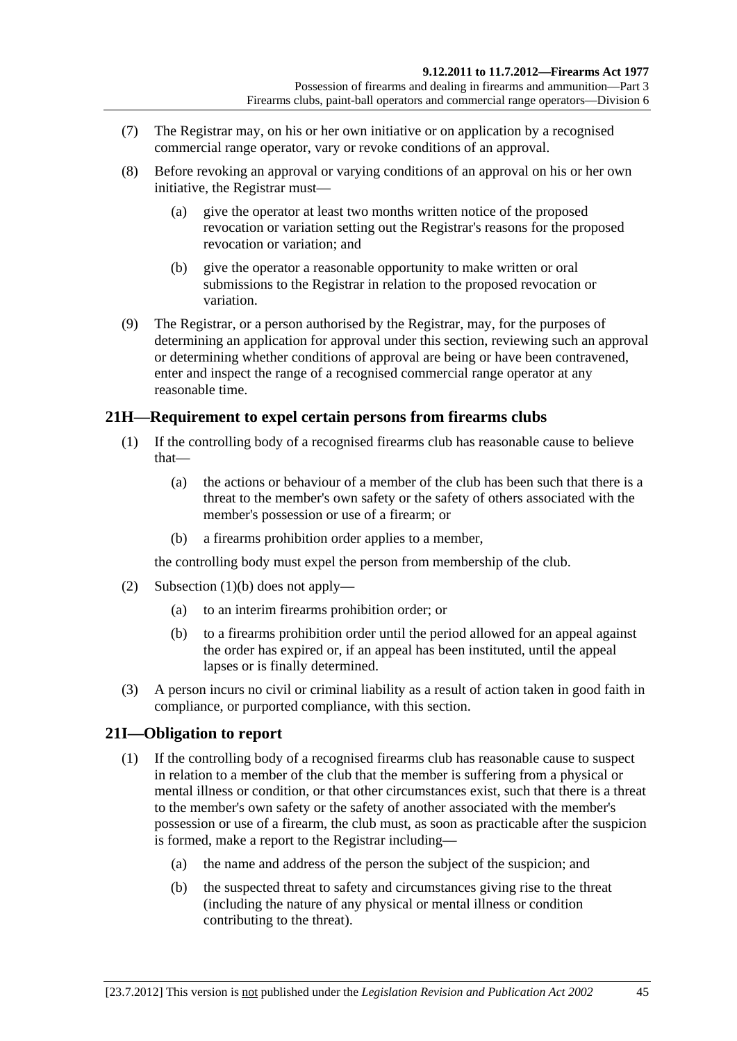- <span id="page-44-0"></span> (7) The Registrar may, on his or her own initiative or on application by a recognised commercial range operator, vary or revoke conditions of an approval.
- (8) Before revoking an approval or varying conditions of an approval on his or her own initiative, the Registrar must—
	- (a) give the operator at least two months written notice of the proposed revocation or variation setting out the Registrar's reasons for the proposed revocation or variation; and
	- (b) give the operator a reasonable opportunity to make written or oral submissions to the Registrar in relation to the proposed revocation or variation.
- (9) The Registrar, or a person authorised by the Registrar, may, for the purposes of determining an application for approval under this section, reviewing such an approval or determining whether conditions of approval are being or have been contravened, enter and inspect the range of a recognised commercial range operator at any reasonable time.

# **21H—Requirement to expel certain persons from firearms clubs**

- (1) If the controlling body of a recognised firearms club has reasonable cause to believe that—
	- (a) the actions or behaviour of a member of the club has been such that there is a threat to the member's own safety or the safety of others associated with the member's possession or use of a firearm; or
	- (b) a firearms prohibition order applies to a member,

the controlling body must expel the person from membership of the club.

- (2) [Subsection \(1\)\(b\)](#page-44-0) does not apply—
	- (a) to an interim firearms prohibition order; or
	- (b) to a firearms prohibition order until the period allowed for an appeal against the order has expired or, if an appeal has been instituted, until the appeal lapses or is finally determined.
- (3) A person incurs no civil or criminal liability as a result of action taken in good faith in compliance, or purported compliance, with this section.

## **21I—Obligation to report**

- (1) If the controlling body of a recognised firearms club has reasonable cause to suspect in relation to a member of the club that the member is suffering from a physical or mental illness or condition, or that other circumstances exist, such that there is a threat to the member's own safety or the safety of another associated with the member's possession or use of a firearm, the club must, as soon as practicable after the suspicion is formed, make a report to the Registrar including—
	- (a) the name and address of the person the subject of the suspicion; and
	- (b) the suspected threat to safety and circumstances giving rise to the threat (including the nature of any physical or mental illness or condition contributing to the threat).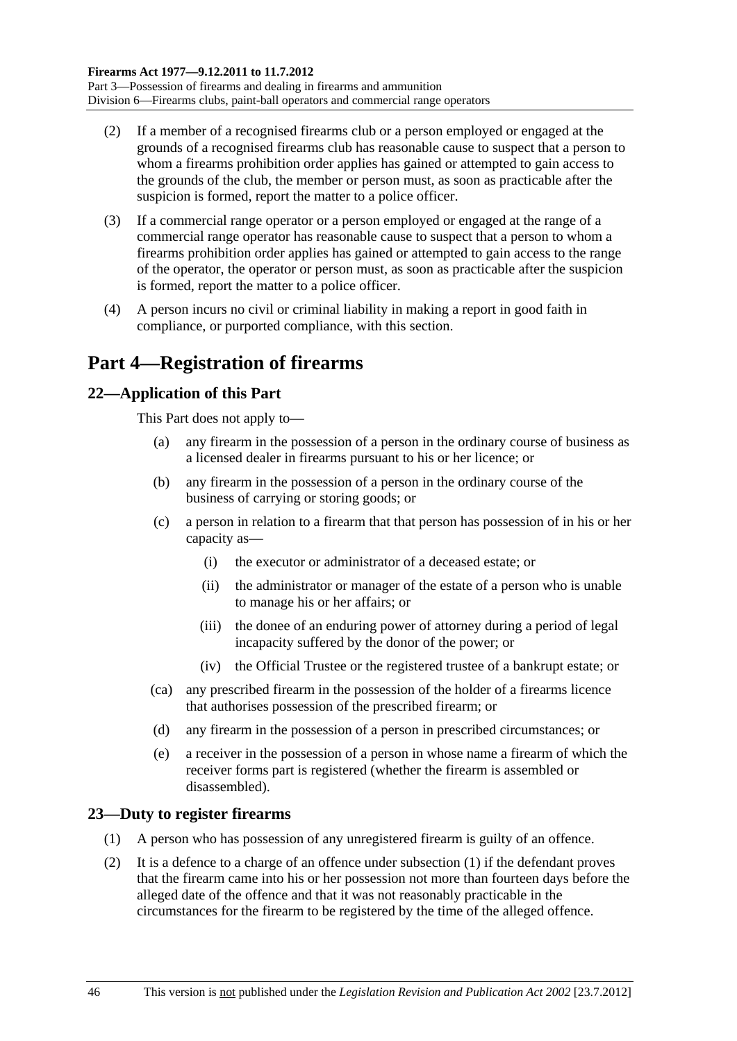- <span id="page-45-0"></span> (2) If a member of a recognised firearms club or a person employed or engaged at the grounds of a recognised firearms club has reasonable cause to suspect that a person to whom a firearms prohibition order applies has gained or attempted to gain access to the grounds of the club, the member or person must, as soon as practicable after the suspicion is formed, report the matter to a police officer.
- (3) If a commercial range operator or a person employed or engaged at the range of a commercial range operator has reasonable cause to suspect that a person to whom a firearms prohibition order applies has gained or attempted to gain access to the range of the operator, the operator or person must, as soon as practicable after the suspicion is formed, report the matter to a police officer.
- (4) A person incurs no civil or criminal liability in making a report in good faith in compliance, or purported compliance, with this section.

# **Part 4—Registration of firearms**

## **22—Application of this Part**

This Part does not apply to—

- (a) any firearm in the possession of a person in the ordinary course of business as a licensed dealer in firearms pursuant to his or her licence; or
- (b) any firearm in the possession of a person in the ordinary course of the business of carrying or storing goods; or
- (c) a person in relation to a firearm that that person has possession of in his or her capacity as—
	- (i) the executor or administrator of a deceased estate; or
	- (ii) the administrator or manager of the estate of a person who is unable to manage his or her affairs; or
	- (iii) the donee of an enduring power of attorney during a period of legal incapacity suffered by the donor of the power; or
	- (iv) the Official Trustee or the registered trustee of a bankrupt estate; or
- (ca) any prescribed firearm in the possession of the holder of a firearms licence that authorises possession of the prescribed firearm; or
- (d) any firearm in the possession of a person in prescribed circumstances; or
- (e) a receiver in the possession of a person in whose name a firearm of which the receiver forms part is registered (whether the firearm is assembled or disassembled).

## **23—Duty to register firearms**

- (1) A person who has possession of any unregistered firearm is guilty of an offence.
- (2) It is a defence to a charge of an offence under [subsection \(1\)](#page-45-0) if the defendant proves that the firearm came into his or her possession not more than fourteen days before the alleged date of the offence and that it was not reasonably practicable in the circumstances for the firearm to be registered by the time of the alleged offence.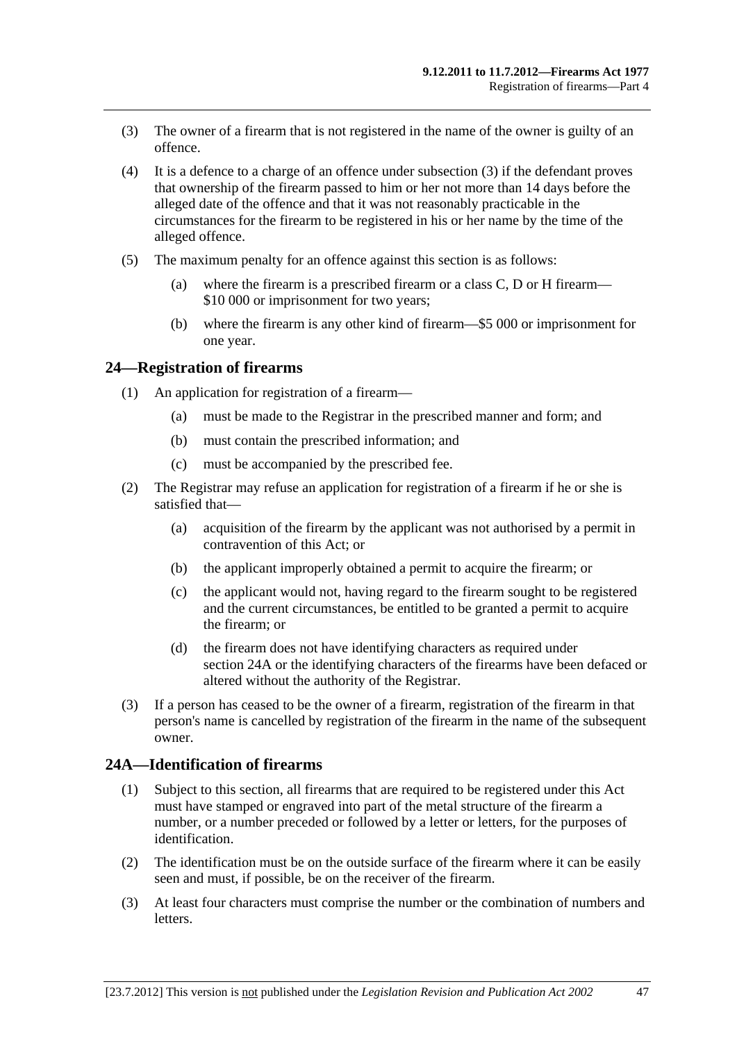- <span id="page-46-0"></span> (3) The owner of a firearm that is not registered in the name of the owner is guilty of an offence.
- (4) It is a defence to a charge of an offence under [subsection \(3\)](#page-46-0) if the defendant proves that ownership of the firearm passed to him or her not more than 14 days before the alleged date of the offence and that it was not reasonably practicable in the circumstances for the firearm to be registered in his or her name by the time of the alleged offence.
- (5) The maximum penalty for an offence against this section is as follows:
	- (a) where the firearm is a prescribed firearm or a class C, D or H firearm— \$10 000 or imprisonment for two years;
	- (b) where the firearm is any other kind of firearm—\$5 000 or imprisonment for one year.

#### **24—Registration of firearms**

- (1) An application for registration of a firearm—
	- (a) must be made to the Registrar in the prescribed manner and form; and
	- (b) must contain the prescribed information; and
	- (c) must be accompanied by the prescribed fee.
- (2) The Registrar may refuse an application for registration of a firearm if he or she is satisfied that—
	- (a) acquisition of the firearm by the applicant was not authorised by a permit in contravention of this Act; or
	- (b) the applicant improperly obtained a permit to acquire the firearm; or
	- (c) the applicant would not, having regard to the firearm sought to be registered and the current circumstances, be entitled to be granted a permit to acquire the firearm; or
	- (d) the firearm does not have identifying characters as required under [section 24A](#page-46-0) or the identifying characters of the firearms have been defaced or altered without the authority of the Registrar.
- (3) If a person has ceased to be the owner of a firearm, registration of the firearm in that person's name is cancelled by registration of the firearm in the name of the subsequent owner.

# **24A—Identification of firearms**

- (1) Subject to this section, all firearms that are required to be registered under this Act must have stamped or engraved into part of the metal structure of the firearm a number, or a number preceded or followed by a letter or letters, for the purposes of identification.
- (2) The identification must be on the outside surface of the firearm where it can be easily seen and must, if possible, be on the receiver of the firearm.
- (3) At least four characters must comprise the number or the combination of numbers and letters.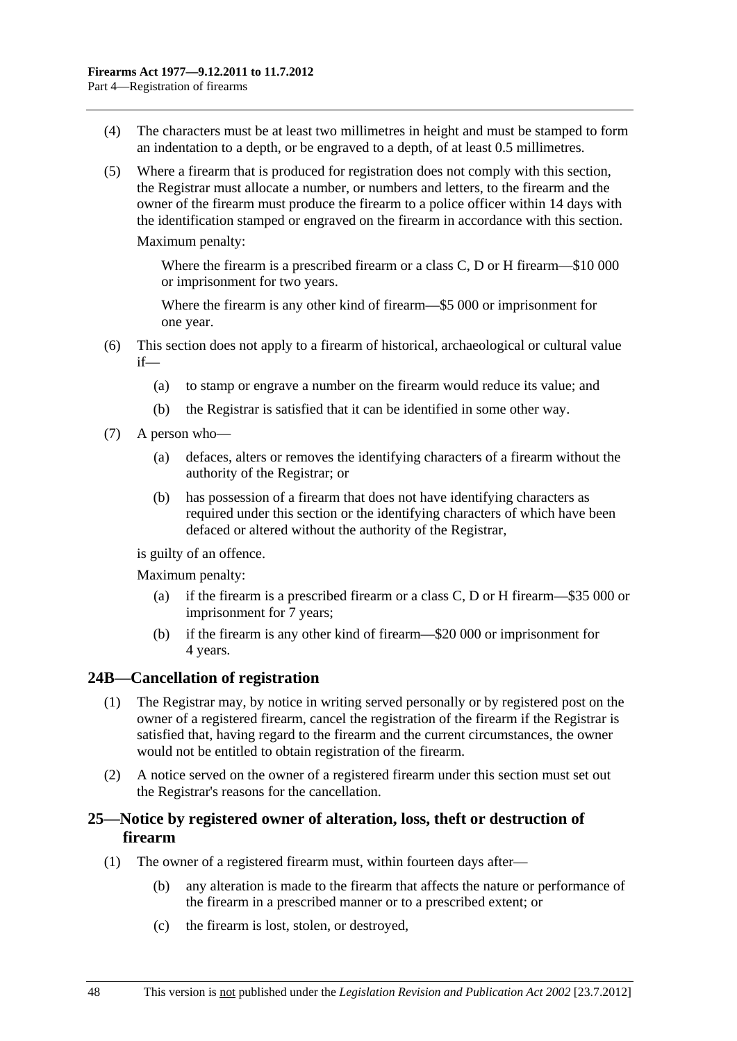- <span id="page-47-0"></span> (4) The characters must be at least two millimetres in height and must be stamped to form an indentation to a depth, or be engraved to a depth, of at least 0.5 millimetres.
- (5) Where a firearm that is produced for registration does not comply with this section, the Registrar must allocate a number, or numbers and letters, to the firearm and the owner of the firearm must produce the firearm to a police officer within 14 days with the identification stamped or engraved on the firearm in accordance with this section.

Maximum penalty:

Where the firearm is a prescribed firearm or a class C, D or H firearm—\$10 000 or imprisonment for two years.

Where the firearm is any other kind of firearm—\$5 000 or imprisonment for one year.

- (6) This section does not apply to a firearm of historical, archaeological or cultural value if—
	- (a) to stamp or engrave a number on the firearm would reduce its value; and
	- (b) the Registrar is satisfied that it can be identified in some other way.
- (7) A person who—
	- (a) defaces, alters or removes the identifying characters of a firearm without the authority of the Registrar; or
	- (b) has possession of a firearm that does not have identifying characters as required under this section or the identifying characters of which have been defaced or altered without the authority of the Registrar,

is guilty of an offence.

Maximum penalty:

- (a) if the firearm is a prescribed firearm or a class C, D or H firearm—\$35 000 or imprisonment for 7 years;
- (b) if the firearm is any other kind of firearm—\$20 000 or imprisonment for 4 years.

#### **24B—Cancellation of registration**

- (1) The Registrar may, by notice in writing served personally or by registered post on the owner of a registered firearm, cancel the registration of the firearm if the Registrar is satisfied that, having regard to the firearm and the current circumstances, the owner would not be entitled to obtain registration of the firearm.
- (2) A notice served on the owner of a registered firearm under this section must set out the Registrar's reasons for the cancellation.

## **25—Notice by registered owner of alteration, loss, theft or destruction of firearm**

- (1) The owner of a registered firearm must, within fourteen days after—
	- (b) any alteration is made to the firearm that affects the nature or performance of the firearm in a prescribed manner or to a prescribed extent; or
	- (c) the firearm is lost, stolen, or destroyed,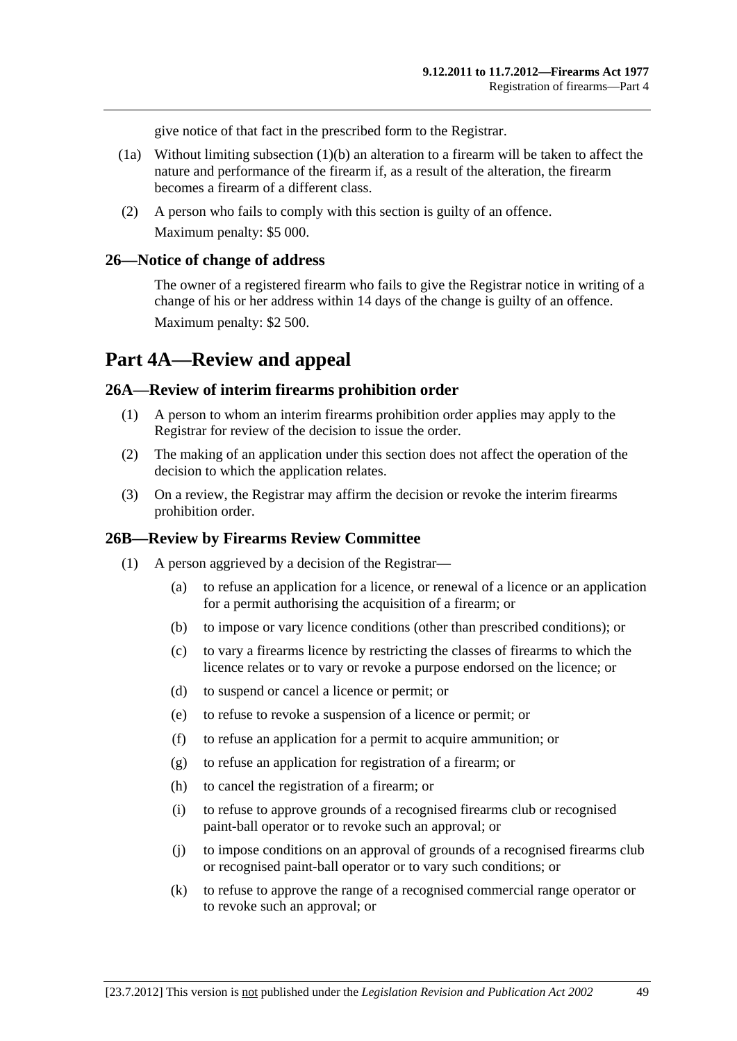give notice of that fact in the prescribed form to the Registrar.

- (1a) Without limiting [subsection \(1\)\(b\)](#page-47-0) an alteration to a firearm will be taken to affect the nature and performance of the firearm if, as a result of the alteration, the firearm becomes a firearm of a different class.
- (2) A person who fails to comply with this section is guilty of an offence. Maximum penalty: \$5 000.

#### **26—Notice of change of address**

The owner of a registered firearm who fails to give the Registrar notice in writing of a change of his or her address within 14 days of the change is guilty of an offence. Maximum penalty: \$2 500.

# **Part 4A—Review and appeal**

#### **26A—Review of interim firearms prohibition order**

- (1) A person to whom an interim firearms prohibition order applies may apply to the Registrar for review of the decision to issue the order.
- (2) The making of an application under this section does not affect the operation of the decision to which the application relates.
- (3) On a review, the Registrar may affirm the decision or revoke the interim firearms prohibition order.

## **26B—Review by Firearms Review Committee**

- (1) A person aggrieved by a decision of the Registrar—
	- (a) to refuse an application for a licence, or renewal of a licence or an application for a permit authorising the acquisition of a firearm; or
	- (b) to impose or vary licence conditions (other than prescribed conditions); or
	- (c) to vary a firearms licence by restricting the classes of firearms to which the licence relates or to vary or revoke a purpose endorsed on the licence; or
	- (d) to suspend or cancel a licence or permit; or
	- (e) to refuse to revoke a suspension of a licence or permit; or
	- (f) to refuse an application for a permit to acquire ammunition; or
	- (g) to refuse an application for registration of a firearm; or
	- (h) to cancel the registration of a firearm; or
	- (i) to refuse to approve grounds of a recognised firearms club or recognised paint-ball operator or to revoke such an approval; or
	- (j) to impose conditions on an approval of grounds of a recognised firearms club or recognised paint-ball operator or to vary such conditions; or
	- (k) to refuse to approve the range of a recognised commercial range operator or to revoke such an approval; or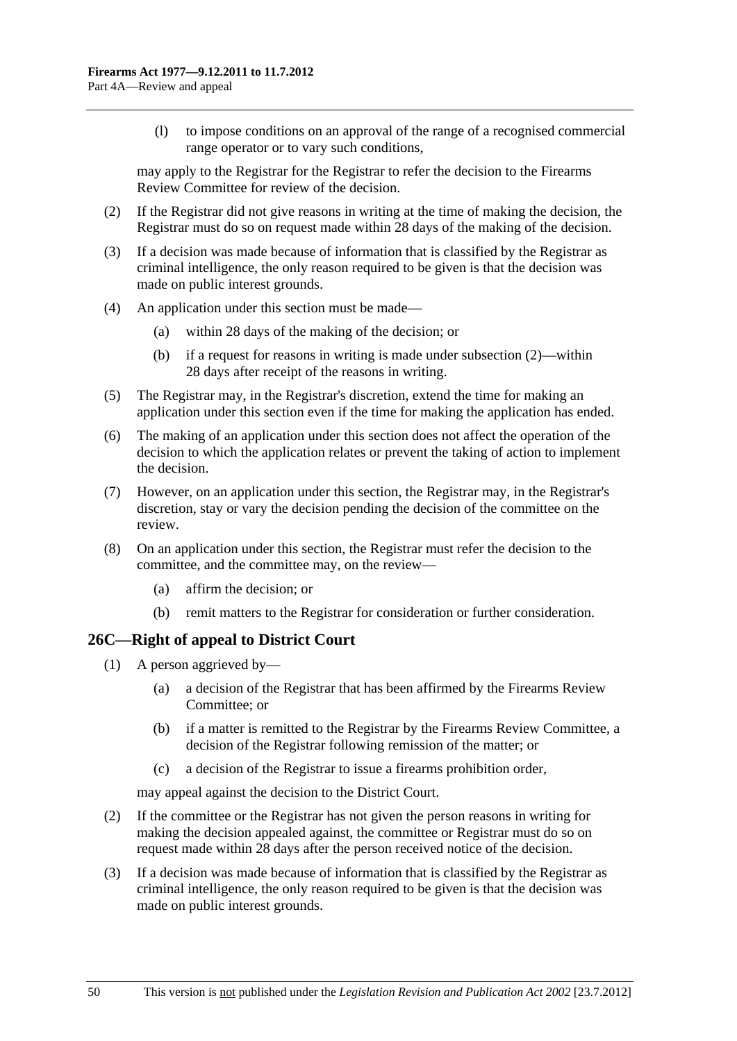<span id="page-49-0"></span> (l) to impose conditions on an approval of the range of a recognised commercial range operator or to vary such conditions,

may apply to the Registrar for the Registrar to refer the decision to the Firearms Review Committee for review of the decision.

- (2) If the Registrar did not give reasons in writing at the time of making the decision, the Registrar must do so on request made within 28 days of the making of the decision.
- (3) If a decision was made because of information that is classified by the Registrar as criminal intelligence, the only reason required to be given is that the decision was made on public interest grounds.
- (4) An application under this section must be made—
	- (a) within 28 days of the making of the decision; or
	- (b) if a request for reasons in writing is made under [subsection \(2\)](#page-49-0)—within 28 days after receipt of the reasons in writing.
- (5) The Registrar may, in the Registrar's discretion, extend the time for making an application under this section even if the time for making the application has ended.
- (6) The making of an application under this section does not affect the operation of the decision to which the application relates or prevent the taking of action to implement the decision.
- (7) However, on an application under this section, the Registrar may, in the Registrar's discretion, stay or vary the decision pending the decision of the committee on the review.
- (8) On an application under this section, the Registrar must refer the decision to the committee, and the committee may, on the review—
	- (a) affirm the decision; or
	- (b) remit matters to the Registrar for consideration or further consideration.

## **26C—Right of appeal to District Court**

- (1) A person aggrieved by—
	- (a) a decision of the Registrar that has been affirmed by the Firearms Review Committee; or
	- (b) if a matter is remitted to the Registrar by the Firearms Review Committee, a decision of the Registrar following remission of the matter; or
	- (c) a decision of the Registrar to issue a firearms prohibition order,

may appeal against the decision to the District Court.

- (2) If the committee or the Registrar has not given the person reasons in writing for making the decision appealed against, the committee or Registrar must do so on request made within 28 days after the person received notice of the decision.
- (3) If a decision was made because of information that is classified by the Registrar as criminal intelligence, the only reason required to be given is that the decision was made on public interest grounds.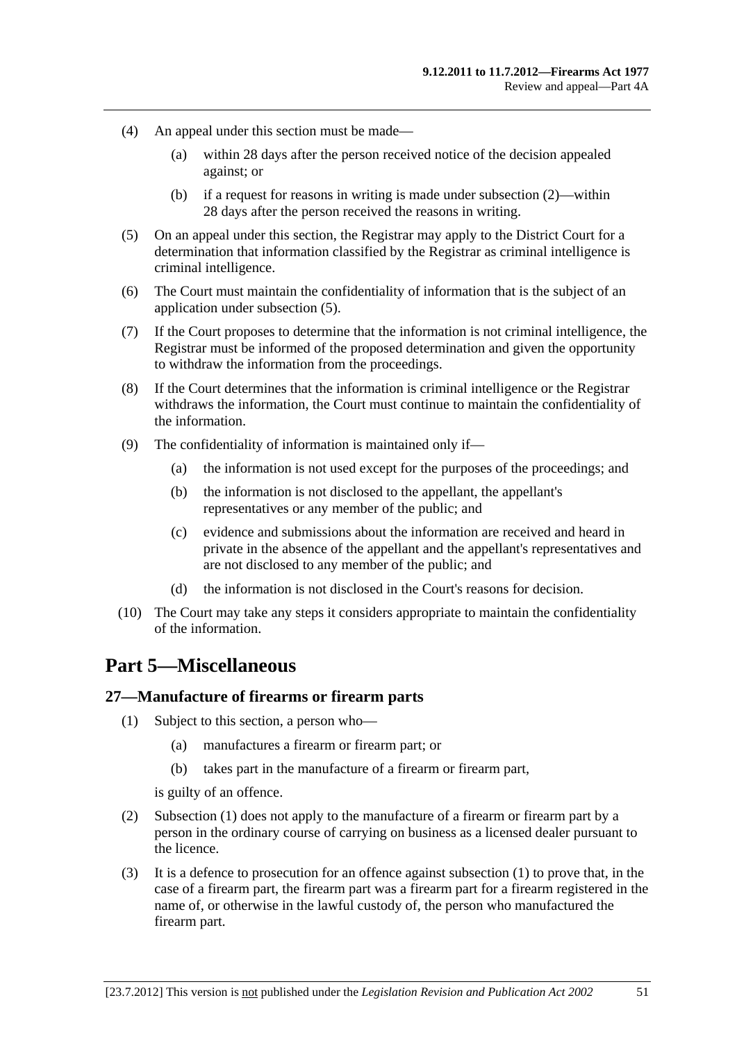- <span id="page-50-0"></span> (4) An appeal under this section must be made—
	- (a) within 28 days after the person received notice of the decision appealed against; or
	- (b) if a request for reasons in writing is made under [subsection \(2\)](#page-49-0)—within 28 days after the person received the reasons in writing.
- (5) On an appeal under this section, the Registrar may apply to the District Court for a determination that information classified by the Registrar as criminal intelligence is criminal intelligence.
- (6) The Court must maintain the confidentiality of information that is the subject of an application under [subsection \(5\).](#page-50-0)
- (7) If the Court proposes to determine that the information is not criminal intelligence, the Registrar must be informed of the proposed determination and given the opportunity to withdraw the information from the proceedings.
- (8) If the Court determines that the information is criminal intelligence or the Registrar withdraws the information, the Court must continue to maintain the confidentiality of the information.
- (9) The confidentiality of information is maintained only if—
	- (a) the information is not used except for the purposes of the proceedings; and
	- (b) the information is not disclosed to the appellant, the appellant's representatives or any member of the public; and
	- (c) evidence and submissions about the information are received and heard in private in the absence of the appellant and the appellant's representatives and are not disclosed to any member of the public; and
	- (d) the information is not disclosed in the Court's reasons for decision.
- (10) The Court may take any steps it considers appropriate to maintain the confidentiality of the information.

# **Part 5—Miscellaneous**

#### **27—Manufacture of firearms or firearm parts**

- (1) Subject to this section, a person who—
	- (a) manufactures a firearm or firearm part; or
	- (b) takes part in the manufacture of a firearm or firearm part,

is guilty of an offence.

- (2) [Subsection \(1\)](#page-50-0) does not apply to the manufacture of a firearm or firearm part by a person in the ordinary course of carrying on business as a licensed dealer pursuant to the licence.
- (3) It is a defence to prosecution for an offence against [subsection \(1\)](#page-50-0) to prove that, in the case of a firearm part, the firearm part was a firearm part for a firearm registered in the name of, or otherwise in the lawful custody of, the person who manufactured the firearm part.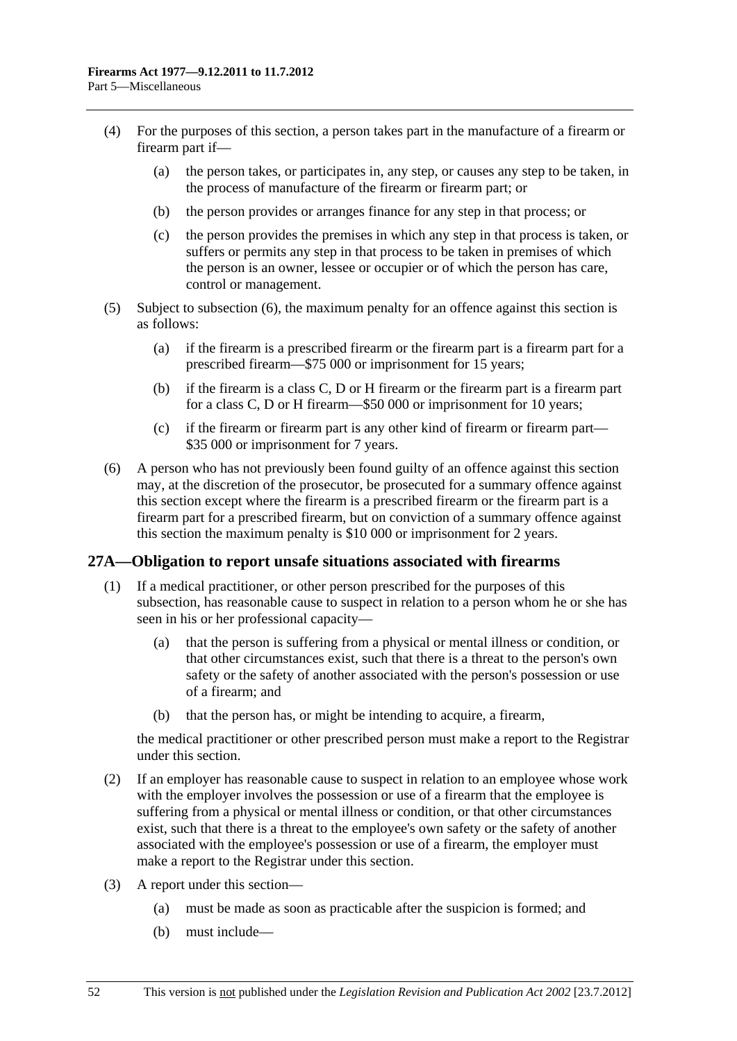- <span id="page-51-0"></span> (4) For the purposes of this section, a person takes part in the manufacture of a firearm or firearm part if—
	- (a) the person takes, or participates in, any step, or causes any step to be taken, in the process of manufacture of the firearm or firearm part; or
	- (b) the person provides or arranges finance for any step in that process; or
	- (c) the person provides the premises in which any step in that process is taken, or suffers or permits any step in that process to be taken in premises of which the person is an owner, lessee or occupier or of which the person has care, control or management.
- (5) Subject to [subsection \(6\),](#page-51-0) the maximum penalty for an offence against this section is as follows:
	- (a) if the firearm is a prescribed firearm or the firearm part is a firearm part for a prescribed firearm—\$75 000 or imprisonment for 15 years;
	- (b) if the firearm is a class C, D or H firearm or the firearm part is a firearm part for a class C, D or H firearm—\$50 000 or imprisonment for 10 years;
	- (c) if the firearm or firearm part is any other kind of firearm or firearm part— \$35 000 or imprisonment for 7 years.
- (6) A person who has not previously been found guilty of an offence against this section may, at the discretion of the prosecutor, be prosecuted for a summary offence against this section except where the firearm is a prescribed firearm or the firearm part is a firearm part for a prescribed firearm, but on conviction of a summary offence against this section the maximum penalty is \$10 000 or imprisonment for 2 years.

#### **27A—Obligation to report unsafe situations associated with firearms**

- (1) If a medical practitioner, or other person prescribed for the purposes of this subsection, has reasonable cause to suspect in relation to a person whom he or she has seen in his or her professional capacity—
	- (a) that the person is suffering from a physical or mental illness or condition, or that other circumstances exist, such that there is a threat to the person's own safety or the safety of another associated with the person's possession or use of a firearm; and
	- (b) that the person has, or might be intending to acquire, a firearm,

the medical practitioner or other prescribed person must make a report to the Registrar under this section.

- (2) If an employer has reasonable cause to suspect in relation to an employee whose work with the employer involves the possession or use of a firearm that the employee is suffering from a physical or mental illness or condition, or that other circumstances exist, such that there is a threat to the employee's own safety or the safety of another associated with the employee's possession or use of a firearm, the employer must make a report to the Registrar under this section.
- (3) A report under this section—
	- (a) must be made as soon as practicable after the suspicion is formed; and
	- (b) must include—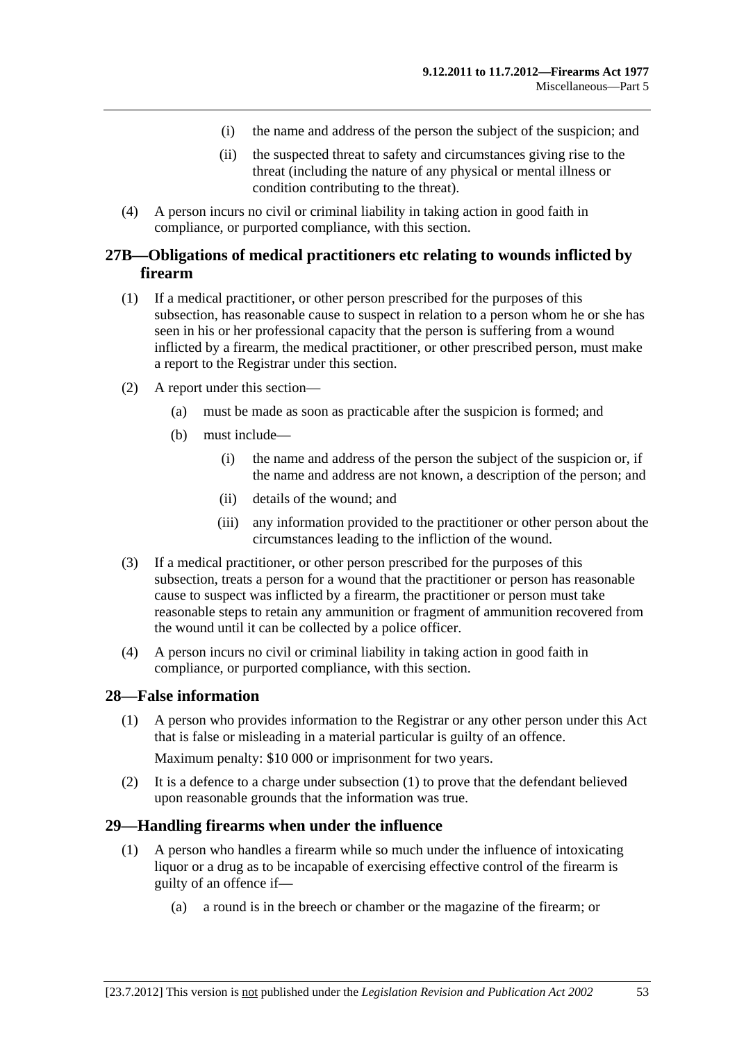- (i) the name and address of the person the subject of the suspicion; and
- (ii) the suspected threat to safety and circumstances giving rise to the threat (including the nature of any physical or mental illness or condition contributing to the threat).
- <span id="page-52-0"></span> (4) A person incurs no civil or criminal liability in taking action in good faith in compliance, or purported compliance, with this section.

## **27B—Obligations of medical practitioners etc relating to wounds inflicted by firearm**

- (1) If a medical practitioner, or other person prescribed for the purposes of this subsection, has reasonable cause to suspect in relation to a person whom he or she has seen in his or her professional capacity that the person is suffering from a wound inflicted by a firearm, the medical practitioner, or other prescribed person, must make a report to the Registrar under this section.
- (2) A report under this section—
	- (a) must be made as soon as practicable after the suspicion is formed; and
	- (b) must include—
		- (i) the name and address of the person the subject of the suspicion or, if the name and address are not known, a description of the person; and
		- (ii) details of the wound; and
		- (iii) any information provided to the practitioner or other person about the circumstances leading to the infliction of the wound.
- (3) If a medical practitioner, or other person prescribed for the purposes of this subsection, treats a person for a wound that the practitioner or person has reasonable cause to suspect was inflicted by a firearm, the practitioner or person must take reasonable steps to retain any ammunition or fragment of ammunition recovered from the wound until it can be collected by a police officer.
- (4) A person incurs no civil or criminal liability in taking action in good faith in compliance, or purported compliance, with this section.

#### **28—False information**

 (1) A person who provides information to the Registrar or any other person under this Act that is false or misleading in a material particular is guilty of an offence.

Maximum penalty: \$10 000 or imprisonment for two years.

 (2) It is a defence to a charge under [subsection \(1\)](#page-52-0) to prove that the defendant believed upon reasonable grounds that the information was true.

#### **29—Handling firearms when under the influence**

- (1) A person who handles a firearm while so much under the influence of intoxicating liquor or a drug as to be incapable of exercising effective control of the firearm is guilty of an offence if—
	- (a) a round is in the breech or chamber or the magazine of the firearm; or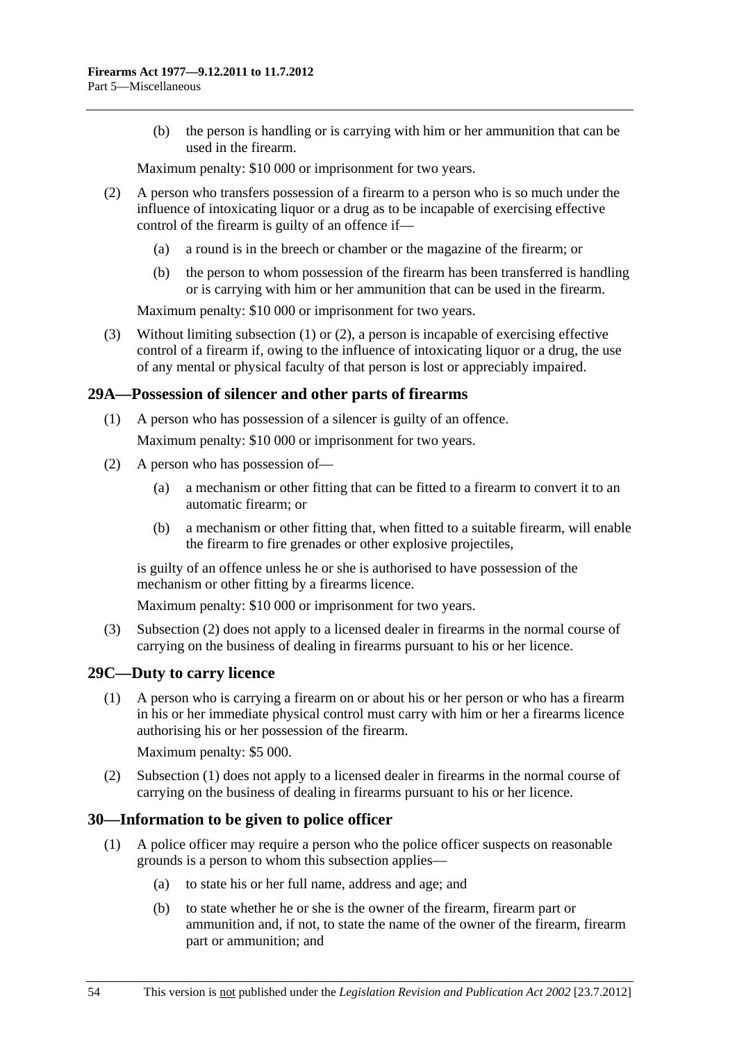<span id="page-53-0"></span> (b) the person is handling or is carrying with him or her ammunition that can be used in the firearm.

Maximum penalty: \$10 000 or imprisonment for two years.

- (2) A person who transfers possession of a firearm to a person who is so much under the influence of intoxicating liquor or a drug as to be incapable of exercising effective control of the firearm is guilty of an offence if—
	- (a) a round is in the breech or chamber or the magazine of the firearm; or
	- (b) the person to whom possession of the firearm has been transferred is handling or is carrying with him or her ammunition that can be used in the firearm.

Maximum penalty: \$10 000 or imprisonment for two years.

 (3) Without limiting [subsection \(1\)](#page-52-0) or [\(2\)](#page-53-0), a person is incapable of exercising effective control of a firearm if, owing to the influence of intoxicating liquor or a drug, the use of any mental or physical faculty of that person is lost or appreciably impaired.

## **29A—Possession of silencer and other parts of firearms**

(1) A person who has possession of a silencer is guilty of an offence.

Maximum penalty: \$10 000 or imprisonment for two years.

- (2) A person who has possession of—
	- (a) a mechanism or other fitting that can be fitted to a firearm to convert it to an automatic firearm; or
	- (b) a mechanism or other fitting that, when fitted to a suitable firearm, will enable the firearm to fire grenades or other explosive projectiles,

is guilty of an offence unless he or she is authorised to have possession of the mechanism or other fitting by a firearms licence.

Maximum penalty: \$10 000 or imprisonment for two years.

 (3) [Subsection \(2\)](#page-53-0) does not apply to a licensed dealer in firearms in the normal course of carrying on the business of dealing in firearms pursuant to his or her licence.

## **29C—Duty to carry licence**

 (1) A person who is carrying a firearm on or about his or her person or who has a firearm in his or her immediate physical control must carry with him or her a firearms licence authorising his or her possession of the firearm.

Maximum penalty: \$5 000.

 (2) [Subsection \(1\)](#page-53-0) does not apply to a licensed dealer in firearms in the normal course of carrying on the business of dealing in firearms pursuant to his or her licence.

## **30—Information to be given to police officer**

- (1) A police officer may require a person who the police officer suspects on reasonable grounds is a person to whom this subsection applies—
	- (a) to state his or her full name, address and age; and
	- (b) to state whether he or she is the owner of the firearm, firearm part or ammunition and, if not, to state the name of the owner of the firearm, firearm part or ammunition; and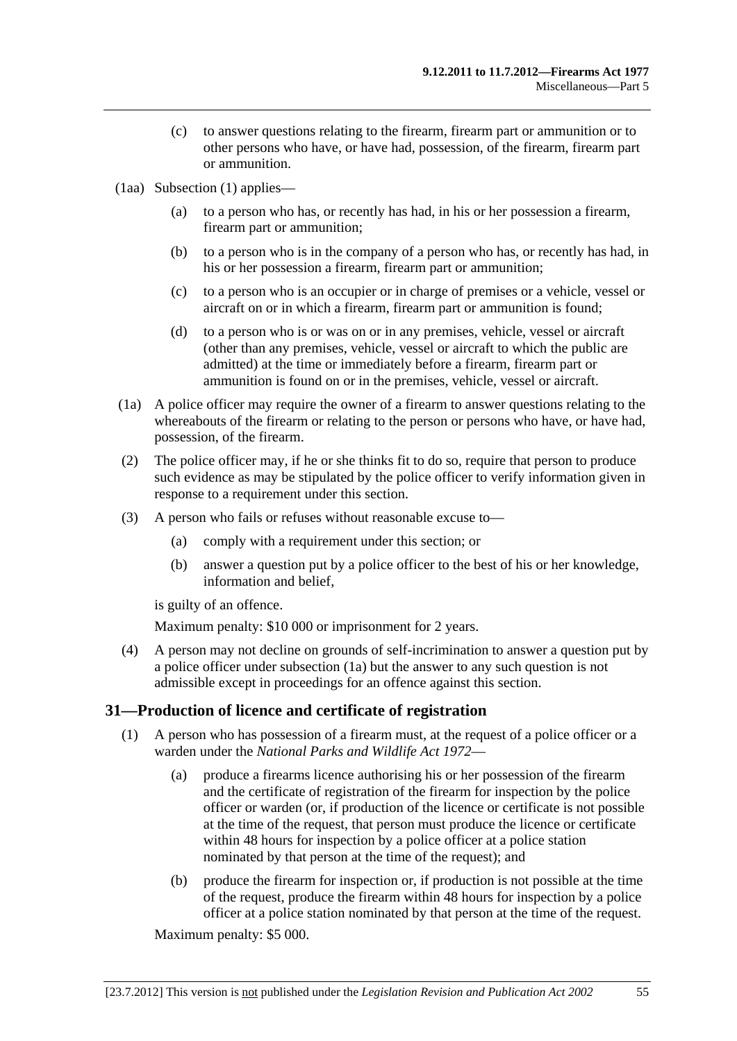- <span id="page-54-0"></span> (c) to answer questions relating to the firearm, firearm part or ammunition or to other persons who have, or have had, possession, of the firearm, firearm part or ammunition.
- (1aa) [Subsection \(1\)](#page-53-0) applies—
	- (a) to a person who has, or recently has had, in his or her possession a firearm, firearm part or ammunition;
	- (b) to a person who is in the company of a person who has, or recently has had, in his or her possession a firearm, firearm part or ammunition;
	- (c) to a person who is an occupier or in charge of premises or a vehicle, vessel or aircraft on or in which a firearm, firearm part or ammunition is found;
	- (d) to a person who is or was on or in any premises, vehicle, vessel or aircraft (other than any premises, vehicle, vessel or aircraft to which the public are admitted) at the time or immediately before a firearm, firearm part or ammunition is found on or in the premises, vehicle, vessel or aircraft.
- (1a) A police officer may require the owner of a firearm to answer questions relating to the whereabouts of the firearm or relating to the person or persons who have, or have had, possession, of the firearm.
- (2) The police officer may, if he or she thinks fit to do so, require that person to produce such evidence as may be stipulated by the police officer to verify information given in response to a requirement under this section.
- (3) A person who fails or refuses without reasonable excuse to—
	- (a) comply with a requirement under this section; or
	- (b) answer a question put by a police officer to the best of his or her knowledge, information and belief,

is guilty of an offence.

Maximum penalty: \$10 000 or imprisonment for 2 years.

 (4) A person may not decline on grounds of self-incrimination to answer a question put by a police officer under [subsection \(1a\)](#page-54-0) but the answer to any such question is not admissible except in proceedings for an offence against this section.

## **31—Production of licence and certificate of registration**

- (1) A person who has possession of a firearm must, at the request of a police officer or a warden under the *[National Parks and Wildlife Act 1972](http://www.legislation.sa.gov.au/index.aspx?action=legref&type=act&legtitle=National%20Parks%20and%20Wildlife%20Act%201972)*—
	- (a) produce a firearms licence authorising his or her possession of the firearm and the certificate of registration of the firearm for inspection by the police officer or warden (or, if production of the licence or certificate is not possible at the time of the request, that person must produce the licence or certificate within 48 hours for inspection by a police officer at a police station nominated by that person at the time of the request); and
	- (b) produce the firearm for inspection or, if production is not possible at the time of the request, produce the firearm within 48 hours for inspection by a police officer at a police station nominated by that person at the time of the request.

Maximum penalty: \$5 000.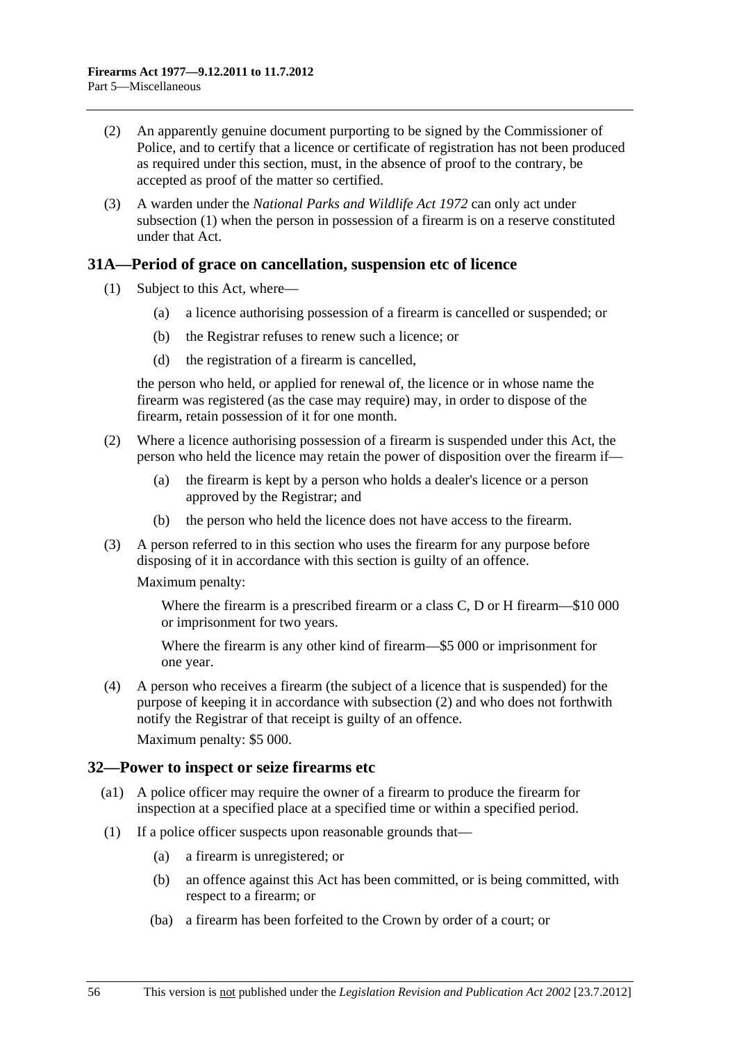- <span id="page-55-0"></span> (2) An apparently genuine document purporting to be signed by the Commissioner of Police, and to certify that a licence or certificate of registration has not been produced as required under this section, must, in the absence of proof to the contrary, be accepted as proof of the matter so certified.
- (3) A warden under the *[National Parks and Wildlife Act 1972](http://www.legislation.sa.gov.au/index.aspx?action=legref&type=act&legtitle=National%20Parks%20and%20Wildlife%20Act%201972)* can only act under [subsection \(1\)](#page-54-0) when the person in possession of a firearm is on a reserve constituted under that Act.

#### **31A—Period of grace on cancellation, suspension etc of licence**

- (1) Subject to this Act, where—
	- (a) a licence authorising possession of a firearm is cancelled or suspended; or
	- (b) the Registrar refuses to renew such a licence; or
	- (d) the registration of a firearm is cancelled,

the person who held, or applied for renewal of, the licence or in whose name the firearm was registered (as the case may require) may, in order to dispose of the firearm, retain possession of it for one month.

- (2) Where a licence authorising possession of a firearm is suspended under this Act, the person who held the licence may retain the power of disposition over the firearm if—
	- (a) the firearm is kept by a person who holds a dealer's licence or a person approved by the Registrar; and
	- (b) the person who held the licence does not have access to the firearm.
- (3) A person referred to in this section who uses the firearm for any purpose before disposing of it in accordance with this section is guilty of an offence.

Maximum penalty:

Where the firearm is a prescribed firearm or a class C, D or H firearm—\$10 000 or imprisonment for two years.

Where the firearm is any other kind of firearm—\$5 000 or imprisonment for one year.

 (4) A person who receives a firearm (the subject of a licence that is suspended) for the purpose of keeping it in accordance with [subsection \(2\)](#page-55-0) and who does not forthwith notify the Registrar of that receipt is guilty of an offence.

Maximum penalty: \$5 000.

#### **32—Power to inspect or seize firearms etc**

- (a1) A police officer may require the owner of a firearm to produce the firearm for inspection at a specified place at a specified time or within a specified period.
- (1) If a police officer suspects upon reasonable grounds that—
	- (a) a firearm is unregistered; or
	- (b) an offence against this Act has been committed, or is being committed, with respect to a firearm; or
	- (ba) a firearm has been forfeited to the Crown by order of a court; or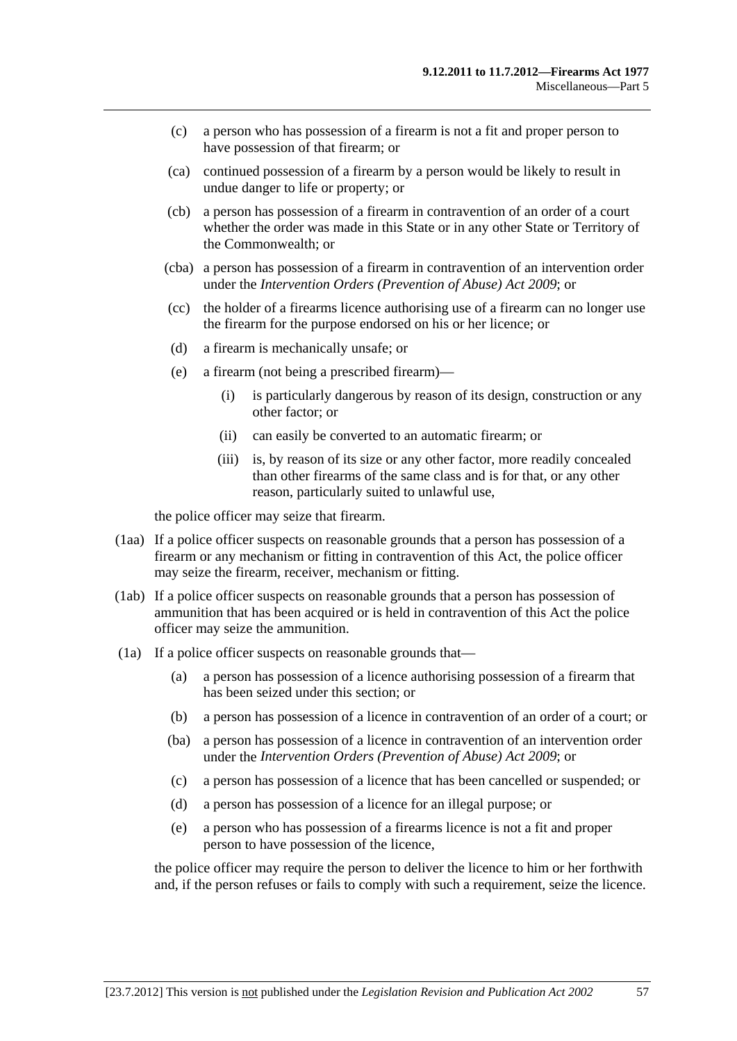- (c) a person who has possession of a firearm is not a fit and proper person to have possession of that firearm; or
- (ca) continued possession of a firearm by a person would be likely to result in undue danger to life or property; or
- (cb) a person has possession of a firearm in contravention of an order of a court whether the order was made in this State or in any other State or Territory of the Commonwealth; or
- (cba) a person has possession of a firearm in contravention of an intervention order under the *[Intervention Orders \(Prevention of Abuse\) Act 2009](http://www.legislation.sa.gov.au/index.aspx?action=legref&type=act&legtitle=Intervention%20Orders%20(Prevention%20of%20Abuse)%20Act%202009)*; or
- (cc) the holder of a firearms licence authorising use of a firearm can no longer use the firearm for the purpose endorsed on his or her licence; or
- (d) a firearm is mechanically unsafe; or
- (e) a firearm (not being a prescribed firearm)—
	- (i) is particularly dangerous by reason of its design, construction or any other factor; or
	- (ii) can easily be converted to an automatic firearm; or
	- (iii) is, by reason of its size or any other factor, more readily concealed than other firearms of the same class and is for that, or any other reason, particularly suited to unlawful use,

the police officer may seize that firearm.

- (1aa) If a police officer suspects on reasonable grounds that a person has possession of a firearm or any mechanism or fitting in contravention of this Act, the police officer may seize the firearm, receiver, mechanism or fitting.
- (1ab) If a police officer suspects on reasonable grounds that a person has possession of ammunition that has been acquired or is held in contravention of this Act the police officer may seize the ammunition.
- (1a) If a police officer suspects on reasonable grounds that—
	- (a) a person has possession of a licence authorising possession of a firearm that has been seized under this section; or
	- (b) a person has possession of a licence in contravention of an order of a court; or
	- (ba) a person has possession of a licence in contravention of an intervention order under the *[Intervention Orders \(Prevention of Abuse\) Act 2009](http://www.legislation.sa.gov.au/index.aspx?action=legref&type=act&legtitle=Intervention%20Orders%20(Prevention%20of%20Abuse)%20Act%202009)*; or
	- (c) a person has possession of a licence that has been cancelled or suspended; or
	- (d) a person has possession of a licence for an illegal purpose; or
	- (e) a person who has possession of a firearms licence is not a fit and proper person to have possession of the licence,

the police officer may require the person to deliver the licence to him or her forthwith and, if the person refuses or fails to comply with such a requirement, seize the licence.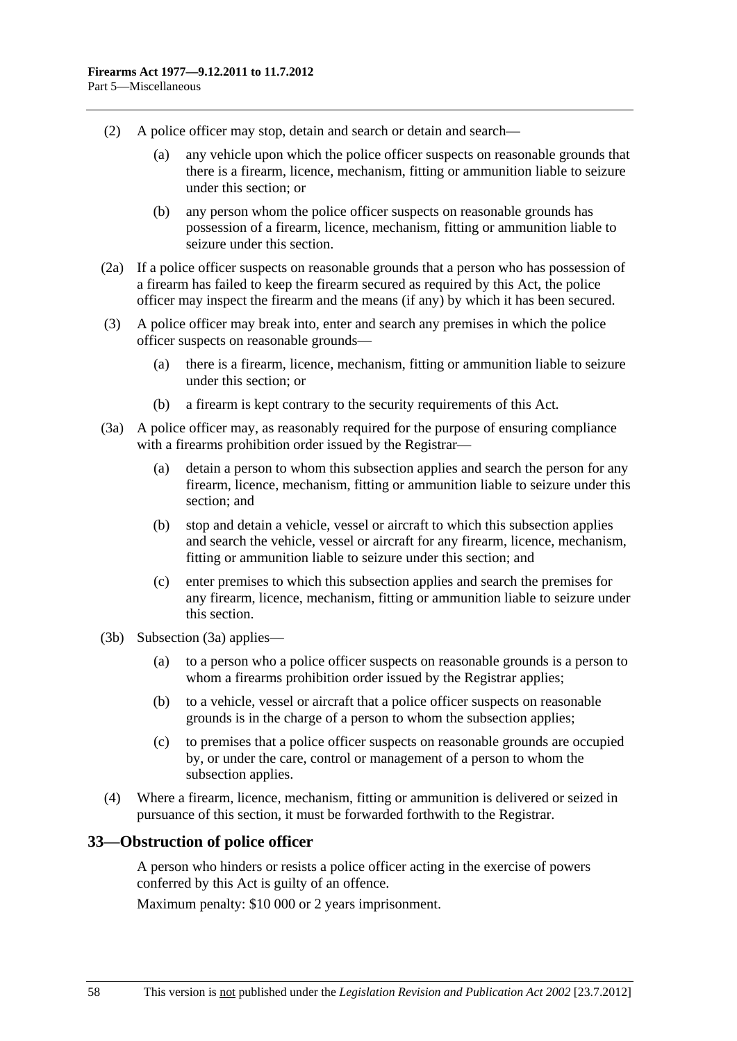- <span id="page-57-0"></span> (2) A police officer may stop, detain and search or detain and search—
	- (a) any vehicle upon which the police officer suspects on reasonable grounds that there is a firearm, licence, mechanism, fitting or ammunition liable to seizure under this section; or
	- (b) any person whom the police officer suspects on reasonable grounds has possession of a firearm, licence, mechanism, fitting or ammunition liable to seizure under this section.
- (2a) If a police officer suspects on reasonable grounds that a person who has possession of a firearm has failed to keep the firearm secured as required by this Act, the police officer may inspect the firearm and the means (if any) by which it has been secured.
- (3) A police officer may break into, enter and search any premises in which the police officer suspects on reasonable grounds—
	- (a) there is a firearm, licence, mechanism, fitting or ammunition liable to seizure under this section; or
	- (b) a firearm is kept contrary to the security requirements of this Act.
- (3a) A police officer may, as reasonably required for the purpose of ensuring compliance with a firearms prohibition order issued by the Registrar—
	- (a) detain a person to whom this subsection applies and search the person for any firearm, licence, mechanism, fitting or ammunition liable to seizure under this section; and
	- (b) stop and detain a vehicle, vessel or aircraft to which this subsection applies and search the vehicle, vessel or aircraft for any firearm, licence, mechanism, fitting or ammunition liable to seizure under this section; and
	- (c) enter premises to which this subsection applies and search the premises for any firearm, licence, mechanism, fitting or ammunition liable to seizure under this section.
- (3b) [Subsection \(3a\)](#page-57-0) applies—
	- (a) to a person who a police officer suspects on reasonable grounds is a person to whom a firearms prohibition order issued by the Registrar applies;
	- (b) to a vehicle, vessel or aircraft that a police officer suspects on reasonable grounds is in the charge of a person to whom the subsection applies;
	- (c) to premises that a police officer suspects on reasonable grounds are occupied by, or under the care, control or management of a person to whom the subsection applies.
- (4) Where a firearm, licence, mechanism, fitting or ammunition is delivered or seized in pursuance of this section, it must be forwarded forthwith to the Registrar.

#### **33—Obstruction of police officer**

A person who hinders or resists a police officer acting in the exercise of powers conferred by this Act is guilty of an offence.

Maximum penalty: \$10 000 or 2 years imprisonment.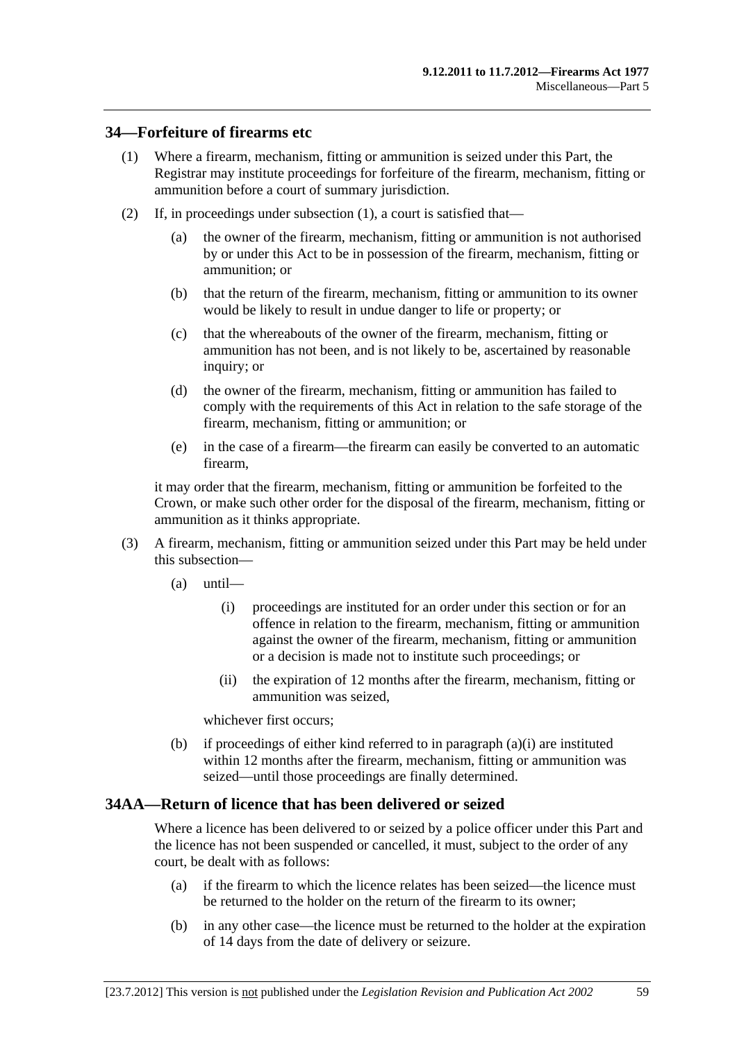#### <span id="page-58-0"></span>**34—Forfeiture of firearms etc**

- (1) Where a firearm, mechanism, fitting or ammunition is seized under this Part, the Registrar may institute proceedings for forfeiture of the firearm, mechanism, fitting or ammunition before a court of summary jurisdiction.
- (2) If, in proceedings under [subsection \(1\)](#page-58-0), a court is satisfied that—
	- (a) the owner of the firearm, mechanism, fitting or ammunition is not authorised by or under this Act to be in possession of the firearm, mechanism, fitting or ammunition; or
	- (b) that the return of the firearm, mechanism, fitting or ammunition to its owner would be likely to result in undue danger to life or property; or
	- (c) that the whereabouts of the owner of the firearm, mechanism, fitting or ammunition has not been, and is not likely to be, ascertained by reasonable inquiry; or
	- (d) the owner of the firearm, mechanism, fitting or ammunition has failed to comply with the requirements of this Act in relation to the safe storage of the firearm, mechanism, fitting or ammunition; or
	- (e) in the case of a firearm—the firearm can easily be converted to an automatic firearm,

it may order that the firearm, mechanism, fitting or ammunition be forfeited to the Crown, or make such other order for the disposal of the firearm, mechanism, fitting or ammunition as it thinks appropriate.

- (3) A firearm, mechanism, fitting or ammunition seized under this Part may be held under this subsection—
	- (a) until—
		- (i) proceedings are instituted for an order under this section or for an offence in relation to the firearm, mechanism, fitting or ammunition against the owner of the firearm, mechanism, fitting or ammunition or a decision is made not to institute such proceedings; or
		- (ii) the expiration of 12 months after the firearm, mechanism, fitting or ammunition was seized,

whichever first occurs;

 (b) if proceedings of either kind referred to in [paragraph \(a\)\(i\)](#page-58-0) are instituted within 12 months after the firearm, mechanism, fitting or ammunition was seized—until those proceedings are finally determined.

#### **34AA—Return of licence that has been delivered or seized**

Where a licence has been delivered to or seized by a police officer under this Part and the licence has not been suspended or cancelled, it must, subject to the order of any court, be dealt with as follows:

- (a) if the firearm to which the licence relates has been seized—the licence must be returned to the holder on the return of the firearm to its owner;
- (b) in any other case—the licence must be returned to the holder at the expiration of 14 days from the date of delivery or seizure.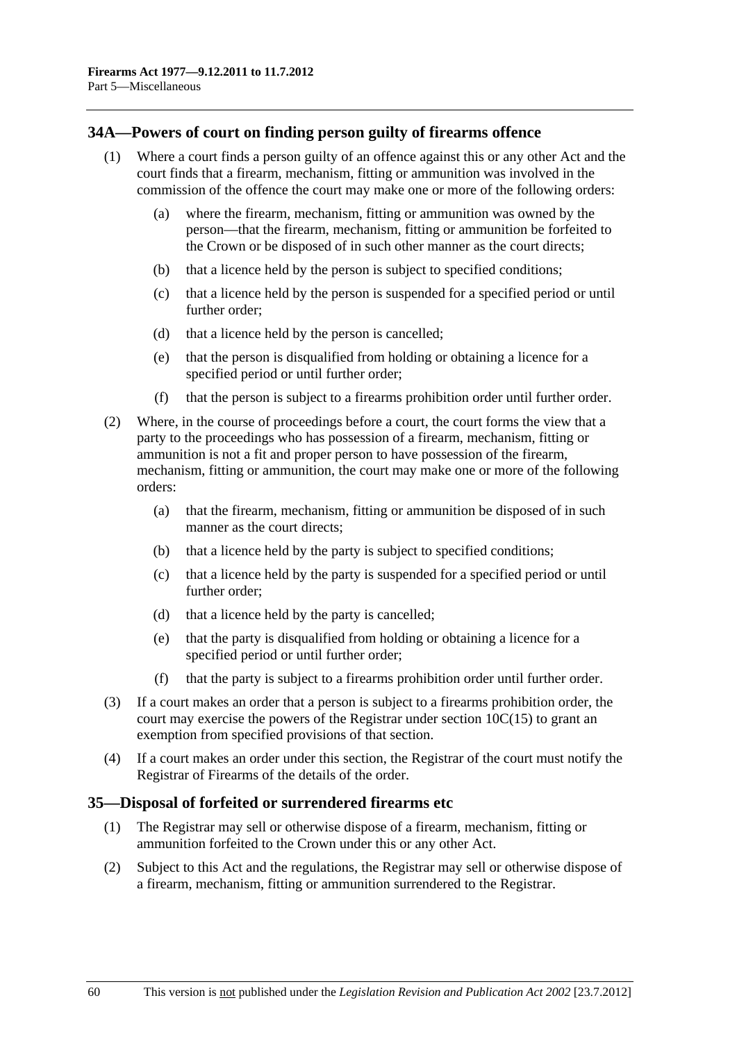## **34A—Powers of court on finding person guilty of firearms offence**

- (1) Where a court finds a person guilty of an offence against this or any other Act and the court finds that a firearm, mechanism, fitting or ammunition was involved in the commission of the offence the court may make one or more of the following orders:
	- (a) where the firearm, mechanism, fitting or ammunition was owned by the person—that the firearm, mechanism, fitting or ammunition be forfeited to the Crown or be disposed of in such other manner as the court directs;
	- (b) that a licence held by the person is subject to specified conditions;
	- (c) that a licence held by the person is suspended for a specified period or until further order;
	- (d) that a licence held by the person is cancelled;
	- (e) that the person is disqualified from holding or obtaining a licence for a specified period or until further order;
	- (f) that the person is subject to a firearms prohibition order until further order.
- (2) Where, in the course of proceedings before a court, the court forms the view that a party to the proceedings who has possession of a firearm, mechanism, fitting or ammunition is not a fit and proper person to have possession of the firearm, mechanism, fitting or ammunition, the court may make one or more of the following orders:
	- (a) that the firearm, mechanism, fitting or ammunition be disposed of in such manner as the court directs;
	- (b) that a licence held by the party is subject to specified conditions;
	- (c) that a licence held by the party is suspended for a specified period or until further order;
	- (d) that a licence held by the party is cancelled;
	- (e) that the party is disqualified from holding or obtaining a licence for a specified period or until further order;
	- (f) that the party is subject to a firearms prohibition order until further order.
- (3) If a court makes an order that a person is subject to a firearms prohibition order, the court may exercise the powers of the Registrar under section  $10C(15)$  to grant an exemption from specified provisions of that section.
- (4) If a court makes an order under this section, the Registrar of the court must notify the Registrar of Firearms of the details of the order.

#### **35—Disposal of forfeited or surrendered firearms etc**

- (1) The Registrar may sell or otherwise dispose of a firearm, mechanism, fitting or ammunition forfeited to the Crown under this or any other Act.
- (2) Subject to this Act and the regulations, the Registrar may sell or otherwise dispose of a firearm, mechanism, fitting or ammunition surrendered to the Registrar.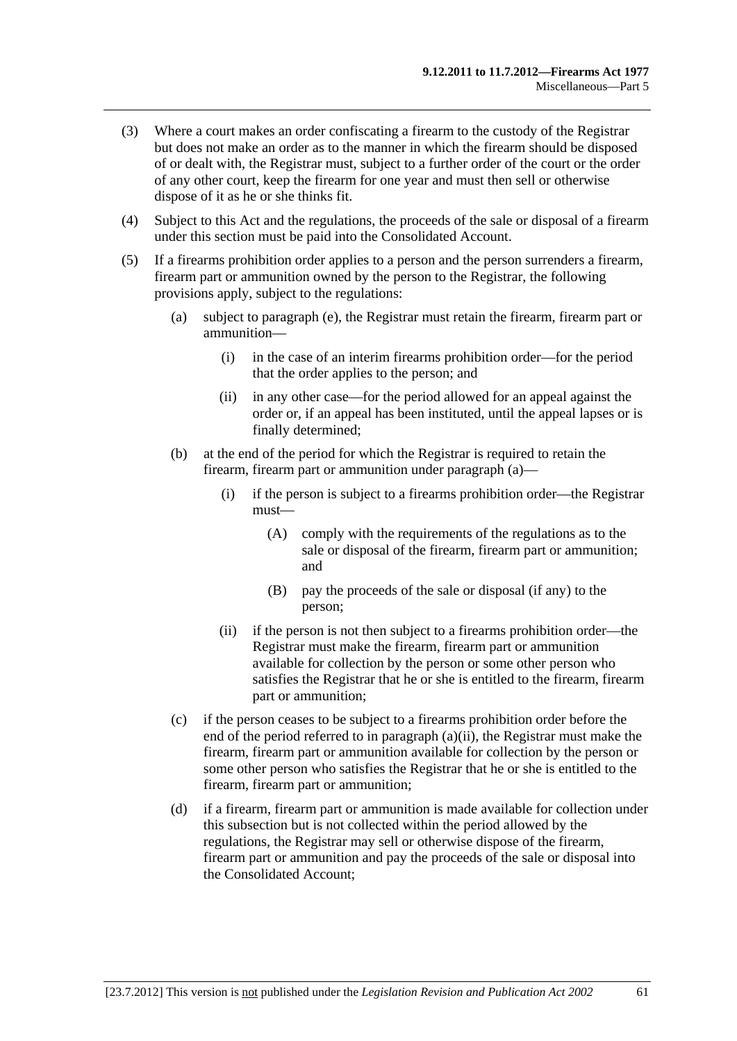- <span id="page-60-0"></span> (3) Where a court makes an order confiscating a firearm to the custody of the Registrar but does not make an order as to the manner in which the firearm should be disposed of or dealt with, the Registrar must, subject to a further order of the court or the order of any other court, keep the firearm for one year and must then sell or otherwise dispose of it as he or she thinks fit.
- (4) Subject to this Act and the regulations, the proceeds of the sale or disposal of a firearm under this section must be paid into the Consolidated Account.
- (5) If a firearms prohibition order applies to a person and the person surrenders a firearm, firearm part or ammunition owned by the person to the Registrar, the following provisions apply, subject to the regulations:
	- (a) subject to [paragraph \(e\)](#page-61-0), the Registrar must retain the firearm, firearm part or ammunition—
		- (i) in the case of an interim firearms prohibition order—for the period that the order applies to the person; and
		- (ii) in any other case—for the period allowed for an appeal against the order or, if an appeal has been instituted, until the appeal lapses or is finally determined;
	- (b) at the end of the period for which the Registrar is required to retain the firearm, firearm part or ammunition under [paragraph \(a\)](#page-60-0)—
		- (i) if the person is subject to a firearms prohibition order—the Registrar must—
			- (A) comply with the requirements of the regulations as to the sale or disposal of the firearm, firearm part or ammunition; and
			- (B) pay the proceeds of the sale or disposal (if any) to the person;
		- (ii) if the person is not then subject to a firearms prohibition order—the Registrar must make the firearm, firearm part or ammunition available for collection by the person or some other person who satisfies the Registrar that he or she is entitled to the firearm, firearm part or ammunition;
	- (c) if the person ceases to be subject to a firearms prohibition order before the end of the period referred to in [paragraph \(a\)\(ii\)](#page-60-0), the Registrar must make the firearm, firearm part or ammunition available for collection by the person or some other person who satisfies the Registrar that he or she is entitled to the firearm, firearm part or ammunition;
	- (d) if a firearm, firearm part or ammunition is made available for collection under this subsection but is not collected within the period allowed by the regulations, the Registrar may sell or otherwise dispose of the firearm, firearm part or ammunition and pay the proceeds of the sale or disposal into the Consolidated Account;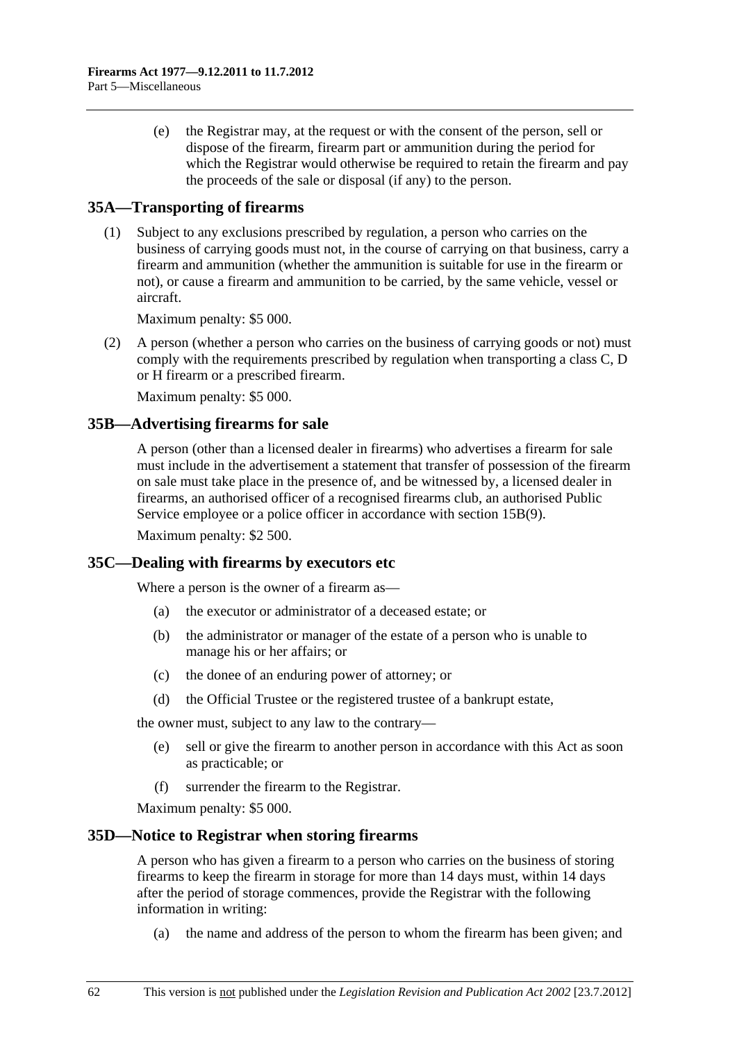<span id="page-61-0"></span> (e) the Registrar may, at the request or with the consent of the person, sell or dispose of the firearm, firearm part or ammunition during the period for which the Registrar would otherwise be required to retain the firearm and pay the proceeds of the sale or disposal (if any) to the person.

# **35A—Transporting of firearms**

 (1) Subject to any exclusions prescribed by regulation, a person who carries on the business of carrying goods must not, in the course of carrying on that business, carry a firearm and ammunition (whether the ammunition is suitable for use in the firearm or not), or cause a firearm and ammunition to be carried, by the same vehicle, vessel or aircraft.

Maximum penalty: \$5 000.

 (2) A person (whether a person who carries on the business of carrying goods or not) must comply with the requirements prescribed by regulation when transporting a class C, D or H firearm or a prescribed firearm.

Maximum penalty: \$5 000.

# **35B—Advertising firearms for sale**

A person (other than a licensed dealer in firearms) who advertises a firearm for sale must include in the advertisement a statement that transfer of possession of the firearm on sale must take place in the presence of, and be witnessed by, a licensed dealer in firearms, an authorised officer of a recognised firearms club, an authorised Public Service employee or a police officer in accordance with [section 15B\(9\)](#page-32-0).

Maximum penalty: \$2 500.

## **35C—Dealing with firearms by executors etc**

Where a person is the owner of a firearm as—

- (a) the executor or administrator of a deceased estate; or
- (b) the administrator or manager of the estate of a person who is unable to manage his or her affairs; or
- (c) the donee of an enduring power of attorney; or
- (d) the Official Trustee or the registered trustee of a bankrupt estate,

the owner must, subject to any law to the contrary—

- (e) sell or give the firearm to another person in accordance with this Act as soon as practicable; or
- (f) surrender the firearm to the Registrar.

Maximum penalty: \$5 000.

## **35D—Notice to Registrar when storing firearms**

A person who has given a firearm to a person who carries on the business of storing firearms to keep the firearm in storage for more than 14 days must, within 14 days after the period of storage commences, provide the Registrar with the following information in writing:

(a) the name and address of the person to whom the firearm has been given; and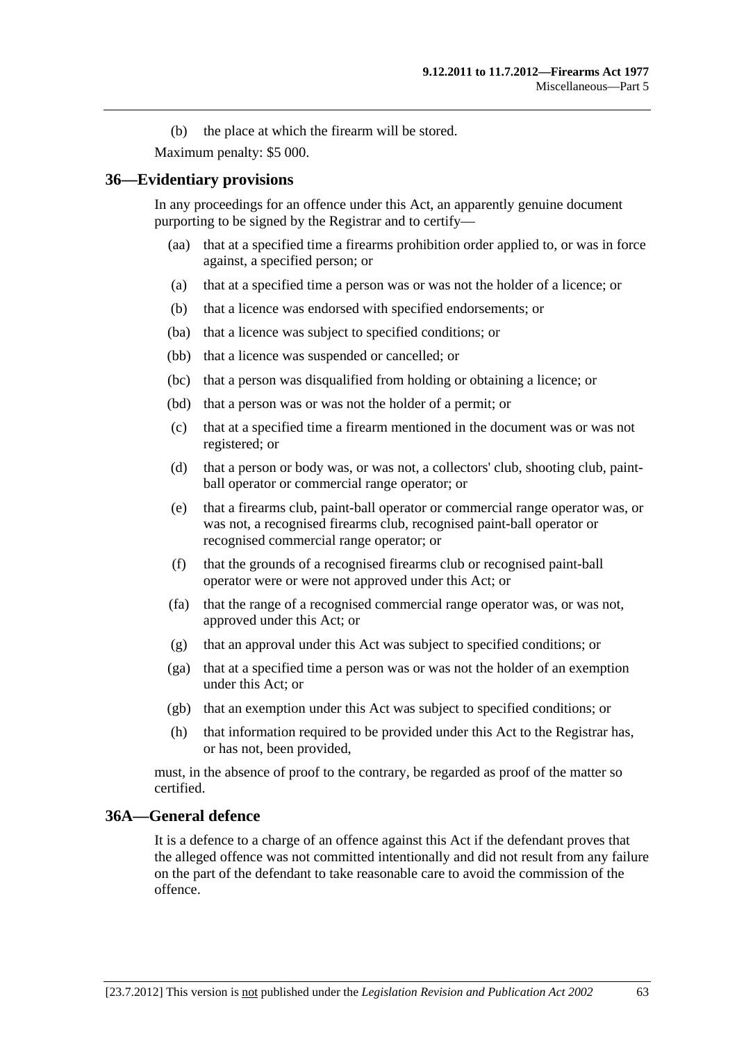(b) the place at which the firearm will be stored.

Maximum penalty: \$5 000.

## **36—Evidentiary provisions**

In any proceedings for an offence under this Act, an apparently genuine document purporting to be signed by the Registrar and to certify—

- (aa) that at a specified time a firearms prohibition order applied to, or was in force against, a specified person; or
- (a) that at a specified time a person was or was not the holder of a licence; or
- (b) that a licence was endorsed with specified endorsements; or
- (ba) that a licence was subject to specified conditions; or
- (bb) that a licence was suspended or cancelled; or
- (bc) that a person was disqualified from holding or obtaining a licence; or
- (bd) that a person was or was not the holder of a permit; or
- (c) that at a specified time a firearm mentioned in the document was or was not registered; or
- (d) that a person or body was, or was not, a collectors' club, shooting club, paintball operator or commercial range operator; or
- (e) that a firearms club, paint-ball operator or commercial range operator was, or was not, a recognised firearms club, recognised paint-ball operator or recognised commercial range operator; or
- (f) that the grounds of a recognised firearms club or recognised paint-ball operator were or were not approved under this Act; or
- (fa) that the range of a recognised commercial range operator was, or was not, approved under this Act; or
- (g) that an approval under this Act was subject to specified conditions; or
- (ga) that at a specified time a person was or was not the holder of an exemption under this Act; or
- (gb) that an exemption under this Act was subject to specified conditions; or
- (h) that information required to be provided under this Act to the Registrar has, or has not, been provided,

must, in the absence of proof to the contrary, be regarded as proof of the matter so certified.

## **36A—General defence**

It is a defence to a charge of an offence against this Act if the defendant proves that the alleged offence was not committed intentionally and did not result from any failure on the part of the defendant to take reasonable care to avoid the commission of the offence.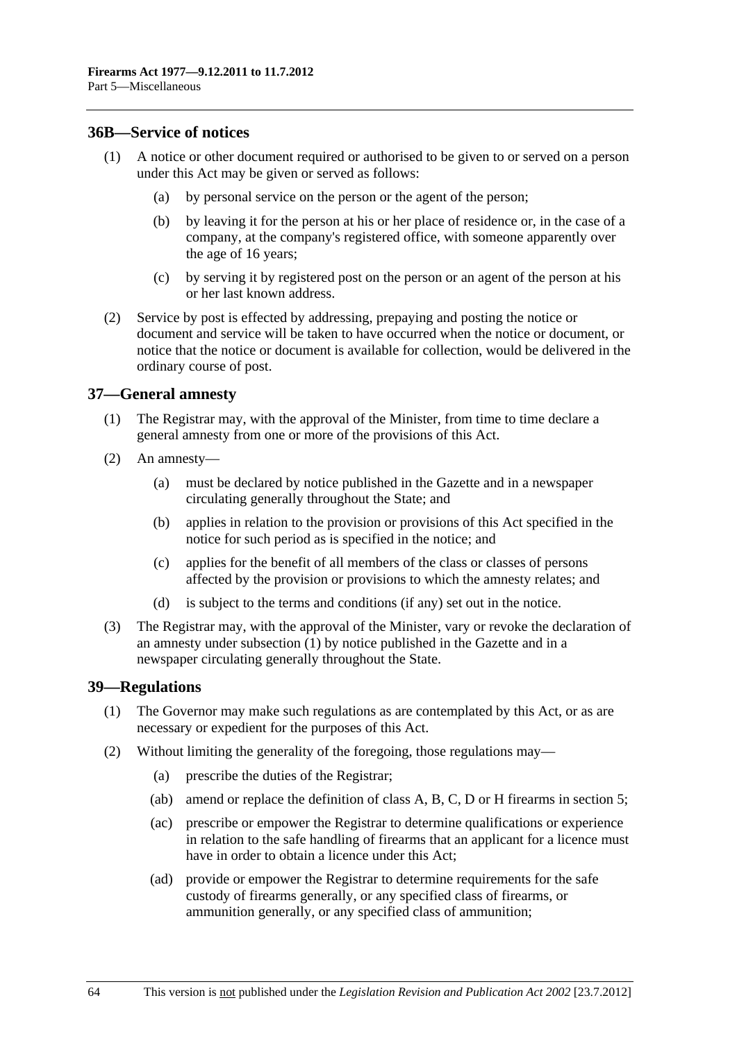#### <span id="page-63-0"></span>**36B—Service of notices**

- (1) A notice or other document required or authorised to be given to or served on a person under this Act may be given or served as follows:
	- (a) by personal service on the person or the agent of the person;
	- (b) by leaving it for the person at his or her place of residence or, in the case of a company, at the company's registered office, with someone apparently over the age of 16 years;
	- (c) by serving it by registered post on the person or an agent of the person at his or her last known address.
- (2) Service by post is effected by addressing, prepaying and posting the notice or document and service will be taken to have occurred when the notice or document, or notice that the notice or document is available for collection, would be delivered in the ordinary course of post.

## **37—General amnesty**

- (1) The Registrar may, with the approval of the Minister, from time to time declare a general amnesty from one or more of the provisions of this Act.
- (2) An amnesty—
	- (a) must be declared by notice published in the Gazette and in a newspaper circulating generally throughout the State; and
	- (b) applies in relation to the provision or provisions of this Act specified in the notice for such period as is specified in the notice; and
	- (c) applies for the benefit of all members of the class or classes of persons affected by the provision or provisions to which the amnesty relates; and
	- (d) is subject to the terms and conditions (if any) set out in the notice.
- (3) The Registrar may, with the approval of the Minister, vary or revoke the declaration of an amnesty under [subsection \(1\)](#page-63-0) by notice published in the Gazette and in a newspaper circulating generally throughout the State.

#### **39—Regulations**

- (1) The Governor may make such regulations as are contemplated by this Act, or as are necessary or expedient for the purposes of this Act.
- (2) Without limiting the generality of the foregoing, those regulations may—
	- (a) prescribe the duties of the Registrar;
	- (ab) amend or replace the definition of class A, B, C, D or H firearms in [section 5](#page-2-0);
	- (ac) prescribe or empower the Registrar to determine qualifications or experience in relation to the safe handling of firearms that an applicant for a licence must have in order to obtain a licence under this Act;
	- (ad) provide or empower the Registrar to determine requirements for the safe custody of firearms generally, or any specified class of firearms, or ammunition generally, or any specified class of ammunition;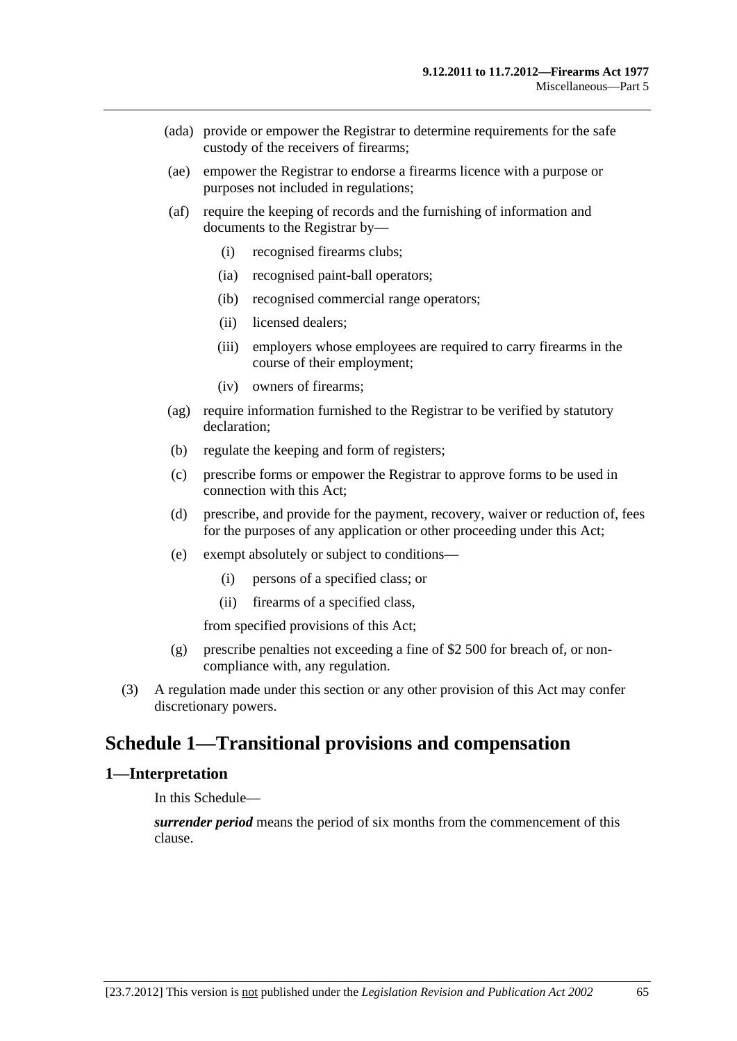- (ada) provide or empower the Registrar to determine requirements for the safe custody of the receivers of firearms;
- (ae) empower the Registrar to endorse a firearms licence with a purpose or purposes not included in regulations;
- (af) require the keeping of records and the furnishing of information and documents to the Registrar by—
	- (i) recognised firearms clubs;
	- (ia) recognised paint-ball operators;
	- (ib) recognised commercial range operators;
	- (ii) licensed dealers;
	- (iii) employers whose employees are required to carry firearms in the course of their employment;
	- (iv) owners of firearms;
- (ag) require information furnished to the Registrar to be verified by statutory declaration;
- (b) regulate the keeping and form of registers;
- (c) prescribe forms or empower the Registrar to approve forms to be used in connection with this Act;
- (d) prescribe, and provide for the payment, recovery, waiver or reduction of, fees for the purposes of any application or other proceeding under this Act;
- (e) exempt absolutely or subject to conditions—
	- (i) persons of a specified class; or
	- (ii) firearms of a specified class,

from specified provisions of this Act;

- (g) prescribe penalties not exceeding a fine of \$2 500 for breach of, or noncompliance with, any regulation.
- (3) A regulation made under this section or any other provision of this Act may confer discretionary powers.

# **Schedule 1—Transitional provisions and compensation**

#### **1—Interpretation**

In this Schedule—

*surrender period* means the period of six months from the commencement of this clause.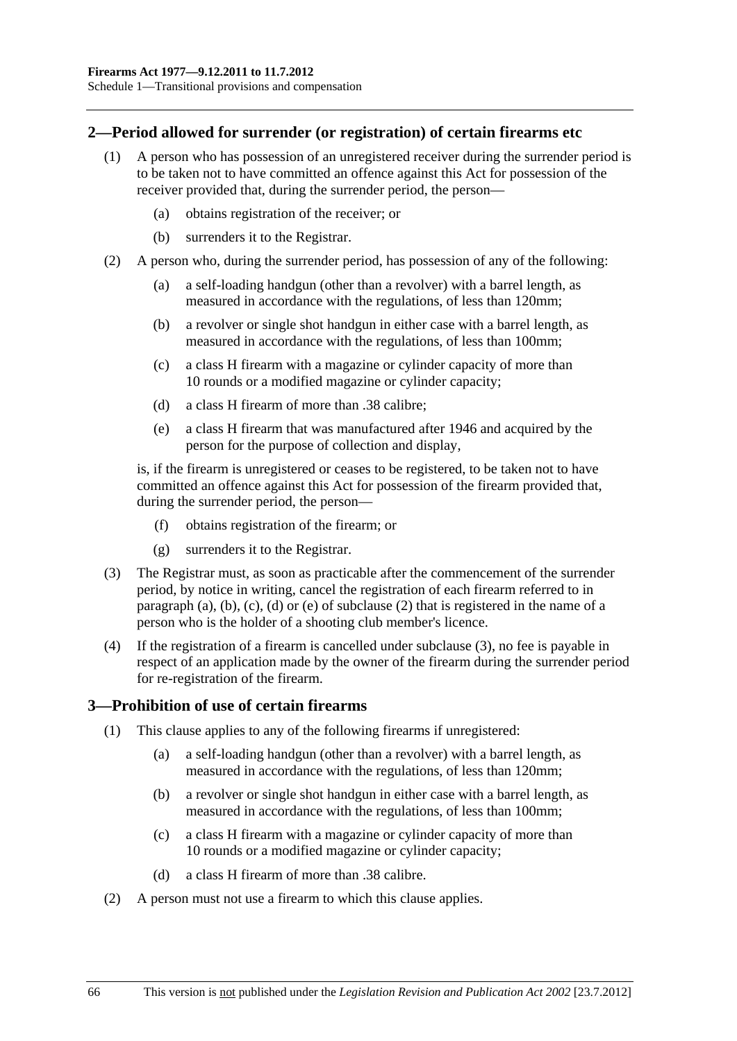<span id="page-65-0"></span>Schedule 1—Transitional provisions and compensation

#### **2—Period allowed for surrender (or registration) of certain firearms etc**

- (1) A person who has possession of an unregistered receiver during the surrender period is to be taken not to have committed an offence against this Act for possession of the receiver provided that, during the surrender period, the person—
	- (a) obtains registration of the receiver; or
	- (b) surrenders it to the Registrar.
- (2) A person who, during the surrender period, has possession of any of the following:
	- (a) a self-loading handgun (other than a revolver) with a barrel length, as measured in accordance with the regulations, of less than 120mm;
	- (b) a revolver or single shot handgun in either case with a barrel length, as measured in accordance with the regulations, of less than 100mm;
	- (c) a class H firearm with a magazine or cylinder capacity of more than 10 rounds or a modified magazine or cylinder capacity;
	- (d) a class H firearm of more than .38 calibre;
	- (e) a class H firearm that was manufactured after 1946 and acquired by the person for the purpose of collection and display,

is, if the firearm is unregistered or ceases to be registered, to be taken not to have committed an offence against this Act for possession of the firearm provided that, during the surrender period, the person—

- (f) obtains registration of the firearm; or
- (g) surrenders it to the Registrar.
- (3) The Registrar must, as soon as practicable after the commencement of the surrender period, by notice in writing, cancel the registration of each firearm referred to in [paragraph \(a\)](#page-65-0), [\(b\)](#page-65-0), [\(c\),](#page-65-0) [\(d\)](#page-65-0) or [\(e\)](#page-65-0) of [subclause \(2\)](#page-65-0) that is registered in the name of a person who is the holder of a shooting club member's licence.
- (4) If the registration of a firearm is cancelled under [subclause \(3\)](#page-65-0), no fee is payable in respect of an application made by the owner of the firearm during the surrender period for re-registration of the firearm.

## **3—Prohibition of use of certain firearms**

- (1) This clause applies to any of the following firearms if unregistered:
	- (a) a self-loading handgun (other than a revolver) with a barrel length, as measured in accordance with the regulations, of less than 120mm;
	- (b) a revolver or single shot handgun in either case with a barrel length, as measured in accordance with the regulations, of less than 100mm;
	- (c) a class H firearm with a magazine or cylinder capacity of more than 10 rounds or a modified magazine or cylinder capacity;
	- (d) a class H firearm of more than .38 calibre.
- (2) A person must not use a firearm to which this clause applies.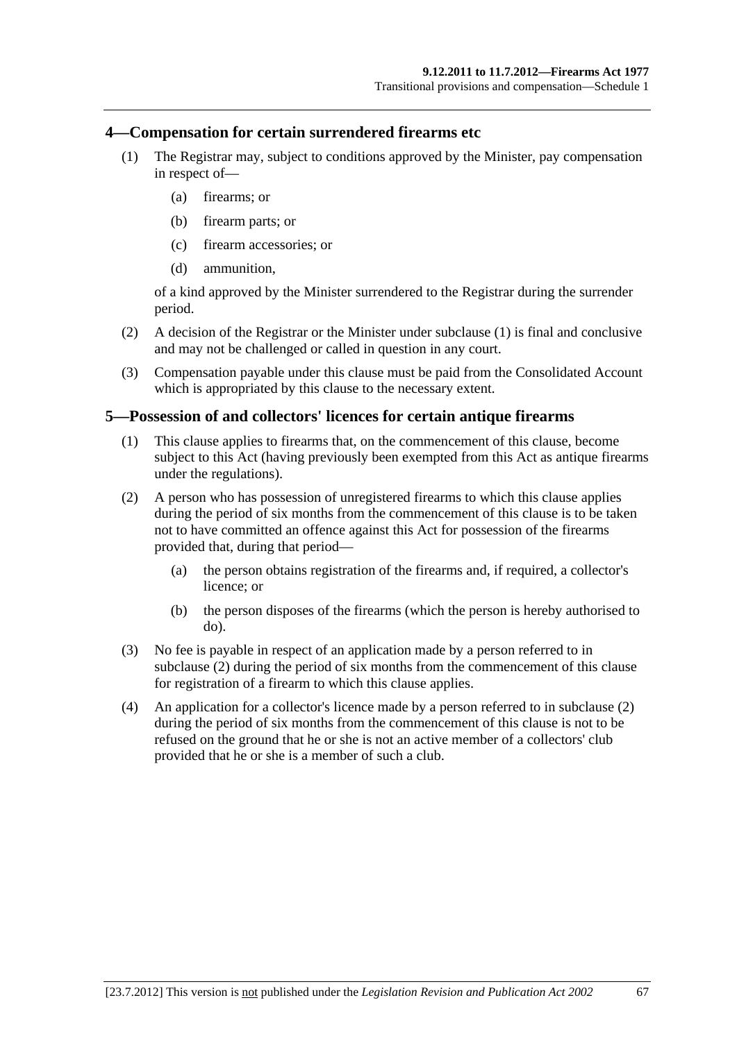#### <span id="page-66-0"></span>**4—Compensation for certain surrendered firearms etc**

- (1) The Registrar may, subject to conditions approved by the Minister, pay compensation in respect of—
	- (a) firearms; or
	- (b) firearm parts; or
	- (c) firearm accessories; or
	- (d) ammunition,

of a kind approved by the Minister surrendered to the Registrar during the surrender period.

- (2) A decision of the Registrar or the Minister under [subclause \(1\)](#page-66-0) is final and conclusive and may not be challenged or called in question in any court.
- (3) Compensation payable under this clause must be paid from the Consolidated Account which is appropriated by this clause to the necessary extent.

#### **5—Possession of and collectors' licences for certain antique firearms**

- (1) This clause applies to firearms that, on the commencement of this clause, become subject to this Act (having previously been exempted from this Act as antique firearms under the regulations).
- (2) A person who has possession of unregistered firearms to which this clause applies during the period of six months from the commencement of this clause is to be taken not to have committed an offence against this Act for possession of the firearms provided that, during that period—
	- (a) the person obtains registration of the firearms and, if required, a collector's licence; or
	- (b) the person disposes of the firearms (which the person is hereby authorised to do).
- (3) No fee is payable in respect of an application made by a person referred to in [subclause \(2\)](#page-66-0) during the period of six months from the commencement of this clause for registration of a firearm to which this clause applies.
- (4) An application for a collector's licence made by a person referred to in [subclause \(2\)](#page-66-0)  during the period of six months from the commencement of this clause is not to be refused on the ground that he or she is not an active member of a collectors' club provided that he or she is a member of such a club.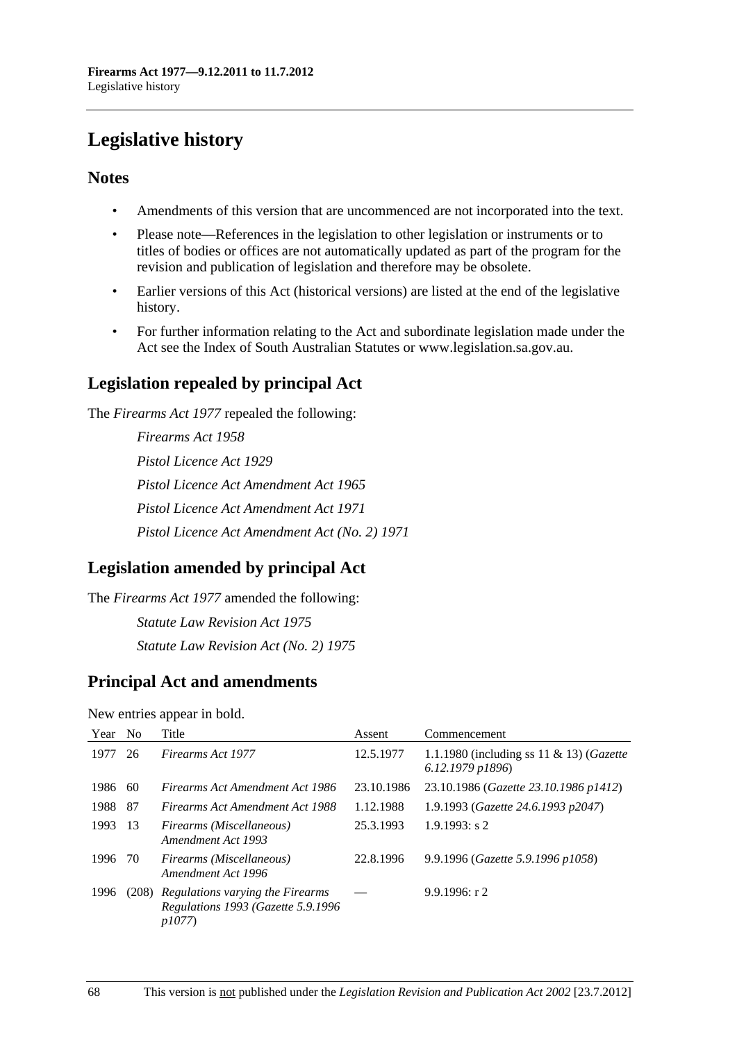# **Legislative history**

# **Notes**

- Amendments of this version that are uncommenced are not incorporated into the text.
- Please note—References in the legislation to other legislation or instruments or to titles of bodies or offices are not automatically updated as part of the program for the revision and publication of legislation and therefore may be obsolete.
- Earlier versions of this Act (historical versions) are listed at the end of the legislative history.
- For further information relating to the Act and subordinate legislation made under the Act see the Index of South Australian Statutes or www.legislation.sa.gov.au.

# **Legislation repealed by principal Act**

The *Firearms Act 1977* repealed the following:

*Firearms Act 1958 Pistol Licence Act 1929 Pistol Licence Act Amendment Act 1965 Pistol Licence Act Amendment Act 1971 Pistol Licence Act Amendment Act (No. 2) 1971*

# **Legislation amended by principal Act**

The *Firearms Act 1977* amended the following: *Statute Law Revision Act 1975 Statute Law Revision Act (No. 2) 1975*

# **Principal Act and amendments**

New entries appear in bold.

| Year | - No | Title                                                                                        | Assent     | Commencement                                                    |
|------|------|----------------------------------------------------------------------------------------------|------------|-----------------------------------------------------------------|
| 1977 | 26   | Firearms Act 1977                                                                            | 12.5.1977  | 1.1.1980 (including ss 11 & 13) (Gazette<br>$6.12.1979$ $p1896$ |
| 1986 | -60  | Firearms Act Amendment Act 1986                                                              | 23.10.1986 | 23.10.1986 (Gazette 23.10.1986 p1412)                           |
| 1988 | - 87 | Firearms Act Amendment Act 1988                                                              | 1.12.1988  | 1.9.1993 (Gazette 24.6.1993 p2047)                              |
| 1993 | -13  | Firearms (Miscellaneous)<br>Amendment Act 1993                                               | 25.3.1993  | $1.9.1993$ : s 2                                                |
| 1996 | - 70 | Firearms (Miscellaneous)<br>Amendment Act 1996                                               | 22.8.1996  | 9.9.1996 (Gazette 5.9.1996 p1058)                               |
| 1996 |      | (208) Regulations varying the Firearms<br>Regulations 1993 (Gazette 5.9.1996<br><i>p1077</i> |            | 9.9.1996: r2                                                    |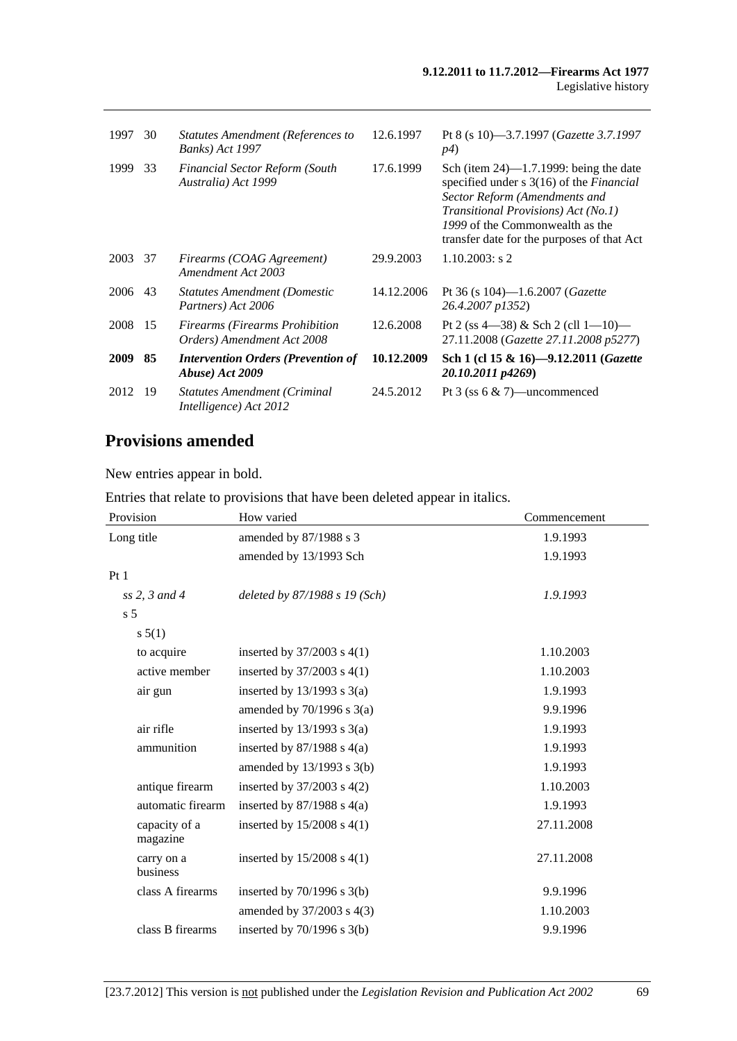| 1997        | 30  | <b>Statutes Amendment (References to</b><br><b>Banks</b> ) Act 1997 | 12.6.1997  | Pt 8 (s 10)-3.7.1997 ( <i>Gazette 3.7.1997</i><br><i>p4</i> )                                                                                                                                                                                              |
|-------------|-----|---------------------------------------------------------------------|------------|------------------------------------------------------------------------------------------------------------------------------------------------------------------------------------------------------------------------------------------------------------|
| 1999        | 33  | <b>Financial Sector Reform (South</b><br>Australia) Act 1999        | 17.6.1999  | Sch (item $24$ )—1.7.1999: being the date<br>specified under $s \, 3(16)$ of the <i>Financial</i><br>Sector Reform (Amendments and<br>Transitional Provisions) Act (No.1)<br>1999 of the Commonwealth as the<br>transfer date for the purposes of that Act |
| 2003        | 37  | Firearms (COAG Agreement)<br>Amendment Act 2003                     | 29.9.2003  | $1.10.2003$ : s 2                                                                                                                                                                                                                                          |
| 2006        | 43  | <b>Statutes Amendment (Domestic</b><br>Partners) Act 2006           | 14.12.2006 | Pt 36 (s $104$ )— $1.6.2007$ ( <i>Gazette</i><br>26.4.2007 p1352)                                                                                                                                                                                          |
| 2008        | -15 | <b>Firearms (Firearms Prohibition</b><br>Orders) Amendment Act 2008 | 12.6.2008  | Pt 2 (ss $4-38$ ) & Sch 2 (cll $1-10$ )<br>27.11.2008 (Gazette 27.11.2008 p5277)                                                                                                                                                                           |
| <b>2009</b> | 85  | <b>Intervention Orders (Prevention of</b><br>Abuse) Act 2009        | 10.12.2009 | Sch 1 (cl 15 & 16)-9.12.2011 (Gazette<br>20.10.2011 p4269)                                                                                                                                                                                                 |
| 2012        | 19  | <b>Statutes Amendment (Criminal</b><br>Intelligence) Act 2012       | 24.5.2012  | Pt 3 (ss $6 \& 7$ )—uncommenced                                                                                                                                                                                                                            |

# **Provisions amended**

New entries appear in bold.

Entries that relate to provisions that have been deleted appear in italics.

| Provision                 | How varied                     | Commencement |  |
|---------------------------|--------------------------------|--------------|--|
| Long title                | amended by 87/1988 s 3         | 1.9.1993     |  |
|                           | amended by 13/1993 Sch         | 1.9.1993     |  |
| Pt1                       |                                |              |  |
| $ss$ 2, 3 and 4           | deleted by 87/1988 s 19 (Sch)  | 1.9.1993     |  |
| s <sub>5</sub>            |                                |              |  |
| s 5(1)                    |                                |              |  |
| to acquire                | inserted by $37/2003$ s $4(1)$ | 1.10.2003    |  |
| active member             | inserted by $37/2003$ s $4(1)$ | 1.10.2003    |  |
| air gun                   | inserted by $13/1993$ s $3(a)$ | 1.9.1993     |  |
|                           | amended by $70/1996$ s $3(a)$  | 9.9.1996     |  |
| air rifle                 | inserted by $13/1993$ s $3(a)$ | 1.9.1993     |  |
| ammunition                | inserted by $87/1988$ s $4(a)$ | 1.9.1993     |  |
|                           | amended by $13/1993$ s $3(b)$  | 1.9.1993     |  |
| antique firearm           | inserted by $37/2003$ s $4(2)$ | 1.10.2003    |  |
| automatic firearm         | inserted by $87/1988$ s $4(a)$ | 1.9.1993     |  |
| capacity of a<br>magazine | inserted by $15/2008$ s $4(1)$ | 27.11.2008   |  |
| carry on a<br>business    | inserted by $15/2008$ s $4(1)$ | 27.11.2008   |  |
| class A firearms          | inserted by $70/1996$ s $3(b)$ | 9.9.1996     |  |
|                           | amended by 37/2003 s 4(3)      | 1.10.2003    |  |
| class B firearms          | inserted by $70/1996$ s $3(b)$ | 9.9.1996     |  |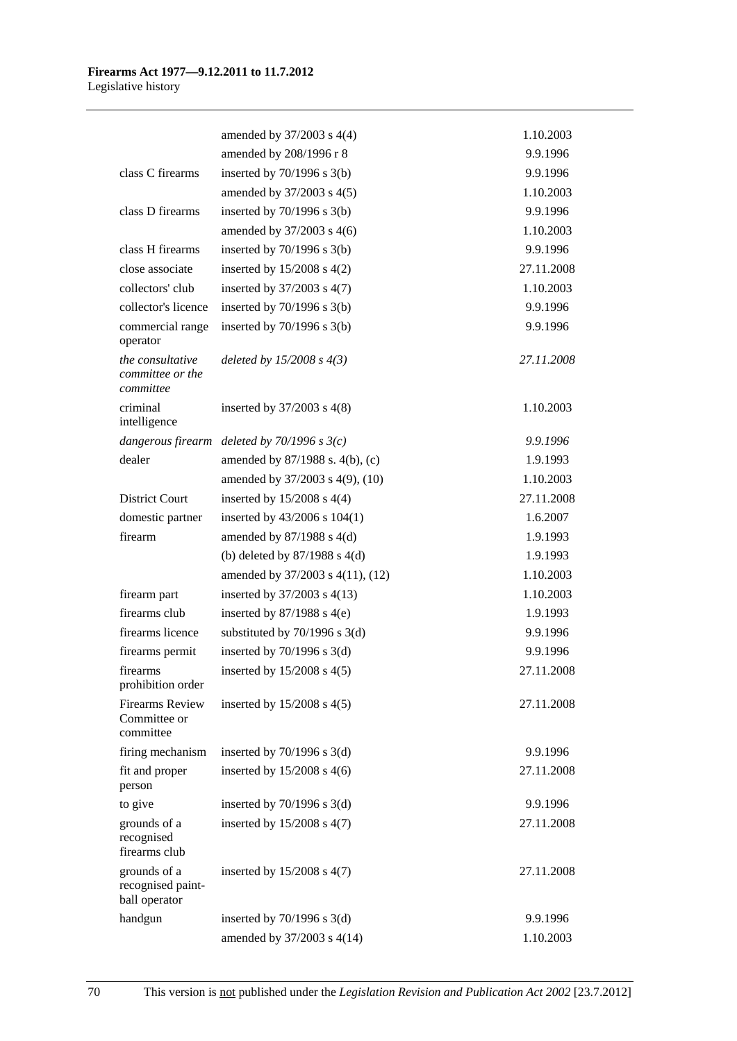|                                                     | amended by 37/2003 s 4(4)         | 1.10.2003  |
|-----------------------------------------------------|-----------------------------------|------------|
|                                                     | amended by 208/1996 r 8           | 9.9.1996   |
| class C firearms                                    | inserted by $70/1996$ s $3(b)$    | 9.9.1996   |
|                                                     | amended by 37/2003 s 4(5)         | 1.10.2003  |
| class D firearms                                    | inserted by $70/1996$ s $3(b)$    | 9.9.1996   |
|                                                     | amended by 37/2003 s 4(6)         | 1.10.2003  |
| class H firearms                                    | inserted by $70/1996$ s $3(b)$    | 9.9.1996   |
| close associate                                     | inserted by $15/2008$ s $4(2)$    | 27.11.2008 |
| collectors' club                                    | inserted by $37/2003$ s $4(7)$    | 1.10.2003  |
| collector's licence                                 | inserted by $70/1996$ s $3(b)$    | 9.9.1996   |
| commercial range<br>operator                        | inserted by $70/1996$ s $3(b)$    | 9.9.1996   |
| the consultative<br>committee or the<br>committee   | deleted by $15/2008 s 4(3)$       | 27.11.2008 |
| criminal<br>intelligence                            | inserted by $37/2003$ s $4(8)$    | 1.10.2003  |
| dangerous firearm                                   | deleted by $70/1996$ s $3(c)$     | 9.9.1996   |
| dealer                                              | amended by 87/1988 s. 4(b), (c)   | 1.9.1993   |
|                                                     | amended by 37/2003 s 4(9), (10)   | 1.10.2003  |
| <b>District Court</b>                               | inserted by $15/2008$ s $4(4)$    | 27.11.2008 |
| domestic partner                                    | inserted by $43/2006$ s $104(1)$  | 1.6.2007   |
| firearm                                             | amended by $87/1988$ s 4(d)       | 1.9.1993   |
|                                                     | (b) deleted by $87/1988$ s 4(d)   | 1.9.1993   |
|                                                     | amended by 37/2003 s 4(11), (12)  | 1.10.2003  |
| firearm part                                        | inserted by $37/2003$ s 4(13)     | 1.10.2003  |
| firearms club                                       | inserted by $87/1988$ s $4(e)$    | 1.9.1993   |
| firearms licence                                    | substituted by $70/1996$ s $3(d)$ | 9.9.1996   |
| firearms permit                                     | inserted by $70/1996$ s $3(d)$    | 9.9.1996   |
| firearms<br>prohibition order                       | inserted by $15/2008$ s $4(5)$    | 27.11.2008 |
| <b>Firearms Review</b><br>Committee or<br>committee | inserted by $15/2008$ s $4(5)$    | 27.11.2008 |
| firing mechanism                                    | inserted by $70/1996$ s $3(d)$    | 9.9.1996   |
| fit and proper<br>person                            | inserted by $15/2008$ s 4(6)      | 27.11.2008 |
| to give                                             | inserted by $70/1996$ s $3(d)$    | 9.9.1996   |
| grounds of a<br>recognised<br>firearms club         | inserted by $15/2008$ s $4(7)$    | 27.11.2008 |
| grounds of a<br>recognised paint-<br>ball operator  | inserted by $15/2008$ s $4(7)$    | 27.11.2008 |
| handgun                                             | inserted by $70/1996$ s $3(d)$    | 9.9.1996   |
|                                                     | amended by 37/2003 s 4(14)        | 1.10.2003  |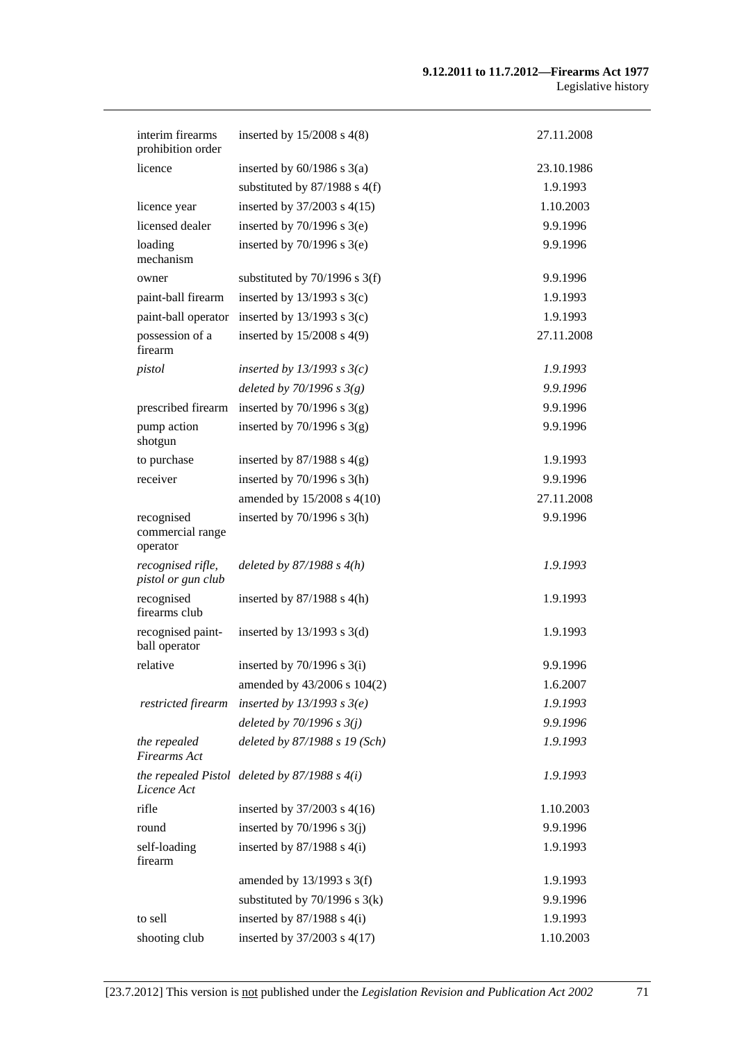#### **9.12.2011 to 11.7.2012—Firearms Act 1977**  Legislative history

| interim firearms<br>prohibition order      | inserted by $15/2008$ s $4(8)$                    | 27.11.2008 |
|--------------------------------------------|---------------------------------------------------|------------|
| licence                                    | inserted by $60/1986$ s $3(a)$                    | 23.10.1986 |
|                                            | substituted by $87/1988$ s $4(f)$                 | 1.9.1993   |
| licence year                               | inserted by 37/2003 s 4(15)                       | 1.10.2003  |
| licensed dealer                            | inserted by $70/1996$ s $3(e)$                    | 9.9.1996   |
| loading<br>mechanism                       | inserted by $70/1996$ s $3(e)$                    | 9.9.1996   |
| owner                                      | substituted by $70/1996$ s 3(f)                   | 9.9.1996   |
| paint-ball firearm                         | inserted by $13/1993$ s $3(c)$                    | 1.9.1993   |
| paint-ball operator                        | inserted by $13/1993$ s $3(c)$                    | 1.9.1993   |
| possession of a<br>firearm                 | inserted by 15/2008 s 4(9)                        | 27.11.2008 |
| pistol                                     | inserted by $13/1993$ s $3(c)$                    | 1.9.1993   |
|                                            | deleted by $70/1996$ s $3(g)$                     | 9.9.1996   |
| prescribed firearm                         | inserted by $70/1996$ s $3(g)$                    | 9.9.1996   |
| pump action<br>shotgun                     | inserted by $70/1996$ s $3(g)$                    | 9.9.1996   |
| to purchase                                | inserted by $87/1988$ s $4(g)$                    | 1.9.1993   |
| receiver                                   | inserted by $70/1996$ s $3(h)$                    | 9.9.1996   |
|                                            | amended by 15/2008 s 4(10)                        | 27.11.2008 |
| recognised<br>commercial range<br>operator | inserted by $70/1996$ s $3(h)$                    | 9.9.1996   |
| recognised rifle,<br>pistol or gun club    | deleted by $87/1988 s 4(h)$                       | 1.9.1993   |
| recognised<br>firearms club                | inserted by $87/1988$ s 4(h)                      | 1.9.1993   |
| recognised paint-<br>ball operator         | inserted by $13/1993$ s $3(d)$                    | 1.9.1993   |
| relative                                   | inserted by $70/1996$ s $3(i)$                    | 9.9.1996   |
|                                            | amended by 43/2006 s 104(2)                       | 1.6.2007   |
| restricted firearm                         | inserted by $13/1993$ s $3(e)$                    | 1.9.1993   |
|                                            | deleted by $70/1996$ s $3(j)$                     | 9.9.1996   |
| the repealed<br><b>Firearms</b> Act        | deleted by 87/1988 s 19 (Sch)                     | 1.9.1993   |
| Licence Act                                | the repealed Pistol deleted by $87/1988$ s $4(i)$ | 1.9.1993   |
| rifle                                      | inserted by $37/2003$ s 4(16)                     | 1.10.2003  |
| round                                      | inserted by $70/1996$ s $3(j)$                    | 9.9.1996   |
| self-loading<br>firearm                    | inserted by $87/1988$ s $4(i)$                    | 1.9.1993   |
|                                            | amended by $13/1993$ s $3(f)$                     | 1.9.1993   |
|                                            | substituted by $70/1996$ s $3(k)$                 | 9.9.1996   |
| to sell                                    | inserted by $87/1988$ s $4(i)$                    | 1.9.1993   |
| shooting club                              | inserted by 37/2003 s 4(17)                       | 1.10.2003  |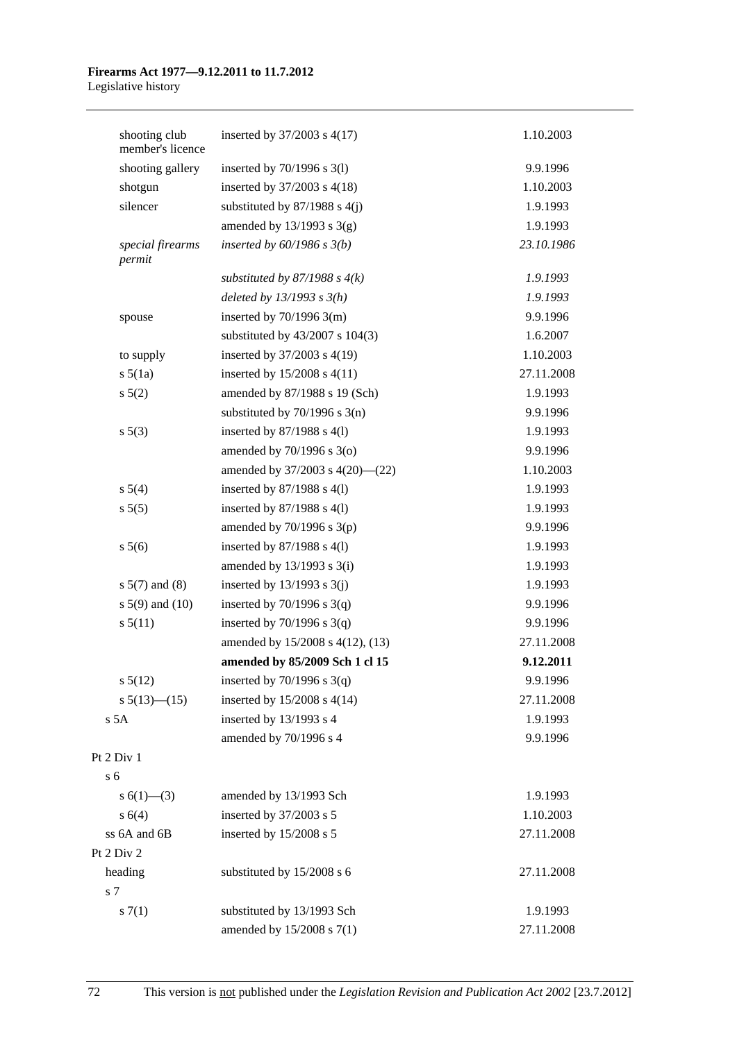#### **Firearms Act 1977—9.12.2011 to 11.7.2012**  Legislative history

| shooting club<br>member's licence | inserted by $37/2003$ s $4(17)$   | 1.10.2003  |
|-----------------------------------|-----------------------------------|------------|
| shooting gallery                  | inserted by $70/1996$ s $3(1)$    | 9.9.1996   |
| shotgun                           | inserted by 37/2003 s 4(18)       | 1.10.2003  |
| silencer                          | substituted by $87/1988$ s $4(j)$ | 1.9.1993   |
|                                   | amended by $13/1993$ s $3(g)$     | 1.9.1993   |
| special firearms<br>permit        | inserted by $60/1986$ s $3(b)$    | 23.10.1986 |
|                                   | substituted by $87/1988$ s $4(k)$ | 1.9.1993   |
|                                   | deleted by $13/1993$ s $3(h)$     | 1.9.1993   |
| spouse                            | inserted by $70/1996$ 3(m)        | 9.9.1996   |
|                                   | substituted by 43/2007 s 104(3)   | 1.6.2007   |
| to supply                         | inserted by 37/2003 s 4(19)       | 1.10.2003  |
| $s\ 5(1a)$                        | inserted by $15/2008$ s $4(11)$   | 27.11.2008 |
| $s\ 5(2)$                         | amended by 87/1988 s 19 (Sch)     | 1.9.1993   |
|                                   | substituted by $70/1996$ s $3(n)$ | 9.9.1996   |
| s 5(3)                            | inserted by $87/1988$ s $4(1)$    | 1.9.1993   |
|                                   | amended by $70/1996$ s $3(0)$     | 9.9.1996   |
|                                   | amended by 37/2003 s 4(20)-(22)   | 1.10.2003  |
| s 5(4)                            | inserted by $87/1988$ s $4(1)$    | 1.9.1993   |
| s 5(5)                            | inserted by $87/1988$ s $4(1)$    | 1.9.1993   |
|                                   | amended by $70/1996$ s $3(p)$     | 9.9.1996   |
| s 5(6)                            | inserted by $87/1988$ s $4(1)$    | 1.9.1993   |
|                                   | amended by $13/1993$ s $3(i)$     | 1.9.1993   |
| $s 5(7)$ and (8)                  | inserted by $13/1993$ s $3(j)$    | 1.9.1993   |
| s $5(9)$ and $(10)$               | inserted by $70/1996$ s $3(q)$    | 9.9.1996   |
| s 5(11)                           | inserted by $70/1996$ s $3(q)$    | 9.9.1996   |
|                                   | amended by 15/2008 s 4(12), (13)  | 27.11.2008 |
|                                   | amended by 85/2009 Sch 1 cl 15    | 9.12.2011  |
| $s\,5(12)$                        | inserted by $70/1996$ s $3(q)$    | 9.9.1996   |
| s $5(13)$ (15)                    | inserted by 15/2008 s 4(14)       | 27.11.2008 |
| s 5A                              | inserted by 13/1993 s 4           | 1.9.1993   |
|                                   | amended by 70/1996 s 4            | 9.9.1996   |
| Pt 2 Div 1                        |                                   |            |
| s <sub>6</sub>                    |                                   |            |
| s $6(1)$ —(3)                     | amended by 13/1993 Sch            | 1.9.1993   |
| s 6(4)                            | inserted by 37/2003 s 5           | 1.10.2003  |
| ss 6A and 6B                      | inserted by 15/2008 s 5           | 27.11.2008 |
| Pt 2 Div 2                        |                                   |            |
| heading                           | substituted by 15/2008 s 6        | 27.11.2008 |
| s 7                               |                                   |            |
| s(7(1))                           | substituted by 13/1993 Sch        | 1.9.1993   |
|                                   | amended by 15/2008 s 7(1)         | 27.11.2008 |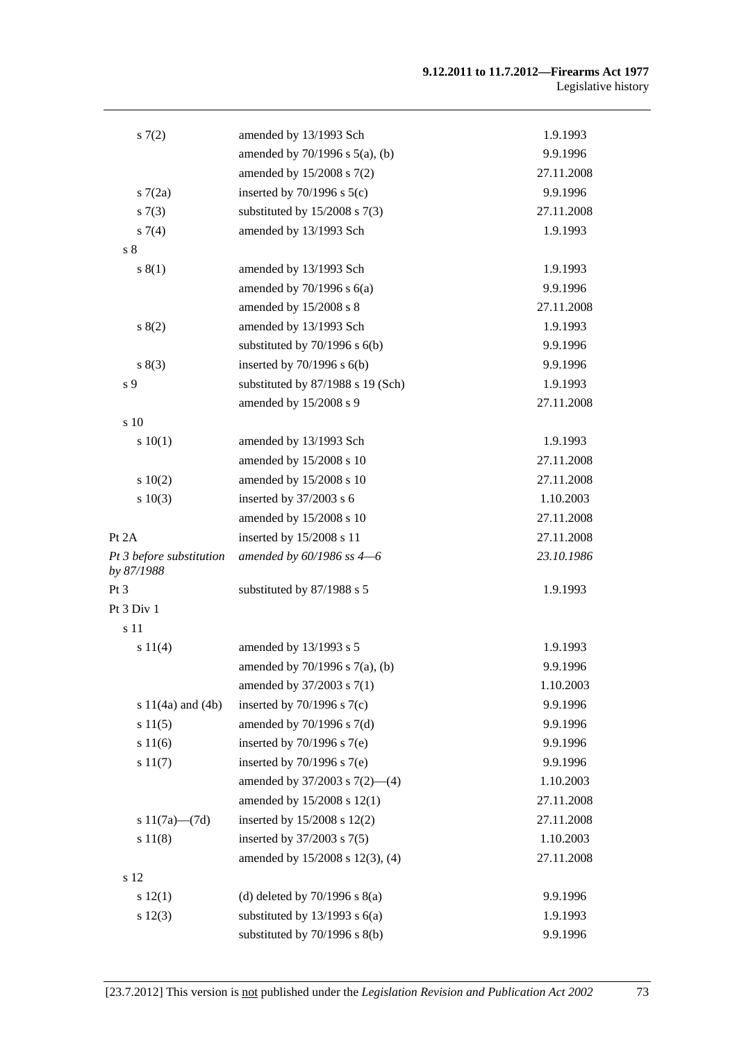| 57(2)                                  | amended by 13/1993 Sch              | 1.9.1993   |
|----------------------------------------|-------------------------------------|------------|
|                                        | amended by $70/1996$ s $5(a)$ , (b) | 9.9.1996   |
|                                        | amended by $15/2008$ s $7(2)$       | 27.11.2008 |
| 57(2a)                                 | inserted by $70/1996$ s $5(c)$      | 9.9.1996   |
| s(7(3))                                | substituted by $15/2008$ s $7(3)$   | 27.11.2008 |
| $s \, 7(4)$                            | amended by 13/1993 Sch              | 1.9.1993   |
| s <sub>8</sub>                         |                                     |            |
| s(1)                                   | amended by 13/1993 Sch              | 1.9.1993   |
|                                        | amended by $70/1996$ s $6(a)$       | 9.9.1996   |
|                                        | amended by 15/2008 s 8              | 27.11.2008 |
| 8(2)                                   | amended by 13/1993 Sch              | 1.9.1993   |
|                                        | substituted by $70/1996$ s $6(b)$   | 9.9.1996   |
| s(3)                                   | inserted by $70/1996$ s $6(b)$      | 9.9.1996   |
| s <sub>9</sub>                         | substituted by 87/1988 s 19 (Sch)   | 1.9.1993   |
|                                        | amended by 15/2008 s 9              | 27.11.2008 |
| s 10                                   |                                     |            |
| 10(1)                                  | amended by 13/1993 Sch              | 1.9.1993   |
|                                        | amended by 15/2008 s 10             | 27.11.2008 |
| 10(2)                                  | amended by 15/2008 s 10             | 27.11.2008 |
| s 10(3)                                | inserted by $37/2003$ s 6           | 1.10.2003  |
|                                        | amended by 15/2008 s 10             | 27.11.2008 |
| Pt $2A$                                | inserted by 15/2008 s 11            | 27.11.2008 |
| Pt 3 before substitution<br>by 87/1988 | amended by $60/1986$ ss $4-6$       | 23.10.1986 |
| Pt <sub>3</sub>                        | substituted by 87/1988 s 5          | 1.9.1993   |
| Pt 3 Div 1                             |                                     |            |
| s 11                                   |                                     |            |
| s 11(4)                                | amended by 13/1993 s 5              | 1.9.1993   |
|                                        | amended by 70/1996 s 7(a), (b)      | 9.9.1996   |
|                                        | amended by 37/2003 s 7(1)           | 1.10.2003  |
| s $11(4a)$ and $(4b)$                  | inserted by $70/1996$ s $7(c)$      | 9.9.1996   |
| s 11(5)                                | amended by $70/1996$ s $7(d)$       | 9.9.1996   |
| s 11(6)                                | inserted by $70/1996$ s $7(e)$      | 9.9.1996   |
| s 11(7)                                | inserted by $70/1996$ s $7(e)$      | 9.9.1996   |
|                                        | amended by $37/2003$ s $7(2)$ —(4)  | 1.10.2003  |
|                                        | amended by 15/2008 s 12(1)          | 27.11.2008 |
| s $11(7a)$ — $(7d)$                    | inserted by 15/2008 s 12(2)         | 27.11.2008 |
| s 11(8)                                | inserted by 37/2003 s 7(5)          | 1.10.2003  |
|                                        | amended by 15/2008 s 12(3), (4)     | 27.11.2008 |
| s 12                                   |                                     |            |
| s 12(1)                                | (d) deleted by $70/1996$ s $8(a)$   | 9.9.1996   |
| s 12(3)                                | substituted by $13/1993$ s $6(a)$   | 1.9.1993   |
|                                        | substituted by 70/1996 s 8(b)       | 9.9.1996   |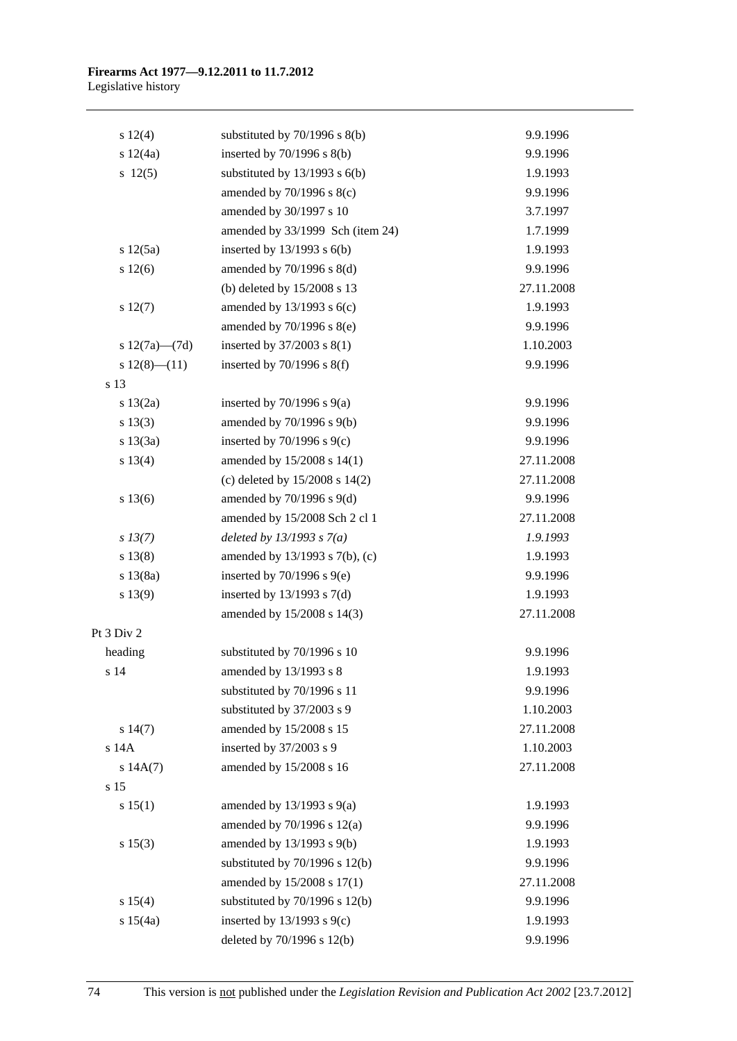### **Firearms Act 1977—9.12.2011 to 11.7.2012**  Legislative history

| s 12(4)             | substituted by $70/1996$ s $8(b)$  | 9.9.1996   |
|---------------------|------------------------------------|------------|
| s 12(4a)            | inserted by $70/1996$ s $8(b)$     | 9.9.1996   |
| 12(5)               | substituted by $13/1993$ s $6(b)$  | 1.9.1993   |
|                     | amended by 70/1996 s 8(c)          | 9.9.1996   |
|                     | amended by 30/1997 s 10            | 3.7.1997   |
|                     | amended by 33/1999 Sch (item 24)   | 1.7.1999   |
| s 12(5a)            | inserted by $13/1993$ s $6(b)$     | 1.9.1993   |
| s 12(6)             | amended by $70/1996$ s $8(d)$      | 9.9.1996   |
|                     | (b) deleted by 15/2008 s 13        | 27.11.2008 |
| s 12(7)             | amended by $13/1993$ s $6(c)$      | 1.9.1993   |
|                     | amended by 70/1996 s 8(e)          | 9.9.1996   |
| s $12(7a)$ — $(7d)$ | inserted by $37/2003$ s $8(1)$     | 1.10.2003  |
| $s 12(8)$ (11)      | inserted by $70/1996$ s $8(f)$     | 9.9.1996   |
| s 13                |                                    |            |
| s 13(2a)            | inserted by $70/1996$ s $9(a)$     | 9.9.1996   |
| s 13(3)             | amended by 70/1996 s 9(b)          | 9.9.1996   |
| s 13(3a)            | inserted by $70/1996$ s $9(c)$     | 9.9.1996   |
| s 13(4)             | amended by 15/2008 s 14(1)         | 27.11.2008 |
|                     | (c) deleted by 15/2008 s 14(2)     | 27.11.2008 |
| s 13(6)             | amended by $70/1996$ s $9(d)$      | 9.9.1996   |
|                     | amended by 15/2008 Sch 2 cl 1      | 27.11.2008 |
| $s\,13(7)$          | deleted by $13/1993$ s $7(a)$      | 1.9.1993   |
| s 13(8)             | amended by 13/1993 s 7(b), (c)     | 1.9.1993   |
| s 13(8a)            | inserted by $70/1996$ s $9(e)$     | 9.9.1996   |
| s 13(9)             | inserted by $13/1993$ s $7(d)$     | 1.9.1993   |
|                     | amended by 15/2008 s 14(3)         | 27.11.2008 |
| Pt 3 Div 2          |                                    |            |
| heading             | substituted by 70/1996 s 10        | 9.9.1996   |
| s 14                | amended by 13/1993 s 8             | 1.9.1993   |
|                     | substituted by 70/1996 s 11        | 9.9.1996   |
|                     | substituted by 37/2003 s 9         | 1.10.2003  |
| s 14(7)             | amended by 15/2008 s 15            | 27.11.2008 |
| s 14A               | inserted by 37/2003 s 9            | 1.10.2003  |
| s 14A(7)            | amended by 15/2008 s 16            | 27.11.2008 |
| s 15                |                                    |            |
| s 15(1)             | amended by $13/1993$ s $9(a)$      | 1.9.1993   |
|                     | amended by $70/1996$ s $12(a)$     | 9.9.1996   |
| s 15(3)             | amended by 13/1993 s 9(b)          | 1.9.1993   |
|                     | substituted by $70/1996$ s $12(b)$ | 9.9.1996   |
|                     | amended by 15/2008 s 17(1)         | 27.11.2008 |
| s 15(4)             | substituted by $70/1996$ s $12(b)$ | 9.9.1996   |
| s 15(4a)            | inserted by $13/1993$ s $9(c)$     | 1.9.1993   |
|                     | deleted by 70/1996 s 12(b)         | 9.9.1996   |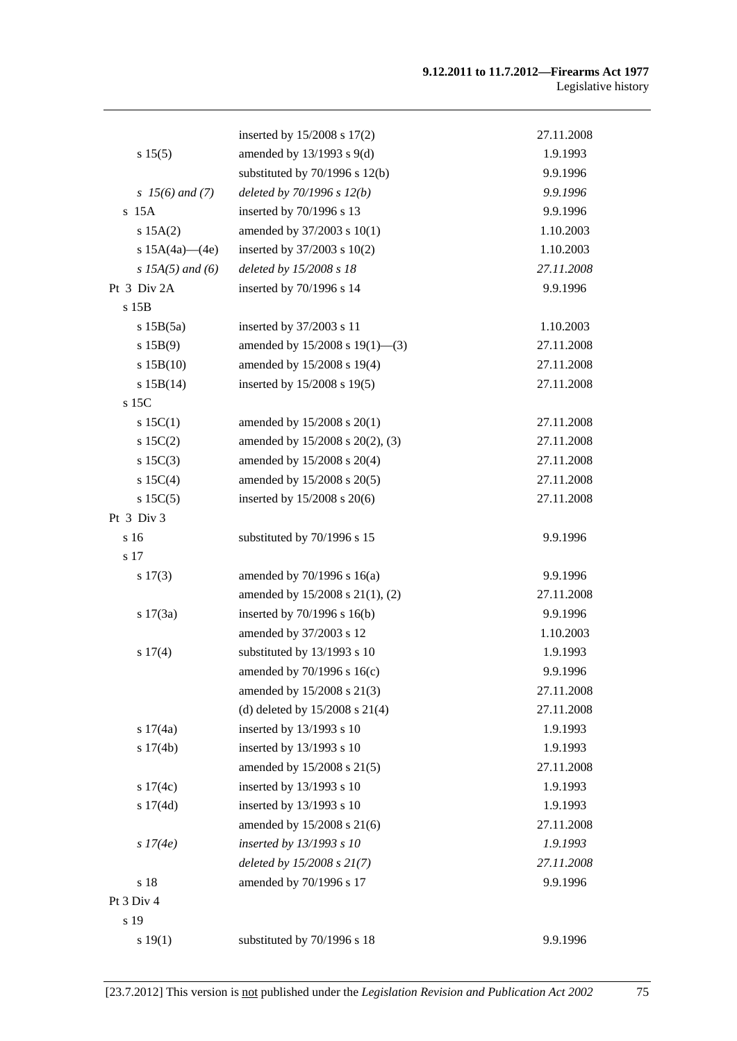### **9.12.2011 to 11.7.2012—Firearms Act 1977**  Legislative history

|                      | inserted by 15/2008 s 17(2)        | 27.11.2008 |
|----------------------|------------------------------------|------------|
| s 15(5)              | amended by $13/1993$ s $9(d)$      | 1.9.1993   |
|                      | substituted by $70/1996$ s $12(b)$ | 9.9.1996   |
| $s \; 15(6)$ and (7) | deleted by $70/1996 s 12(b)$       | 9.9.1996   |
| $s$ 15A              | inserted by 70/1996 s 13           | 9.9.1996   |
| s 15A(2)             | amended by 37/2003 s 10(1)         | 1.10.2003  |
| s $15A(4a)$ (4e)     | inserted by $37/2003$ s $10(2)$    | 1.10.2003  |
| s $15A(5)$ and (6)   | deleted by 15/2008 s 18            | 27.11.2008 |
| Pt 3 Div 2A          | inserted by 70/1996 s 14           | 9.9.1996   |
| $s$ 15 $B$           |                                    |            |
| s 15B(5a)            | inserted by 37/2003 s 11           | 1.10.2003  |
| s 15B(9)             | amended by 15/2008 s 19(1)-(3)     | 27.11.2008 |
| s 15B(10)            | amended by 15/2008 s 19(4)         | 27.11.2008 |
| s 15B(14)            | inserted by 15/2008 s 19(5)        | 27.11.2008 |
| s 15C                |                                    |            |
| s 15C(1)             | amended by 15/2008 s 20(1)         | 27.11.2008 |
| $s \ 15C(2)$         | amended by 15/2008 s 20(2), (3)    | 27.11.2008 |
| $s \ 15C(3)$         | amended by 15/2008 s 20(4)         | 27.11.2008 |
| s 15C(4)             | amended by 15/2008 s 20(5)         | 27.11.2008 |
| s 15C(5)             | inserted by $15/2008$ s $20(6)$    | 27.11.2008 |
| Pt 3 Div 3           |                                    |            |
| s 16                 | substituted by 70/1996 s 15        | 9.9.1996   |
| s 17                 |                                    |            |
| $s\ 17(3)$           | amended by $70/1996$ s $16(a)$     | 9.9.1996   |
|                      | amended by 15/2008 s 21(1), (2)    | 27.11.2008 |
| s 17(3a)             | inserted by $70/1996$ s $16(b)$    | 9.9.1996   |
|                      | amended by 37/2003 s 12            | 1.10.2003  |
| s 17(4)              | substituted by 13/1993 s 10        | 1.9.1993   |
|                      | amended by 70/1996 s 16(c)         | 9.9.1996   |
|                      | amended by 15/2008 s 21(3)         | 27.11.2008 |
|                      | (d) deleted by $15/2008$ s $21(4)$ | 27.11.2008 |
| s 17(4a)             | inserted by 13/1993 s 10           | 1.9.1993   |
| s 17(4b)             | inserted by 13/1993 s 10           | 1.9.1993   |
|                      | amended by 15/2008 s 21(5)         | 27.11.2008 |
| s $17(4c)$           | inserted by 13/1993 s 10           | 1.9.1993   |
| s 17(4d)             | inserted by 13/1993 s 10           | 1.9.1993   |
|                      | amended by 15/2008 s 21(6)         | 27.11.2008 |
| s 17(4e)             | inserted by 13/1993 s 10           | 1.9.1993   |
|                      | deleted by $15/2008 s 21(7)$       | 27.11.2008 |
| s 18                 | amended by 70/1996 s 17            | 9.9.1996   |
| Pt 3 Div 4           |                                    |            |
| s 19                 |                                    |            |
| s 19(1)              | substituted by 70/1996 s 18        | 9.9.1996   |
|                      |                                    |            |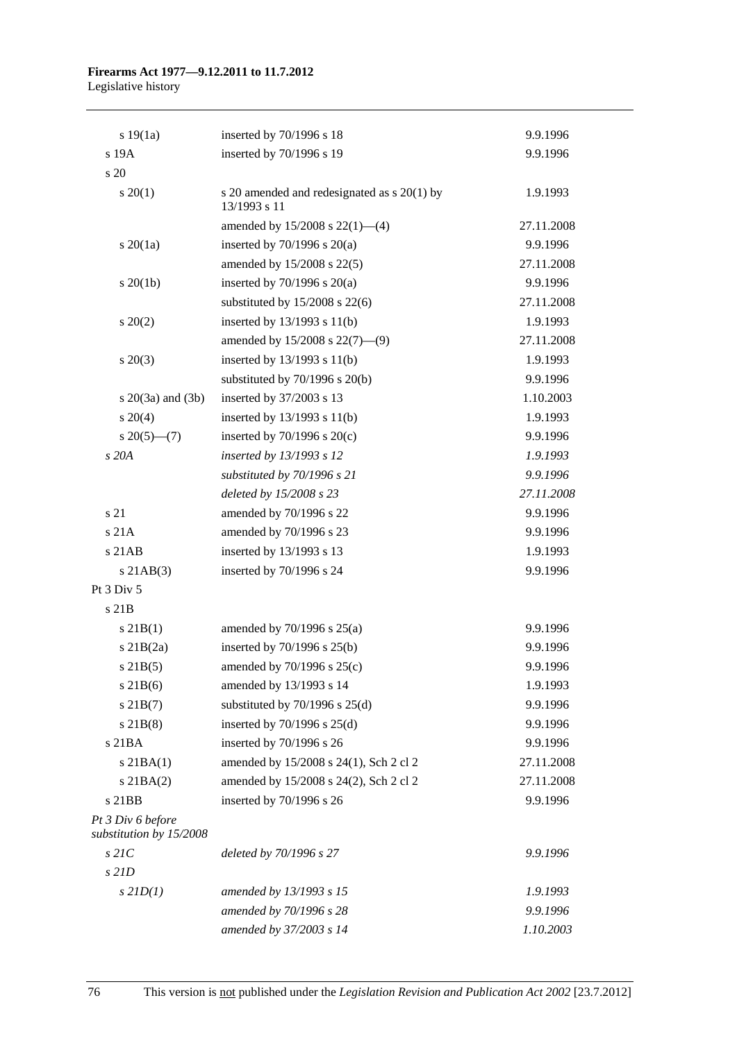### **Firearms Act 1977—9.12.2011 to 11.7.2012**  Legislative history

| s 19(1a)                                     | inserted by 70/1996 s 18                                    | 9.9.1996   |
|----------------------------------------------|-------------------------------------------------------------|------------|
| s 19A                                        | inserted by 70/1996 s 19                                    | 9.9.1996   |
| s 20                                         |                                                             |            |
| $s \ 20(1)$                                  | s 20 amended and redesignated as s 20(1) by<br>13/1993 s 11 | 1.9.1993   |
|                                              | amended by $15/2008$ s $22(1)$ —(4)                         | 27.11.2008 |
| $s\ 20(1a)$                                  | inserted by $70/1996$ s $20(a)$                             | 9.9.1996   |
|                                              | amended by 15/2008 s 22(5)                                  | 27.11.2008 |
| $s \ 20(1b)$                                 | inserted by $70/1996$ s $20(a)$                             | 9.9.1996   |
|                                              | substituted by $15/2008$ s $22(6)$                          | 27.11.2008 |
| $s \ 20(2)$                                  | inserted by $13/1993$ s $11(b)$                             | 1.9.1993   |
|                                              | amended by 15/2008 s 22(7)-(9)                              | 27.11.2008 |
| $s \ 20(3)$                                  | inserted by $13/1993$ s $11(b)$                             | 1.9.1993   |
|                                              | substituted by $70/1996$ s $20(b)$                          | 9.9.1996   |
| s $20(3a)$ and $(3b)$                        | inserted by 37/2003 s 13                                    | 1.10.2003  |
| $s \ 20(4)$                                  | inserted by $13/1993$ s $11(b)$                             | 1.9.1993   |
| $s \, 20(5)$ —(7)                            | inserted by $70/1996$ s $20(c)$                             | 9.9.1996   |
| s 20A                                        | inserted by 13/1993 s 12                                    | 1.9.1993   |
|                                              | substituted by 70/1996 s 21                                 | 9.9.1996   |
|                                              | deleted by 15/2008 s 23                                     | 27.11.2008 |
| s 21                                         | amended by 70/1996 s 22                                     | 9.9.1996   |
| s 21A                                        | amended by 70/1996 s 23                                     | 9.9.1996   |
| $s$ 21AB                                     | inserted by 13/1993 s 13                                    | 1.9.1993   |
| $s$ 21AB $(3)$                               | inserted by 70/1996 s 24                                    | 9.9.1996   |
| Pt 3 Div 5                                   |                                                             |            |
| s 21B                                        |                                                             |            |
| $s \, 21B(1)$                                | amended by $70/1996$ s $25(a)$                              | 9.9.1996   |
| $s$ 21B $(2a)$                               | inserted by $70/1996$ s $25(b)$                             | 9.9.1996   |
| $s$ 21B(5)                                   | amended by 70/1996 s 25(c)                                  | 9.9.1996   |
| $s$ 21B(6)                                   | amended by 13/1993 s 14                                     | 1.9.1993   |
| $s$ 21B(7)                                   | substituted by $70/1996$ s $25(d)$                          | 9.9.1996   |
| $s$ 21B(8)                                   | inserted by $70/1996$ s $25(d)$                             | 9.9.1996   |
| s 21BA                                       | inserted by 70/1996 s 26                                    | 9.9.1996   |
| $s$ 21BA $(1)$                               | amended by 15/2008 s 24(1), Sch 2 cl 2                      | 27.11.2008 |
| $s$ 21BA $(2)$                               | amended by 15/2008 s 24(2), Sch 2 cl 2                      | 27.11.2008 |
| s 21BB                                       | inserted by 70/1996 s 26                                    | 9.9.1996   |
| Pt 3 Div 6 before<br>substitution by 15/2008 |                                                             |            |
| $s$ 21 $C$                                   | deleted by 70/1996 s 27                                     | 9.9.1996   |
| $s$ 21D                                      |                                                             |            |
| $s$ 21D(1)                                   | amended by 13/1993 s 15                                     | 1.9.1993   |
|                                              | amended by 70/1996 s 28                                     | 9.9.1996   |
|                                              | amended by 37/2003 s 14                                     | 1.10.2003  |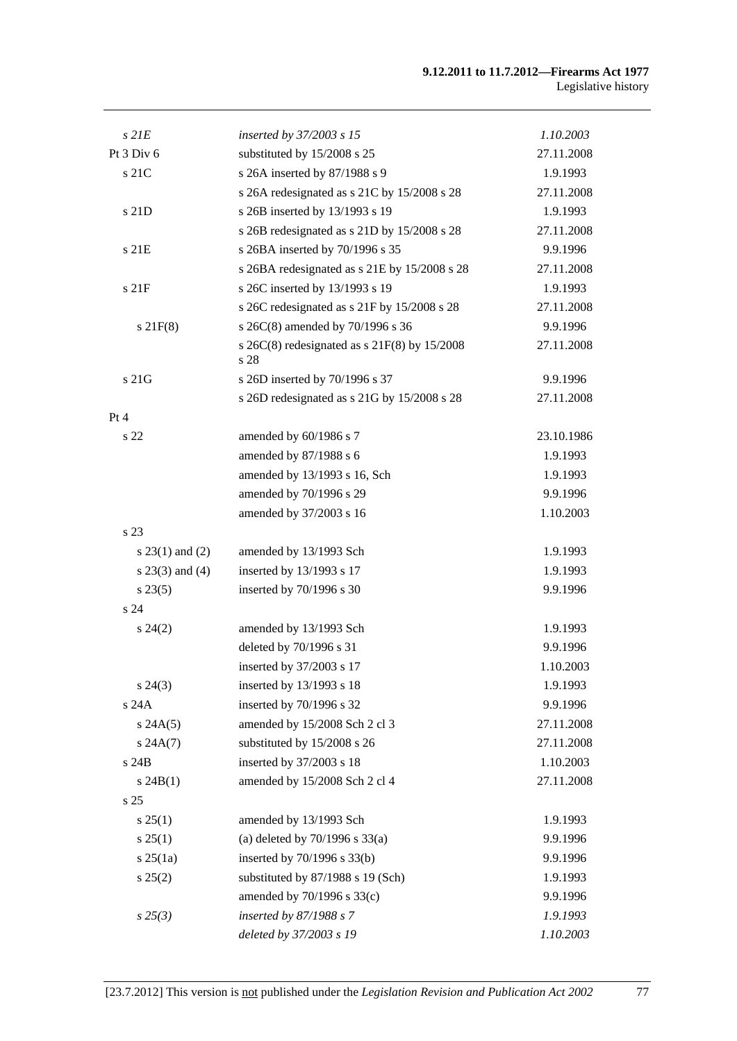### **9.12.2011 to 11.7.2012—Firearms Act 1977**  Legislative history

| $s$ 21 $E$        | inserted by 37/2003 s 15                                   | 1.10.2003  |
|-------------------|------------------------------------------------------------|------------|
| Pt 3 Div 6        | substituted by 15/2008 s 25                                | 27.11.2008 |
| s 21C             | s 26A inserted by 87/1988 s 9                              | 1.9.1993   |
|                   | s 26A redesignated as s 21C by 15/2008 s 28                | 27.11.2008 |
| s 21D             | s 26B inserted by 13/1993 s 19                             | 1.9.1993   |
|                   | s 26B redesignated as s 21D by 15/2008 s 28                | 27.11.2008 |
| s 21E             | s 26BA inserted by 70/1996 s 35                            | 9.9.1996   |
|                   | s 26BA redesignated as s 21E by 15/2008 s 28               | 27.11.2008 |
| s 21F             | s 26C inserted by 13/1993 s 19                             | 1.9.1993   |
|                   | s 26C redesignated as s 21F by 15/2008 s 28                | 27.11.2008 |
| $s$ 21 $F(8)$     | s 26C(8) amended by 70/1996 s 36                           | 9.9.1996   |
|                   | s $26C(8)$ redesignated as s $21F(8)$ by $15/2008$<br>s 28 | 27.11.2008 |
| $\sqrt{s}$ 21G    | s 26D inserted by 70/1996 s 37                             | 9.9.1996   |
|                   | s 26D redesignated as s 21G by 15/2008 s 28                | 27.11.2008 |
| Pt 4              |                                                            |            |
| s 22              | amended by 60/1986 s 7                                     | 23.10.1986 |
|                   | amended by 87/1988 s 6                                     | 1.9.1993   |
|                   | amended by 13/1993 s 16, Sch                               | 1.9.1993   |
|                   | amended by 70/1996 s 29                                    | 9.9.1996   |
|                   | amended by 37/2003 s 16                                    | 1.10.2003  |
| s 23              |                                                            |            |
| $s 23(1)$ and (2) | amended by 13/1993 Sch                                     | 1.9.1993   |
| $s$ 23(3) and (4) | inserted by 13/1993 s 17                                   | 1.9.1993   |
| $s\,23(5)$        | inserted by 70/1996 s 30                                   | 9.9.1996   |
| s <sub>24</sub>   |                                                            |            |
| $s\,24(2)$        | amended by 13/1993 Sch                                     | 1.9.1993   |
|                   | deleted by 70/1996 s 31                                    | 9.9.1996   |
|                   | inserted by 37/2003 s 17                                   | 1.10.2003  |
| $s\,24(3)$        | inserted by 13/1993 s 18                                   | 1.9.1993   |
| s 24A             | inserted by 70/1996 s 32                                   | 9.9.1996   |
| s 24A(5)          | amended by 15/2008 Sch 2 cl 3                              | 27.11.2008 |
| s 24A(7)          | substituted by 15/2008 s 26                                | 27.11.2008 |
| s 24B             | inserted by 37/2003 s 18                                   | 1.10.2003  |
| $s\ 24B(1)$       | amended by 15/2008 Sch 2 cl 4                              | 27.11.2008 |
| s <sub>25</sub>   |                                                            |            |
| s 25(1)           | amended by 13/1993 Sch                                     | 1.9.1993   |
| s 25(1)           | (a) deleted by $70/1996$ s $33(a)$                         | 9.9.1996   |
| $s \, 25(1a)$     | inserted by $70/1996$ s $33(b)$                            | 9.9.1996   |
| s 25(2)           | substituted by 87/1988 s 19 (Sch)                          | 1.9.1993   |
|                   | amended by 70/1996 s 33(c)                                 | 9.9.1996   |
| $s\,25(3)$        | inserted by $87/1988 s$ 7                                  | 1.9.1993   |
|                   | deleted by 37/2003 s 19                                    | 1.10.2003  |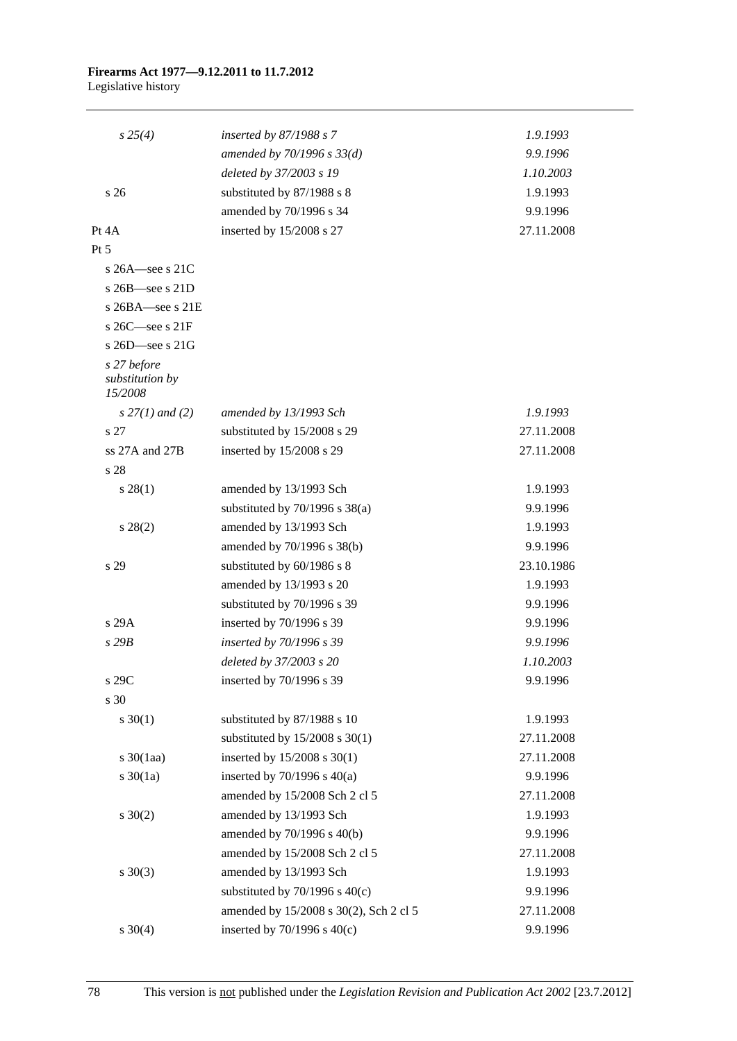### **Firearms Act 1977—9.12.2011 to 11.7.2012**  Legislative history

| $s\,25(4)$                                | inserted by $87/1988$ s 7              | 1.9.1993   |
|-------------------------------------------|----------------------------------------|------------|
|                                           | amended by $70/1996 s 33(d)$           | 9.9.1996   |
|                                           | deleted by 37/2003 s 19                | 1.10.2003  |
| s 26                                      | substituted by 87/1988 s 8             | 1.9.1993   |
|                                           | amended by 70/1996 s 34                | 9.9.1996   |
| Pt $4A$                                   | inserted by 15/2008 s 27               | 27.11.2008 |
| Pt 5                                      |                                        |            |
| s $26A$ -see s $21C$                      |                                        |            |
| s $26B$ —see s $21D$                      |                                        |            |
| s $26BA$ see s $21E$                      |                                        |            |
| s $26C$ —see s $21F$                      |                                        |            |
| s $26D$ —see s $21G$                      |                                        |            |
| s 27 before<br>substitution by<br>15/2008 |                                        |            |
| $s$ 27(1) and (2)                         | amended by 13/1993 Sch                 | 1.9.1993   |
| s 27                                      | substituted by 15/2008 s 29            | 27.11.2008 |
| ss $27A$ and $27B$                        | inserted by 15/2008 s 29               | 27.11.2008 |
| s 28                                      |                                        |            |
| $s\,28(1)$                                | amended by 13/1993 Sch                 | 1.9.1993   |
|                                           | substituted by $70/1996$ s $38(a)$     | 9.9.1996   |
| $s\,28(2)$                                | amended by 13/1993 Sch                 | 1.9.1993   |
|                                           | amended by 70/1996 s 38(b)             | 9.9.1996   |
| s 29                                      | substituted by 60/1986 s 8             | 23.10.1986 |
|                                           | amended by 13/1993 s 20                | 1.9.1993   |
|                                           | substituted by 70/1996 s 39            | 9.9.1996   |
| s 29A                                     | inserted by 70/1996 s 39               | 9.9.1996   |
| s29B                                      | inserted by 70/1996 s 39               | 9.9.1996   |
|                                           | deleted by 37/2003 s 20                | 1.10.2003  |
| s 29C                                     | inserted by 70/1996 s 39               | 9.9.1996   |
| s 30                                      |                                        |            |
| $s \ 30(1)$                               | substituted by 87/1988 s 10            | 1.9.1993   |
|                                           | substituted by $15/2008$ s $30(1)$     | 27.11.2008 |
| $s \frac{30}{1}$ aa)                      | inserted by 15/2008 s 30(1)            | 27.11.2008 |
| $s \ 30(1a)$                              | inserted by $70/1996$ s $40(a)$        | 9.9.1996   |
|                                           | amended by 15/2008 Sch 2 cl 5          | 27.11.2008 |
| $s \ 30(2)$                               | amended by 13/1993 Sch                 | 1.9.1993   |
|                                           | amended by 70/1996 s 40(b)             | 9.9.1996   |
|                                           | amended by 15/2008 Sch 2 cl 5          | 27.11.2008 |
| $s \ 30(3)$                               | amended by 13/1993 Sch                 | 1.9.1993   |
|                                           | substituted by $70/1996$ s $40(c)$     | 9.9.1996   |
|                                           | amended by 15/2008 s 30(2), Sch 2 cl 5 | 27.11.2008 |
| $s \ 30(4)$                               | inserted by $70/1996$ s $40(c)$        | 9.9.1996   |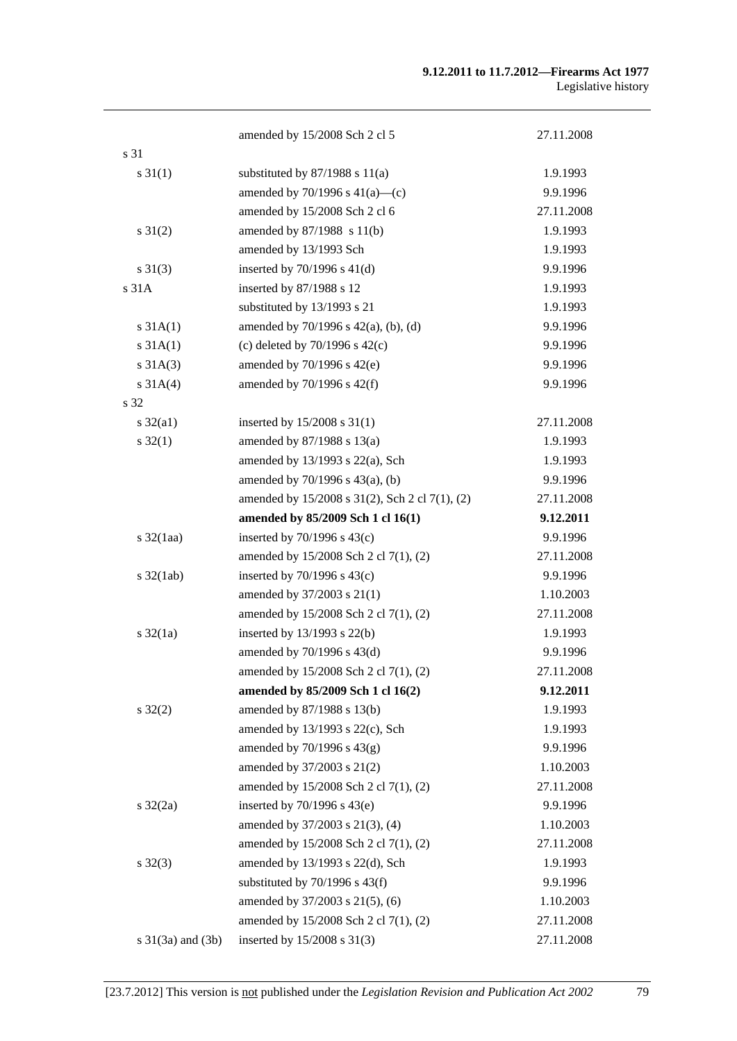### **9.12.2011 to 11.7.2012—Firearms Act 1977**  Legislative history

|                              | amended by 15/2008 Sch 2 cl 5                  | 27.11.2008 |
|------------------------------|------------------------------------------------|------------|
| s 31                         |                                                |            |
| $s \, 31(1)$                 | substituted by $87/1988$ s $11(a)$             | 1.9.1993   |
|                              | amended by $70/1996$ s $41(a)$ —(c)            | 9.9.1996   |
|                              | amended by 15/2008 Sch 2 cl 6                  | 27.11.2008 |
| $s \, 31(2)$                 | amended by 87/1988 s 11(b)                     | 1.9.1993   |
|                              | amended by 13/1993 Sch                         | 1.9.1993   |
| $s \ 31(3)$                  | inserted by $70/1996$ s $41(d)$                | 9.9.1996   |
| s 31A                        | inserted by 87/1988 s 12                       | 1.9.1993   |
|                              | substituted by 13/1993 s 21                    | 1.9.1993   |
| $s \, 31A(1)$                | amended by $70/1996$ s $42(a)$ , (b), (d)      | 9.9.1996   |
| s 31A(1)                     | (c) deleted by $70/1996$ s $42(c)$             | 9.9.1996   |
| $s \, 31A(3)$                | amended by $70/1996$ s $42(e)$                 | 9.9.1996   |
| $s \, 31A(4)$                | amended by $70/1996$ s $42(f)$                 | 9.9.1996   |
| s 32                         |                                                |            |
| $s \frac{32}{a1}$            | inserted by $15/2008$ s $31(1)$                | 27.11.2008 |
| $s \, 32(1)$                 | amended by 87/1988 s 13(a)                     | 1.9.1993   |
|                              | amended by 13/1993 s 22(a), Sch                | 1.9.1993   |
|                              | amended by $70/1996$ s $43(a)$ , (b)           | 9.9.1996   |
|                              | amended by 15/2008 s 31(2), Sch 2 cl 7(1), (2) | 27.11.2008 |
|                              | amended by 85/2009 Sch 1 cl 16(1)              | 9.12.2011  |
| $s \frac{32}{1}$ aa)         | inserted by $70/1996$ s $43(c)$                | 9.9.1996   |
|                              | amended by 15/2008 Sch 2 cl 7(1), (2)          | 27.11.2008 |
| $s \frac{32(\text{lab})}{ }$ | inserted by $70/1996$ s $43(c)$                | 9.9.1996   |
|                              | amended by 37/2003 s 21(1)                     | 1.10.2003  |
|                              | amended by 15/2008 Sch 2 cl 7(1), (2)          | 27.11.2008 |
| $s \frac{32}{1a}$            | inserted by 13/1993 s 22(b)                    | 1.9.1993   |
|                              | amended by 70/1996 s 43(d)                     | 9.9.1996   |
|                              | amended by 15/2008 Sch 2 cl 7(1), (2)          | 27.11.2008 |
|                              | amended by 85/2009 Sch 1 cl 16(2)              | 9.12.2011  |
| $s \, 32(2)$                 | amended by 87/1988 s 13(b)                     | 1.9.1993   |
|                              | amended by 13/1993 s 22(c), Sch                | 1.9.1993   |
|                              | amended by $70/1996$ s $43(g)$                 | 9.9.1996   |
|                              | amended by 37/2003 s 21(2)                     | 1.10.2003  |
|                              | amended by 15/2008 Sch 2 cl 7(1), (2)          | 27.11.2008 |
| $s \frac{32}{2a}$            | inserted by $70/1996$ s $43(e)$                | 9.9.1996   |
|                              | amended by 37/2003 s 21(3), (4)                | 1.10.2003  |
|                              | amended by 15/2008 Sch 2 cl 7(1), (2)          | 27.11.2008 |
| $s \, 32(3)$                 | amended by 13/1993 s 22(d), Sch                | 1.9.1993   |
|                              | substituted by $70/1996$ s $43(f)$             | 9.9.1996   |
|                              | amended by 37/2003 s 21(5), (6)                | 1.10.2003  |
|                              | amended by 15/2008 Sch 2 cl 7(1), (2)          | 27.11.2008 |
| $s \ 31(3a)$ and $(3b)$      | inserted by $15/2008$ s $31(3)$                | 27.11.2008 |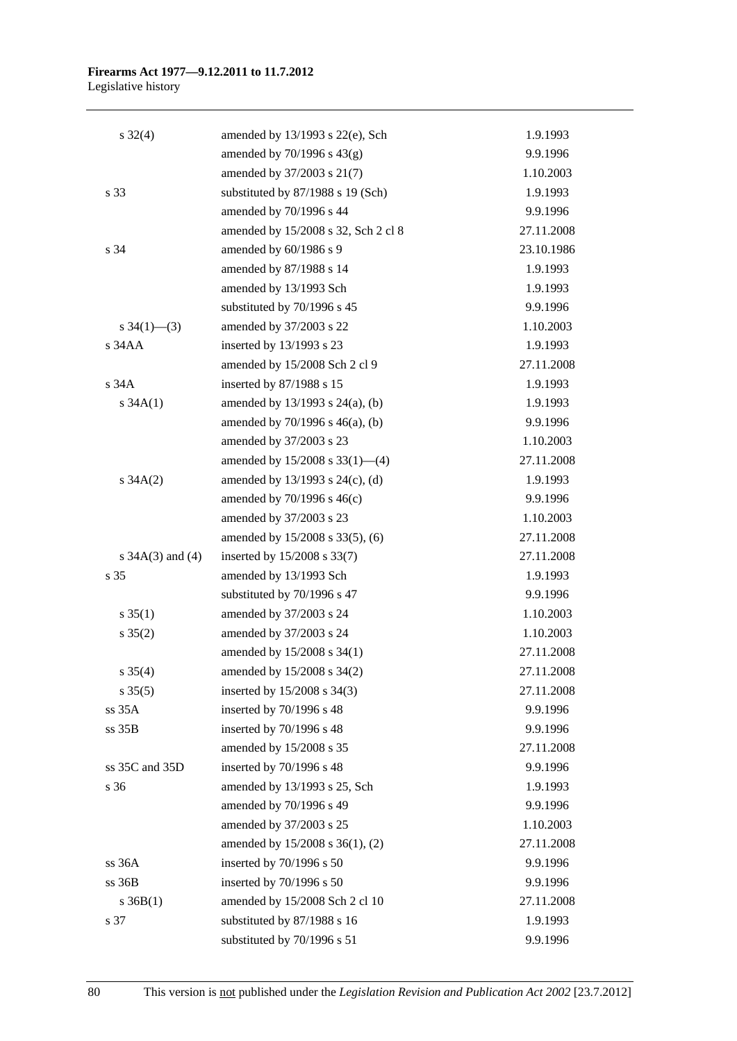## **Firearms Act 1977—9.12.2011 to 11.7.2012**

Legislative history

| $s \, 32(4)$         | amended by 13/1993 s 22(e), Sch      | 1.9.1993   |
|----------------------|--------------------------------------|------------|
|                      | amended by $70/1996$ s $43(g)$       | 9.9.1996   |
|                      | amended by 37/2003 s 21(7)           | 1.10.2003  |
| s 33                 | substituted by 87/1988 s 19 (Sch)    | 1.9.1993   |
|                      | amended by 70/1996 s 44              | 9.9.1996   |
|                      | amended by 15/2008 s 32, Sch 2 cl 8  | 27.11.2008 |
| s 34                 | amended by 60/1986 s 9               | 23.10.1986 |
|                      | amended by 87/1988 s 14              | 1.9.1993   |
|                      | amended by 13/1993 Sch               | 1.9.1993   |
|                      | substituted by 70/1996 s 45          | 9.9.1996   |
| s $34(1)$ — $(3)$    | amended by 37/2003 s 22              | 1.10.2003  |
| $s$ 34 $AA$          | inserted by 13/1993 s 23             | 1.9.1993   |
|                      | amended by 15/2008 Sch 2 cl 9        | 27.11.2008 |
| $s$ 34 $A$           | inserted by 87/1988 s 15             | 1.9.1993   |
| s $34A(1)$           | amended by $13/1993$ s $24(a)$ , (b) | 1.9.1993   |
|                      | amended by $70/1996$ s $46(a)$ , (b) | 9.9.1996   |
|                      | amended by 37/2003 s 23              | 1.10.2003  |
|                      | amended by $15/2008$ s $33(1)$ —(4)  | 27.11.2008 |
| $s \, 34A(2)$        | amended by $13/1993$ s $24(c)$ , (d) | 1.9.1993   |
|                      | amended by $70/1996$ s $46(c)$       | 9.9.1996   |
|                      | amended by 37/2003 s 23              | 1.10.2003  |
|                      | amended by 15/2008 s 33(5), (6)      | 27.11.2008 |
| s $34A(3)$ and $(4)$ | inserted by 15/2008 s 33(7)          | 27.11.2008 |
| s 35                 | amended by 13/1993 Sch               | 1.9.1993   |
|                      | substituted by 70/1996 s 47          | 9.9.1996   |
| $s \, 35(1)$         | amended by 37/2003 s 24              | 1.10.2003  |
| $s \, 35(2)$         | amended by 37/2003 s 24              | 1.10.2003  |
|                      | amended by 15/2008 s 34(1)           | 27.11.2008 |
| $s \; 35(4)$         | amended by $15/2008$ s $34(2)$       | 27.11.2008 |
| $s \, 35(5)$         | inserted by 15/2008 s 34(3)          | 27.11.2008 |
| ss 35A               | inserted by 70/1996 s 48             | 9.9.1996   |
| ss 35B               | inserted by 70/1996 s 48             | 9.9.1996   |
|                      | amended by 15/2008 s 35              | 27.11.2008 |
| ss 35C and 35D       | inserted by 70/1996 s 48             | 9.9.1996   |
| s 36                 | amended by 13/1993 s 25, Sch         | 1.9.1993   |
|                      | amended by 70/1996 s 49              | 9.9.1996   |
|                      | amended by 37/2003 s 25              | 1.10.2003  |
|                      | amended by 15/2008 s 36(1), (2)      | 27.11.2008 |
| ss 36A               | inserted by 70/1996 s 50             | 9.9.1996   |
| ss 36B               | inserted by 70/1996 s 50             | 9.9.1996   |
| $s \, 36B(1)$        | amended by 15/2008 Sch 2 cl 10       | 27.11.2008 |
| s 37                 | substituted by 87/1988 s 16          | 1.9.1993   |
|                      | substituted by 70/1996 s 51          | 9.9.1996   |